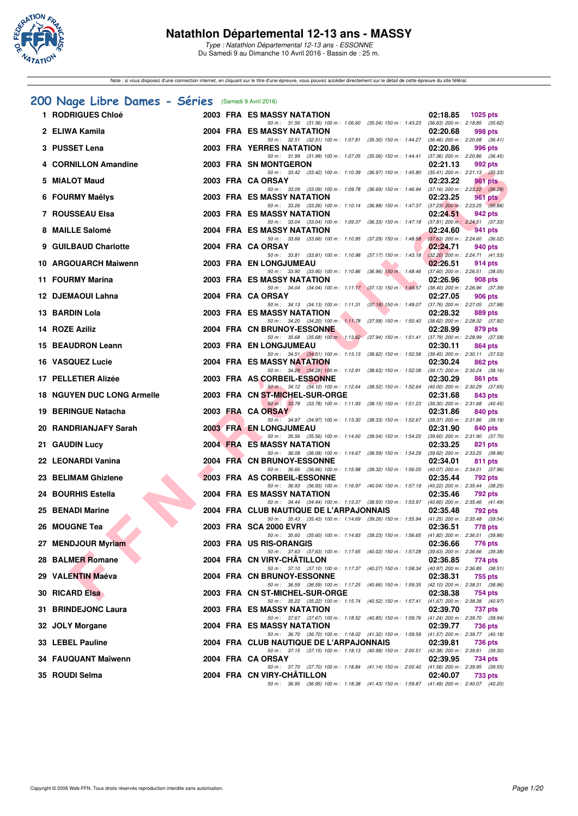

Note : si vous disposez d'une connection internet, en cliquant sur le titre d'une épreuve, vous pouvez accéder directement sur le détail de cette épreuve du site féféral.

## **[200 Nage Libre Dames - Séries](http://www.ffnatation.fr/webffn/resultats.php?idact=nat&go=epr&idcpt=38883&idepr=3)** (Samedi 9 Avril 2016)

| 1 RODRIGUES Chloé                 |  | <b>2003 FRA ES MASSY NATATION</b><br>02:18.85<br>1025 pts                                                                                                  |
|-----------------------------------|--|------------------------------------------------------------------------------------------------------------------------------------------------------------|
| 2 ELIWA Kamila                    |  | 50 m: 31.56 (31.56) 100 m: 1:06.60 (35.04) 150 m: 1:43.23 (36.63) 200 m: 2:18.85 (35.62)<br>2004 FRA ES MASSY NATATION<br>02:20.68<br>998 pts              |
| 3 PUSSET Lena                     |  | 50 m: 32.51 (32.51) 100 m: 1:07.81 (35.30) 150 m: 1:44.27 (36.46) 200 m: 2:20.68 (36.41)<br>2003 FRA YERRES NATATION<br>02:20.86<br>996 pts                |
| 4 CORNILLON Amandine              |  | 50 m: 31.99 (31.99) 100 m: 1:07.05 (35.06) 150 m: 1:44.41 (37.36) 200 m: 2:20.86 (36.45)<br>2003 FRA SN MONTGERON<br>02:21.13<br>992 pts                   |
| 5 MIALOT Maud                     |  | 50 m : 33.42 (33.42) 100 m : 1:10.39 (36.97) 150 m : 1:45.80<br>$(35.41)$ 200 m : 2:21.13 $(35.33)$<br>2003 FRA CA ORSAY<br>02:23.22<br>961 pts            |
| 6 FOURMY Maëlys                   |  | 50 m: 33.09 (33.09) 100 m: 1:09.78 (36.69) 150 m: 1:46.94 (37.16) 200 m: 2:23.22 (36.28)<br>2003 FRA ES MASSY NATATION<br>02:23.25<br>961 pts              |
| 7 ROUSSEAU Elsa                   |  | 50 m: 33.26 (33.26) 100 m: 1:10.14 (36.88) 150 m: 1:47.37 (37.23) 200 m: 2:23.25 (35.88)<br>2003 FRA ES MASSY NATATION<br>02:24.51<br>942 pts              |
| 8 MAILLE Salomé                   |  | 50 m: 33.04 (33.04) 100 m: 1:09.37 (36.33) 150 m: 1:47.18 (37.81) 200 m: 2:24.51 (37.33)<br>2004 FRA ES MASSY NATATION<br>02:24.60<br>941 pts              |
|                                   |  | 50 m: 33.66 (33.66) 100 m: 1:10.95 (37.29) 150 m: 1:48.58 (37.63) 200 m: 2:24.60 (36.02)                                                                   |
| 9 GUILBAUD Charlotte              |  | 2004 FRA CA ORSAY<br>02:24.71<br>940 pts<br>50 m: 33.81 (33.81) 100 m: 1:10.98 (37.17) 150 m: 1:43.18 (32.20) 200 m: 2:24.71 (41.53)                       |
| 10 ARGOUARCH Maiwenn              |  | 2003 FRA EN LONGJUMEAU<br>02:26.51<br>914 pts<br>50 m: 33.90 (33.90) 100 m: 1:10.86 (36.96) 150 m: 1:48.46 (37.60) 200 m: 2:26.51 (38.05)                  |
| 11 FOURMY Marina                  |  | 2003 FRA ES MASSY NATATION<br>02:26.96<br>908 pts<br>50 m: 34.04 (34.04) 100 m: 1:11.17 (37.13) 150 m: 1:49.57 (38.40) 200 m: 2:26.96 (37.39)              |
| 12 DJEMAOUI Lahna                 |  | 2004 FRA CA ORSAY<br>02:27.05<br>906 pts<br>50 m: 34.13 (34.13) 100 m: 1:11.31 (37.18) 150 m: 1:49.07 (37.76) 200 m: 2:27.05 (37.98)                       |
| 13 BARDIN Lola                    |  | 2003 FRA ES MASSY NATATION<br>02:28.32<br>889 pts<br>50 m: 34.20 (34.20) 100 m: 1:11.78 (37.58) 150 m: 1:50.40 (38.62) 200 m: 2:28.32 (37.92)              |
| 14 ROZE Aziliz                    |  | 2004 FRA CN BRUNOY-ESSONNE<br>02:28.99<br>879 pts                                                                                                          |
| 15 BEAUDRON Leann                 |  | 50 m: 35.68 (35.68) 100 m: 1:13.62 (37.94) 150 m: 1:51.41 (37.79) 200 m: 2:28.99 (37.58)<br>2003 FRA EN LONGJUMEAU<br>02:30.11<br>864 pts                  |
| <b>16 VASQUEZ Lucie</b>           |  | 50 m: 34.51 (34.51) 100 m: 1:13.13 (38.62) 150 m: 1:52.58 (39.45) 200 m: 2:30.11 (37.53)<br>2004 FRA ES MASSY NATATION<br>02:30.24<br>862 pts              |
| 17 PELLETIER Alizée               |  | 50 m: 34.28 (34.28) 100 m: 1:12.91 (38.63) 150 m: 1:52.08 (39.17) 200 m: 2:30.24 (38.16)<br>2003 FRA AS CORBEIL-ESSONNE<br>02:30.29<br>861 pts             |
| <b>18 NGUYEN DUC LONG Armelle</b> |  | 50 m: 34.12 (34.12) 100 m: 1:12.64 (38.52) 150 m: 1:52.64 (40.00) 200 m: 2:30.29 (37.65)<br>2003 FRA CN ST-MICHEL-SUR-ORGE<br>02:31.68<br>843 pts          |
| 19 BERINGUE Natacha               |  | 50 m: 33.78 (33.78) 100 m: 1:11.93 (38.15) 150 m: 1:51.23 (39.30) 200 m: 2:31.68 (40.45)<br>2003 FRA CA ORSAY<br>02:31.86<br>840 pts                       |
| 20 RANDRIANJAFY Sarah             |  | 50 m : 34.97 (34.97) 100 m : 1:13.30 (38.33) 150 m : 1:52.67<br>$(39.37)$ 200 m : 2:31.86 $(39.19)$<br>2003 FRA EN LONGJUMEAU<br>02:31.90<br>840 pts       |
|                                   |  | 50 m: 35.56 (35.56) 100 m: 1:14.60 (39.04) 150 m: 1:54.20 (39.60) 200 m: 2:31.90 (37.70)                                                                   |
| 21 GAUDIN Lucy                    |  | <b>2004 FRA ES MASSY NATATION</b><br>02:33.25<br>821 pts<br>50 m: 36.08 (36.08) 100 m: 1:14.67 (38.59) 150 m: 1:54.29 (39.62) 200 m: 2:33.25 (38.96)       |
| 22 LEONARDI Vanina                |  | 2004 FRA CN BRUNOY-ESSONNE<br>02:34.01<br>811 pts<br>50 m: 36.66 (36.66) 100 m: 1:15.98 (39.32) 150 m: 1:56.05 (40.07) 200 m: 2:34.01 (37.96)              |
| 23 BELIMAM Ghizlene               |  | 2003 FRA AS CORBEIL-ESSONNE<br>02:35.44<br>792 pts<br>50 m: 36.93 (36.93) 100 m: 1:16.97 (40.04) 150 m: 1:57.19 (40.22) 200 m: 2:35.44 (38.25)             |
| 24 BOURHIS Estella                |  | 2004 FRA ES MASSY NATATION<br>02:35.46<br>792 pts                                                                                                          |
| 25 BENADI Marine                  |  | 50 m: 34.44 (34.44) 100 m: 1:13.37 (38.93) 150 m: 1:53.97 (40.60) 200 m: 2:35.46 (41.49)<br>2004 FRA CLUB NAUTIQUE DE L'ARPAJONNAIS<br>02:35.48<br>792 pts |
| 26 MOUGNE Tea                     |  | 50 m: 35.43 (35.43) 100 m: 1:14.69 (39.26) 150 m: 1:55.94 (41.25) 200 m: 2:35.48 (39.54)<br>2003 FRA SCA 2000 EVRY<br>02:36.51<br>778 pts                  |
| 27 MENDJOUR Myriam                |  | 50 m: 35.60 (35.60) 100 m: 1:14.83 (39.23) 150 m: 1:56.65 (41.82) 200 m: 2:36.51 (39.86)<br>2003 FRA US RIS-ORANGIS<br>02:36.66<br>776 pts                 |
| 28 BALMER Romane                  |  | 50 m: 37.63 (37.63) 100 m: 1:17.65 (40.02) 150 m: 1:57.28 (39.63) 200 m: 2:36.66 (39.38)<br>2004 FRA CN VIRY-CHATILLON<br>02:36.85<br>774 pts              |
| 29 VALENTIN Maéva                 |  | 50 m: 37.10 (37.10) 100 m: 1:17.37 (40.27) 150 m: 1:58.34 (40.97) 200 m: 2:36.85 (38.51)<br>2004 FRA CN BRUNOY-ESSONNE<br>02:38.31<br>755 pts              |
| <b>30 RICARD Elsa</b>             |  | 50 m: 36.59 (36.59) 100 m: 1:17.25 (40.66) 150 m: 1:59.35 (42.10) 200 m: 2:38.31 (38.96)<br>2003 FRA CN ST-MICHEL-SUR-ORGE<br>02:38.38<br>754 pts          |
|                                   |  | 50 m: 35.22 (35.22) 100 m: 1:15.74 (40.52) 150 m: 1:57.41 (41.67) 200 m: 2:38.38 (40.97)                                                                   |
| 31 BRINDEJONC Laura               |  | 2003 FRA ES MASSY NATATION<br>02:39.70<br>737 pts<br>50 m: 37.67 (37.67) 100 m: 1:18.52 (40.85) 150 m: 1:59.76 (41.24) 200 m: 2:39.70 (39.94)              |
| 32 JOLY Morgane                   |  | 2004 FRA ES MASSY NATATION<br>02:39.77<br>736 pts<br>50 m: 36.70 (36.70) 100 m: 1:18.02 (41.32) 150 m: 1:59.59 (41.57) 200 m: 2:39.77 (40.18)              |
| 33 LEBEL Pauline                  |  | 2004 FRA CLUB NAUTIQUE DE L'ARPAJONNAIS<br>02:39.81<br>736 pts<br>50 m: 37.15 (37.15) 100 m: 1.18.13 (40.98) 150 m: 2:00.51 (42.38) 200 m: 2:39.81 (39.30) |
| 34 FAUQUANT Maïwenn               |  | 2004 FRA CA ORSAY<br>02:39.95<br>734 pts                                                                                                                   |
| 35 ROUDI Selma                    |  | 50 m: 37.70 (37.70) 100 m: 1:18.84 (41.14) 150 m: 2:00.40 (41.56) 200 m: 2:39.95 (39.55)<br>2004 FRA CN VIRY-CHATILLON<br>02:40.07<br>733 pts              |
|                                   |  | 50 m: 36.95 (36.95) 100 m: 1:18.38 (41.43) 150 m: 1:59.87 (41.49) 200 m: 2:40.07 (40.20)                                                                   |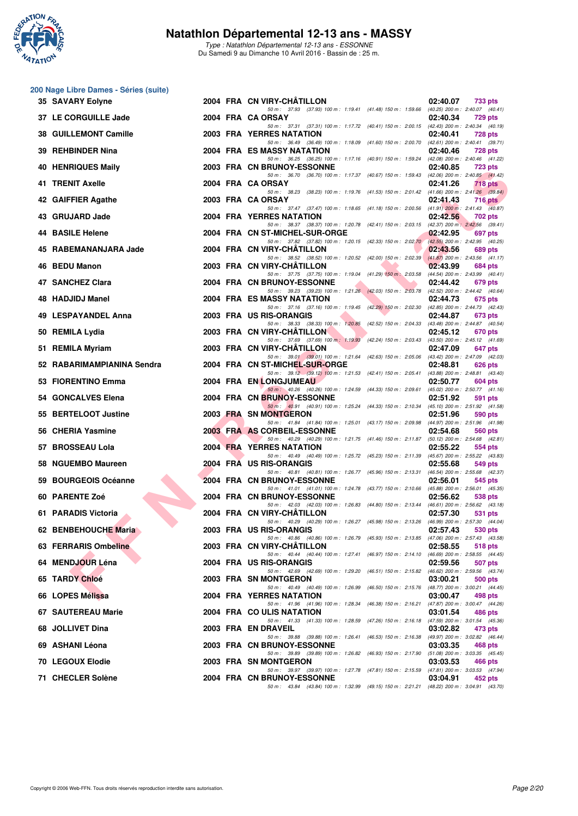

Type : Natathlon Départemental 12-13 ans - ESSONNE Du Samedi 9 au Dimanche 10 Avril 2016 - Bassin de : 25 m.

#### **200 Nage Libre Dames - Séries (suite)**

| <b>35 SAVARY Eolyne</b>                      |  | 2004 FRA CN VIRY-CHATILLON<br>02:40.07<br>733 pts                                                                                                           |
|----------------------------------------------|--|-------------------------------------------------------------------------------------------------------------------------------------------------------------|
| 37 LE CORGUILLE Jade                         |  | 50 m: 37.93 (37.93) 100 m: 1:19.41 (41.48) 150 m: 1:59.66 (40.25) 200 m: 2:40.07 (40.41)<br>2004 FRA CA ORSAY<br>02:40.34<br>729 pts                        |
| 38 GUILLEMONT Camille                        |  | 50 m: 37.31 (37.31) 100 m: 1:17.72 (40.41) 150 m: 2:00.15 (42.43) 200 m: 2:40.34 (40.19)<br>2003 FRA YERRES NATATION<br>02:40.41<br><b>728 pts</b>          |
| 39 REHBINDER Nina                            |  | 50 m: 36.49 (36.49) 100 m: 1:18.09 (41.60) 150 m: 2:00.70 (42.61) 200 m: 2:40.41 (39.71)<br>2004 FRA ES MASSY NATATION<br>02:40.46<br><b>728 pts</b>        |
| 40 HENRIQUES Maily                           |  | 50 m: 36.25 (36.25) 100 m: 1:17.16 (40.91) 150 m: 1:59.24 (42.08) 200 m: 2:40.46 (41.22)<br>2003 FRA CN BRUNOY-ESSONNE<br>02:40.85<br><b>723 pts</b>        |
| 41 TRENIT Axelle                             |  | 50 m: 36.70 (36.70) 100 m: 1:17.37 (40.67) 150 m: 1:59.43 (42.06) 200 m: 2:40.85 (41.42)<br>2004 FRA CA ORSAY<br>02:41.26<br>718 pts                        |
| 42 GAIFFIER Agathe                           |  | 50 m: 38.23 (38.23) 100 m: 1:19.76 (41.53) 150 m: 2:01.42 (41.66) 200 m: 2:41.26 (39.84)<br>2003 FRA CA ORSAY<br>02:41.43<br>$716$ pts                      |
| 43 GRUJARD Jade                              |  | 50 m: 37.47 (37.47) 100 m: 1:18.65 (41.18) 150 m: 2:00.56 (41.91) 200 m: 2:41.43 (40.87)<br>2004 FRA YERRES NATATION<br>02:42.56<br>702 pts                 |
| 44 BASILE Helene                             |  | 50 m: 38.37 (38.37) 100 m: 1:20.78 (42.41) 150 m: 2:03.15 (42.37) 200 m: 2:42.56 (39.41)<br>2004 FRA CN ST-MICHEL-SUR-ORGE<br>02:42.95<br>697 pts           |
| 45 RABEMANANJARA Jade                        |  | 50 m: 37.82 (37.82) 100 m: 1:20.15 (42.33) 150 m: 2:02.70 (42.55) 200 m: 2:42.95 (40.25)<br>2004 FRA CN VIRY-CHATILLON<br>02:43.56<br>689 pts               |
| 46 BEDU Manon                                |  | 50 m: 38.52 (38.52) 100 m: 1:20.52 (42.00) 150 m: 2:02.39 (41.87) 200 m: 2:43.56 (41.17)<br>2003 FRA CN VIRY-CHATILLON<br>02:43.99<br>684 pts               |
| 47 SANCHEZ Clara                             |  | 50 m: 37.75 (37.75) 100 m: 1:19.04 (41.29) 150 m: 2:03.58 (44.54) 200 m: 2:43.99 (40.41)<br>2004 FRA CN BRUNOY-ESSONNE<br>02:44.42<br>679 pts               |
| 48 HADJIDJ Manel                             |  | 50 m: 39.23 (39.23) 100 m: 1:21.26 (42.03) 150 m: 2:03.78 (42.52) 200 m: 2:44.42 (40.64)<br>2004 FRA ES MASSY NATATION<br>02:44.73<br>675 pts               |
| 49 LESPAYANDEL Anna                          |  | 50 m: 37.16 (37.16) 100 m: 1:19.45 (42.29) 150 m: 2:02.30 (42.85) 200 m: 2:44.73 (42.43)<br>2003 FRA US RIS-ORANGIS<br>02:44.87<br>673 pts                  |
| 50 REMILA Lydia                              |  | 50 m: 38.33 (38.33) 100 m: 1:20.85 (42.52) 150 m: 2:04.33 (43.48) 200 m: 2:44.87 (40.54)<br>2003 FRA CN VIRY-CHATILLON<br>02:45.12<br>670 pts               |
| 51 REMILA Myriam                             |  | 50 m: 37.69 (37.69) 100 m: 1:19.93 (42.24) 150 m: 2:03.43 (43.50) 200 m: 2:45.12 (41.69)<br>2003 FRA CN VIRY-CHATILLON<br>02:47.09<br>647 pts               |
| 52 RABARIMAMPIANINA Sendra                   |  | 50 m: 39.01 (39.01) 100 m: 1:21.64 (42.63) 150 m: 2:05.06 (43.42) 200 m: 2:47.09 (42.03)<br>2004 FRA CN ST-MICHEL-SUR-ORGE<br>02:48.81<br><b>626 pts</b>    |
| 53 FIORENTINO Emma                           |  | 50 m: 39.12 (39.12) 100 m: 1:21.53 (42.41) 150 m: 2:05.41 (43.88) 200 m: 2:48.81 (43.40)<br>2004 FRA EN LONGJUMEAU<br>02:50.77<br>604 pts                   |
| 54 GONCALVES Elena                           |  | 50 m : 40.26 (40.26) 100 m : 1:24.59 (44.33) 150 m : 2:09.61 (45.02) 200 m : 2:50.77 (41.16)<br>2004 FRA CN BRUNOY-ESSONNE<br>02:51.92<br>591 pts           |
| 55 BERTELOOT Justine                         |  | 50 m: 40.91 (40.91) 100 m: 1:25.24 (44.33) 150 m: 2:10.34 (45.10) 200 m: 2:51.92 (41.58)<br>2003 FRA SN MONTGERON<br>02:51.96<br>590 pts                    |
| 56 CHERIA Yasmine                            |  | 50 m: 41.84 (41.84) 100 m: 1:25.01 (43.17) 150 m: 2:09.98 (44.97) 200 m: 2:51.96 (41.98)<br>2003 FRA AS CORBEIL-ESSONNE<br>02:54.68<br>560 pts              |
| 57 BROSSEAU Lola                             |  | 50 m: 40.29 (40.29) 100 m: 1:21.75 (41.46) 150 m: 2:11.87 (50.12) 200 m: 2:54.68 (42.81)<br><b>2004 FRA YERRES NATATION</b><br>02:55.22<br>554 pts          |
| 58 NGUEMBO Maureen                           |  | 50 m: 40.49 (40.49) 100 m: 1:25.72 (45.23) 150 m: 2:11.39 (45.67) 200 m: 2:55.22 (43.83)<br>2004 FRA US RIS-ORANGIS<br>02:55.68<br>549 pts                  |
| 59 BOURGEOIS Océanne                         |  | 50 m: 40.81 (40.81) 100 m: 1:26.77 (45.96) 150 m: 2:13.31 (46.54) 200 m: 2:55.68 (42.37)<br>2004 FRA CN BRUNOY-ESSONNE<br>02:56.01<br>545 pts               |
| 60 PARENTE Zoé                               |  | 50 m: 41.01 (41.01) 100 m: 1:24.78 (43.77) 150 m: 2:10.66 (45.88) 200 m: 2:56.01 (45.35)<br>2004 FRA CN BRUNOY-ESSONNE<br>02:56.62<br>538 pts               |
| 61 PARADIS Victoria                          |  | 50 m: 42.03 (42.03) 100 m: 1:26.83 (44.80) 150 m: 2:13.44 (46.61) 200 m: 2:56.62 (43.18)<br>2004 FRA CN VIRY-CHATILLON<br>02:57.30<br>531 pts               |
|                                              |  | 50 m: 40.29 (40.29) 100 m: 1:26.27 (45.98) 150 m: 2:13.26 (46.99) 200 m: 2:57.30 (44.04)<br>2003 FRA US RIS-ORANGIS                                         |
| 62 BENBEHOUCHE Maria<br>63 FERRARIS Ombeline |  | 02:57.43<br>530 pts<br>50 m: 40.86 (40.86) 100 m: 1:26.79<br>(45.93) 150 m : 2:13.85 (47.06) 200 m : 2:57.43 (43.58)                                        |
|                                              |  | 2003 FRA CN VIRY-CHATILLON<br>02:58.55<br>518 pts<br>50 m: 40.44 (40.44) 100 m: 1:27.41<br>$(46.69)$ 200 m : 2:58.55 $(44.45)$<br>$(46.97)$ 150 m : 2:14.10 |
| 64 MENDJOUR Léna                             |  | 2004 FRA US RIS-ORANGIS<br>02:59.56<br>507 pts<br>50 m: 42.69 (42.69) 100 m: 1:29.20<br>$(46.51)$ 150 m : 2:15.82<br>$(46.62)$ 200 m : 2:59.56 $(43.74)$    |
| 65 TARDY Chloé                               |  | 2003 FRA SN MONTGERON<br>03:00.21<br>500 pts<br>50 m: 40.49 (40.49) 100 m: 1:26.99<br>(48.77) 200 m : 3:00.21 (44.45)<br>$(46.50)$ 150 m : 2:15.76          |
| 66 LOPES Mélissa                             |  | 2004 FRA YERRES NATATION<br>03:00.47<br>498 pts<br>(47.87) 200 m : 3:00.47 (44.26)<br>50 m: 41.96 (41.96) 100 m: 1:28.34<br>$(46.38)$ 150 m : 2:16.21       |
| 67 SAUTEREAU Marie                           |  | 2004 FRA COULIS NATATION<br>03:01.54<br>486 pts<br>50 m : 41.33 (41.33) 100 m : 1:28.59<br>$(47.26)$ 150 m : 2:16.18<br>$(47.59)$ 200 m : 3:01.54 $(45.36)$ |
| 68 JOLLIVET Dina                             |  | 2003 FRA EN DRAVEIL<br>03:02.82<br>473 pts<br>50 m: 39.88 (39.88) 100 m: 1:26.41<br>(49.97) 200 m : 3:02.82 (46.44)<br>$(46.53)$ 150 m : 2:16.38            |
| 69 ASHANI Léona                              |  | 2003 FRA CN BRUNOY-ESSONNE<br>03:03.35<br>468 pts<br>50 m: 39.89 (39.89) 100 m: 1:26.82<br>$(46.93)$ 150 m : 2:17.90<br>$(51.08)$ 200 m : 3:03.35 $(45.45)$ |
| 70 LEGOUX Elodie                             |  | 2003 FRA SN MONTGERON<br>03:03.53<br>466 pts<br>50 m : 39.97 (39.97) 100 m : 1:27.78<br>(47.81) 150 m : 2:15.59<br>$(47.81)$ 200 m : 3:03.53 $(47.94)$      |
| 71 CHECLER Solène                            |  | 2004 FRA CN BRUNOY-ESSONNE<br>03:04.91<br>452 pts<br>50 m: 43.84 (43.84) 100 m: 1:32.99 (49.15) 150 m: 2:21.21 (48.22) 200 m: 3:04.91 (43.70)               |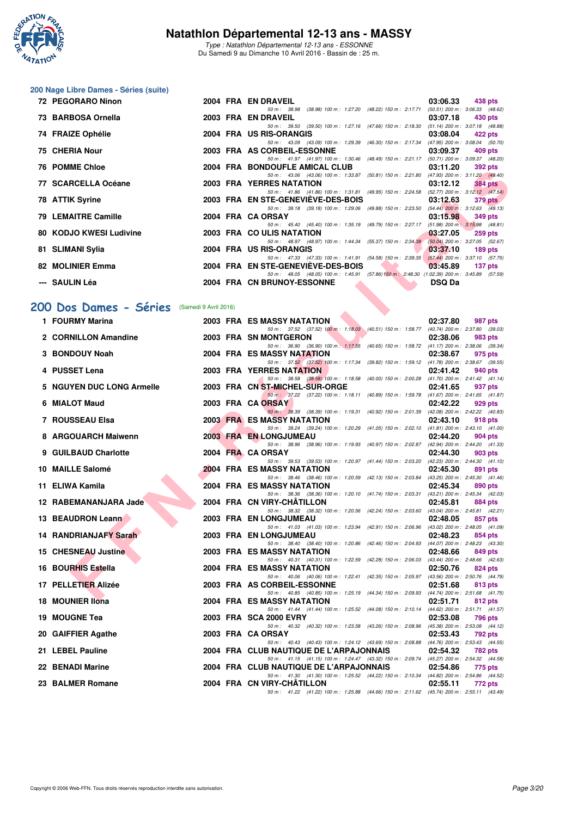

Type : Natathlon Départemental 12-13 ans - ESSONNE Du Samedi 9 au Dimanche 10 Avril 2016 - Bassin de : 25 m.

# **200 Nage Libre Dames - Séries (suite)**

| 72 PEGORARO Ninon       |  | 2004 FRA EN DRAVEIL                                                                        | 03:06.33      | 438 pts        |
|-------------------------|--|--------------------------------------------------------------------------------------------|---------------|----------------|
|                         |  | 50 m: 38.98 (38.98) 100 m: 1:27.20 (48.22) 150 m: 2:17.71 (50.51) 200 m: 3:06.33 (48.62)   |               |                |
| 73 BARBOSA Ornella      |  | 2003 FRA EN DRAVEIL                                                                        | 03:07.18      | 430 pts        |
|                         |  | 50 m: 39.50 (39.50) 100 m: 1:27.16 (47.66) 150 m: 2:18.30 (51.14) 200 m: 3:07.18 (48.88)   |               |                |
| 74 FRAIZE Ophélie       |  | 2004 FRA US RIS-ORANGIS                                                                    | 03:08.04      | 422 pts        |
|                         |  | 50 m: 43.09 (43.09) 100 m: 1:29.39 (46.30) 150 m: 2:17.34 (47.95) 200 m: 3:08.04 (50.70)   |               |                |
| 75 CHERIA Nour          |  | 2003 FRA AS CORBEIL-ESSONNE                                                                | 03:09.37      | 409 pts        |
|                         |  | 50 m: 41.97 (41.97) 100 m: 1:30.46 (48.49) 150 m: 2:21.17 (50.71) 200 m: 3:09.37 (48.20)   |               |                |
| <b>76 POMME Chloe</b>   |  | 2004 FRA BONDOUFLE AMICAL CLUB 03:11.20                                                    |               | 392 pts        |
|                         |  | 50 m: 43.06 (43.06) 100 m: 1:33.87 (50.81) 150 m: 2:21.80 (47.93) 200 m: 3:11.20 (49.40)   |               |                |
| 77 SCARCELLA Océane     |  | 2003 FRA YERRES NATATION                                                                   | 03:12.12      | <b>384 pts</b> |
|                         |  | 50 m: 41.86 (41.86) 100 m: 1:31.81 (49.95) 150 m: 2:24.58 (52.77) 200 m: 3:12.12 (47.54)   |               |                |
| 78 ATTIK Syrine         |  | 2003 FRA EN STE-GENEVIEVE-DES-BOIS 63:12.63                                                |               | 379 pts        |
|                         |  | 50 m: 39.18 (39.18) 100 m: 1:29.06 (49.88) 150 m: 2:23.50 (54.44) 200 m: 3:12.63 (49.13)   |               |                |
| 79 LEMAITRE Camille     |  | 2004 FRA CA ORSAY                                                                          | 03:15.98      | 349 pts        |
|                         |  | 50 m: 45.40 (45.40) 100 m: 1:35.19 (49.79) 150 m: 2:27.17 (51.98) 200 m: 3:15.98 (48.81)   |               |                |
| 80 KODJO KWESI Ludivine |  | 2003 FRA COULIS NATATION                                                                   | $-03:27.05$   | <b>259 pts</b> |
|                         |  | 50 m: 48.97 (48.97) 100 m: 1:44.34 (55.37) 150 m: 2:34.38 (50.04) 200 m: 3:27.05 (52.67)   |               |                |
| 81 SLIMANI Sylia        |  | 2004 FRA US RIS-ORANGIS                                                                    | 03:37.10      | 189 pts        |
|                         |  | 50 m: 47.33 (47.33) 100 m: 1:41.91 (54.58) 150 m: 2:39.35 (57.44) 200 m: 3:37.10 (57.75)   |               |                |
| 82 MOLINIER Emma        |  | 2004 FRA EN STE-GENEVIEVE-DES-BOIS 03:45.89                                                |               | 137 pts        |
|                         |  | 50 m: 48.05 (48.05) 100 m: 1:45.91 (57.86) 150 m: 2:48.30 (1:02.39) 200 m: 3:45.89 (57.59) |               |                |
| --- SAULIN Léa          |  | 2004 FRA CN BRUNOY-ESSONNE                                                                 | <b>DSQ Da</b> |                |

#### **[200 Dos Dames - Séries](http://www.ffnatation.fr/webffn/resultats.php?idact=nat&go=epr&idcpt=38883&idepr=13)** (Samedi 9 Avril 2016)

| <b>IV FUNINE UIIVE</b>                      |  | <b>FRA BUNDOUFLE AMIGAL CLUD</b><br><b>UJ.II.</b> ZU<br><i>งง</i> ∠ µเจ                                                                                    |
|---------------------------------------------|--|------------------------------------------------------------------------------------------------------------------------------------------------------------|
| 77 SCARCELLA Océane                         |  | 50 m: 43.06 (43.06) 100 m: 1:33.87 (50.81) 150 m: 2:21.80 (47.93) 200 m: 3:11.20 (49.40)<br>2003 FRA YERRES NATATION<br>03:12.12<br><b>384 pts</b>         |
| 78 ATTIK Syrine                             |  | 50 m: 41.86 (41.86) 100 m: 1:31.81 (49.95) 150 m: 2:24.58 (52.77) 200 m: 3:12.12 (47.54)<br>2003 FRA EN STE-GENEVIEVE-DES-BOIS<br>03:12.63<br>$379$ pts    |
| 79 LEMAITRE Camille                         |  | 50 m: 39.18 (39.18) 100 m: 1:29.06 (49.88) 150 m: 2:23.50 (54.44) 200 m: 3:12.63 (49.13)<br>2004 FRA CA ORSAY<br>03:15.98<br><b>349 pts</b>                |
|                                             |  | 50 m: 45.40 (45.40) 100 m: 1:35.19 (49.79) 150 m: 2:27.17 (51.98) 200 m: 3:15.98 (48.81)                                                                   |
| 80 KODJO KWESI Ludivine                     |  | 2003 FRA COULIS NATATION<br>03:27.05<br>$259$ pts<br>50 m: 48.97 (48.97) 100 m: 1:44.34 (55.37) 150 m: 2:34.38 (50.04) 200 m: 3:27.05 (52.67)              |
| 81   SLIMANI Sylia                          |  | 2004 FRA US RIS-ORANGIS<br>03:37.10<br>$189$ pts<br>50 m: 47.33 (47.33) 100 m: 1:41.91 (54.58) 150 m: 2:39.35 (57.44) 200 m: 3:37.10 (57.75)               |
| 82 MOLINIER Emma                            |  | 2004 FRA EN STE-GENEVIEVE-DES-BOIS<br>03:45.89<br>137 pts                                                                                                  |
| ---   SAULIN Léa                            |  | 50 m: 48.05 (48.05) 100 m: 1:45.91 (57.86) 150 m: 2:48.30 (1:02.39) 200 m: 3:45.89 (57.59)<br>2004 FRA CN BRUNOY-ESSONNE<br><b>DSQ Da</b>                  |
|                                             |  |                                                                                                                                                            |
| 00 Dos Dames - Séries (Samedi 9 Avril 2016) |  |                                                                                                                                                            |
| 1 FOURMY Marina                             |  | 2003 FRA ES MASSY NATATION<br>02:37.80<br>987 pts                                                                                                          |
| 2 CORNILLON Amandine                        |  | 50 m: 37.52 (37.52) 100 m: 1:18.03 (40.51) 150 m: 1:58.77 (40.74) 200 m: 2:37.80 (39.03)<br>2003 FRA SN MONTGERON<br>02:38.06<br>983 pts                   |
| 3 BONDOUY Noah                              |  | 50 m: 36.90 (36.90) 100 m: 1:17.55 (40.65) 150 m: 1:58.72 (41.17) 200 m: 2:38.06 (39.34)<br>2004 FRA ES MASSY NATATION<br>02:38.67<br>975 pts              |
|                                             |  | 50 m: 37.52 (37.52) 100 m: 1:17.34 (39.82) 150 m: 1:59.12 (41.78) 200 m: 2:38.67 (39.55)                                                                   |
| 4 PUSSET Lena                               |  | <b>2003 FRA YERRES NATATION</b><br>02:41.42<br>940 pts<br>50 m: 38.58 (38.58) 100 m: 1:18.58 (40.00) 150 m: 2:00.28 (41.70) 200 m: 2:41.42 (41.14)         |
| 5 NGUYEN DUC LONG Armelle                   |  | 2003 FRA CN ST-MICHEL-SUR-ORGE<br>02:41.65<br>937 pts                                                                                                      |
| 6 MIALOT Maud                               |  | 50 m: 37.22 (37.22) 100 m: 1:18.11 (40.89) 150 m: 1:59.78 (41.67) 200 m: 2:41.65 (41.87)<br>2003 FRA CA ORSAY<br>02:42.22<br>929 pts                       |
|                                             |  | 50 m: 38.39 (38.39) 100 m: 1:19.31 (40.92) 150 m: 2:01.39 (42.08) 200 m: 2:42.22 (40.83)                                                                   |
| 7 ROUSSEAU Elsa                             |  | <b>2003 FRA ES MASSY NATATION</b><br>02:43.10<br>918 pts<br>50 m: 39.24 (39.24) 100 m: 1:20.29 (41.05) 150 m: 2:02.10 (41.81) 200 m: 2:43.10 (41.00)       |
| 8 ARGOUARCH Maiwenn                         |  | 2003 FRA EN LONGJUMEAU<br>02:44.20<br>904 pts<br>50 m: 38.96 (38.96) 100 m: 1:19.93 (40.97) 150 m: 2:02.87 (42.94) 200 m: 2:44.20 (41.33)                  |
| 9 GUILBAUD Charlotte                        |  | 2004 FRA CA ORSAY<br>02:44.30<br>903 pts                                                                                                                   |
| 10 MAILLE Salomé                            |  | 50 m: 39.53 (39.53) 100 m: 1:20.97 (41.44) 150 m: 2:03.20 (42.23) 200 m: 2:44.30 (41.10)<br><b>2004 FRA ES MASSY NATATION</b><br>02:45.30<br>891 pts       |
|                                             |  | 50 m: 38.46 (38.46) 100 m: 1:20.59 (42.13) 150 m: 2:03.84 (43.25) 200 m: 2:45.30 (41.46)                                                                   |
| 11 ELIWA Kamila                             |  | 2004 FRA ES MASSY NATATION<br>02:45.34<br>890 pts<br>50 m: 38.36 (38.36) 100 m: 1:20.10 (41.74) 150 m: 2:03.31 (43.21) 200 m: 2:45.34 (42.03)              |
| 12 RABEMANANJARA Jade                       |  | 2004 FRA CN VIRY-CHATILLON<br>02:45.81<br>884 pts<br>50 m: 38.32 (38.32) 100 m: 1:20.56 (42.24) 150 m: 2:03.60 (43.04) 200 m: 2:45.81 (42.21)              |
| 13 BEAUDRON Leann                           |  | 2003 FRA EN LONGJUMEAU<br>02:48.05<br>857 pts                                                                                                              |
| 14 RANDRIANJAFY Sarah                       |  | 50 m: 41.03 (41.03) 100 m: 1:23.94 (42.91) 150 m: 2:06.96 (43.02) 200 m: 2:48.05 (41.09)<br>2003 FRA EN LONGJUMEAU<br>02:48.23<br>854 pts                  |
|                                             |  | 50 m: 38.40 (38.40) 100 m: 1:20.86 (42.46) 150 m: 2:04.93 (44.07) 200 m: 2:48.23 (43.30)<br>02:48.66                                                       |
| 15 CHESNEAU Justine                         |  | 2003 FRA ES MASSY NATATION<br>849 pts<br>50 m: 40.31 (40.31) 100 m: 1:22.59 (42.28) 150 m: 2:06.03 (43.44) 200 m: 2:48.66 (42.63)                          |
| 16 BOURHIS Estella                          |  | 2004 FRA ES MASSY NATATION<br>02:50.76<br>824 pts<br>50 m: 40.06 (40.06) 100 m: 1:22.41 (42.35) 150 m: 2:05.97 (43.56) 200 m: 2:50.76 (44.79)              |
| 17 PELLETIER Alizée                         |  | 2003 FRA AS CORBEIL-ESSONNE<br>02:51.68<br>813 pts                                                                                                         |
| 18 MOUNIER IIona                            |  | 50 m: 40.85 (40.85) 100 m: 1:25.19 (44.34) 150 m: 2:09.93 (44.74) 200 m: 2:51.68 (41.75)<br>2004 FRA ES MASSY NATATION<br>02:51.71<br>812 pts              |
| 19 MOUGNE Tea                               |  | 50 m: 41.44 (41.44) 100 m: 1:25.52 (44.08) 150 m: 2:10.14 (44.62) 200 m: 2:51.71 (41.57)<br>2003 FRA SCA 2000 EVRY<br>02:53.08<br>796 pts                  |
|                                             |  | 50 m: 40.32 (40.32) 100 m: 1:23.58 (43.26) 150 m: 2:08.96 (45.38) 200 m: 2:53.08 (44.12)                                                                   |
| 20 GAIFFIER Agathe                          |  | 2003 FRA CA ORSAY<br>02:53.43<br>792 pts<br>50 m: 40.43 (40.43) 100 m: 1:24.12 (43.69) 150 m: 2:08.88 (44.76) 200 m: 2:53.43 (44.55)                       |
| 21 LEBEL Pauline                            |  | 2004 FRA CLUB NAUTIQUE DE L'ARPAJONNAIS<br>02:54.32<br>782 pts                                                                                             |
| 22 BENADI Marine                            |  | 50 m: 41.15 (41.15) 100 m: 1:24.47 (43.32) 150 m: 2:09.74 (45.27) 200 m: 2:54.32 (44.58)<br>2004 FRA CLUB NAUTIQUE DE L'ARPAJONNAIS<br>02:54.86<br>775 pts |
| 23 BALMER Romane                            |  | 50 m: 41.30 (41.30) 100 m: 1:25.52 (44.22) 150 m: 2:10.34 (44.82) 200 m: 2:54.86 (44.52)<br>2004 FRA CN VIRY-CHATILLON<br>02:55.11<br>772 pts              |
|                                             |  | 50 m: 41.22 (41.22) 100 m: 1:25.88 (44.66) 150 m: 2:11.62 (45.74) 200 m: 2:55.11 (43.49)                                                                   |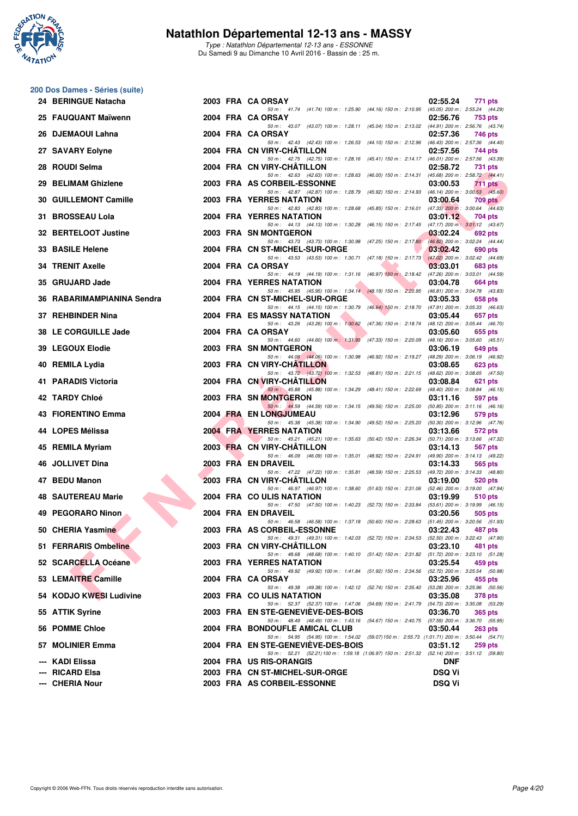

Type : Natathlon Départemental 12-13 ans - ESSONNE Du Samedi 9 au Dimanche 10 Avril 2016 - Bassin de : 25 m.

#### **200 Dos Dames - Séries (suite)**

| 24 BERINGUE Natacha                |  | 2003 FRA CA ORSAY<br>02:55.24<br>771 pts                                                                                                                |         |
|------------------------------------|--|---------------------------------------------------------------------------------------------------------------------------------------------------------|---------|
| 25 FAUQUANT Maïwenn                |  | 50 m: 41.74 (41.74) 100 m: 1:25.90 (44.16) 150 m: 2:10.95 (45.05) 200 m: 2:55.24 (44.29)<br>2004 FRA CA ORSAY<br>02:56.76<br>753 pts                    |         |
| 26 DJEMAOUI Lahna                  |  | 50 m: 43.07 (43.07) 100 m: 1:28.11 (45.04) 150 m: 2:13.02 (44.91) 200 m: 2:56.76 (43.74)<br>2004 FRA CA ORSAY<br>02:57.36<br>746 pts                    |         |
| 27 SAVARY Eolyne                   |  | 50 m: 42.43 (42.43) 100 m: 1:26.53 (44.10) 150 m: 2:12.96 (46.43) 200 m: 2:57.36 (44.40)<br>2004 FRA CN VIRY-CHATILLON<br>02:57.56<br>744 pts           |         |
| 28   ROUDI Selma                   |  | 50 m: 42.75 (42.75) 100 m: 1:28.16 (45.41) 150 m: 2:14.17 (46.01) 200 m: 2:57.56 (43.39)<br>2004 FRA CN VIRY-CHATILLON<br>02:58.72<br><b>731 pts</b>    |         |
| 29 BELIMAM Ghizlene                |  | 50 m: 42.63 (42.63) 100 m: 1:28.63 (46.00) 150 m: 2:14.31 (45.68) 200 m: 2:58.72 (44.41)<br>2003 FRA AS CORBEIL-ESSONNE<br>03:00.53<br><b>711 pts</b>   |         |
| 30 GUILLEMONT Camille              |  | 50 m: 42.87 (42.87) 100 m: 1:28.79 (45.92) 150 m: 2:14.93 (46.14) 200 m: 3:00.53 (45.60)<br>2003 FRA YERRES NATATION<br>03:00.64                        | 709 pts |
| 31 BROSSEAU Lola                   |  | 50 m: 42.83 (42.83) 100 m: 1:28.68 (45.85) 150 m: 2:16.01 (47.33) 200 m: 3:00.64 (44.63)<br>2004 FRA YERRES NATATION<br>03:01.12<br>704 pts             |         |
| 32 BERTELOOT Justine               |  | 50 m: 44.13 (44.13) 100 m: 1:30.28 (46.15) 150 m: 2:17.45 (47.17) 200 m: 3:01.12 (43.67)<br>2003 FRA SN MONTGERON<br>03:02.24<br>692 pts                |         |
| <b>33 BASILE Helene</b>            |  | 50 m: 43.73 (43.73) 100 m: 1:30.98 (47.25) 150 m: 2:17.80 (46.82) 200 m: 3:02.24 (44.44)<br>2004 FRA CN ST-MICHEL-SUR-ORGE<br>03:02.42<br>690 pts       |         |
| 34 TRENIT Axelle                   |  | 50 m: 43.53 (43.53) 100 m: 1:30.71 (47.18) 150 m: 2:17.73 (47.02) 200 m: 3:02.42 (44.69)<br>2004 FRA CA ORSAY<br>03:03.01<br>683 pts                    |         |
| 35   GRUJARD Jade                  |  | 50 m: 44.19 (44.19) 100 m: 1:31.16 (46.97) 150 m: 2:18.42 (47.26) 200 m: 3:03.01 (44.59)<br>2004 FRA YERRES NATATION<br>03:04.78<br>664 pts             |         |
| 36 RABARIMAMPIANINA Sendra         |  | 50 m: 45.95 (45.95) 100 m: 1:34.14 (48.19) 150 m: 2:20.95 (46.81) 200 m: 3:04.78 (43.83)<br>2004 FRA CN ST-MICHEL-SUR-ORGE<br>03:05.33<br>658 pts       |         |
| 37   REHBINDER Nina                |  | 50 m: 44.15 (44.15) 100 m: 1:30.79 (46.64) 150 m: 2:18.70 (47.91) 200 m: 3:05.33 (46.63)<br>2004 FRA ES MASSY NATATION<br>03:05.44<br>657 pts           |         |
| 38 LE CORGUILLE Jade               |  | 50 m: 43.26 (43.26) 100 m: 1:30.62 (47.36) 150 m: 2:18.74 (48.12) 200 m: 3:05.44 (46.70)<br>2004 FRA CA ORSAY<br>03:05.60<br>655 pts                    |         |
| 39   LEGOUX Elodie                 |  | 50 m: 44.60 (44.60) 100 m: 1.31.93 (47.33) 150 m: 2.20.09 (48.16) 200 m: 3.05.60 (45.51)<br>2003 FRA SN MONTGERON<br>03:06.19<br>649 pts                |         |
| 40 REMILA Lydia                    |  | 50 m: 44.06 (44.06) 100 m: 1:30.98 (46.92) 150 m: 2:19.27 (48.29) 200 m: 3:06.19 (46.92)<br>2003 FRA CN VIRY-CHATILLON<br>03:08.65<br><b>623 pts</b>    |         |
| 41 PARADIS Victoria                |  | 50 m: 43.72 (43.72) 100 m: 1:32.53 (48.81) 150 m: 2:21.15 (48.62) 200 m: 3:08.65 (47.50)<br>2004 FRA CN VIRY-CHATILLON<br>03:08.84<br>621 pts           |         |
| 42 TARDY Chloé                     |  | 50 m: 45.88 (45.88) 100 m: 1:34.29 (48.41) 150 m: 2:22.69 (48.40) 200 m: 3:08.84 (46.15)<br>2003 FRA SN MONTGERON<br>03:11.16<br>597 pts                |         |
| 43 FIORENTINO Emma                 |  | 50 m: 44.59 (44.59) 100 m: 1:34.15 (49.56) 150 m: 2:25.00 (50.85) 200 m: 3:11.16 (46.16)<br>2004 FRA EN LONGJUMEAU<br>03:12.96<br>579 pts               |         |
| 44 LOPES Mélissa                   |  | 50 m: 45.38 (45.38) 100 m: 1:34.90 (49.52) 150 m: 2:25.20 (50.30) 200 m: 3:12.96 (47.76)<br><b>2004 FRA YERRES NATATION</b><br>03:13.66<br>572 pts      |         |
| 45 REMILA Myriam                   |  | 50 m: 45.21 (45.21) 100 m: 1:35.63 (50.42) 150 m: 2:26.34 (50.71) 200 m: 3:13.66 (47.32)<br>2003 FRA CN VIRY-CHATILLON<br>03:14.13<br>567 pts           |         |
| 46 JOLLIVET Dina                   |  | 50 m: 46.09 (46.09) 100 m: 1:35.01 (48.92) 150 m: 2:24.91 (49.90) 200 m: 3:14.13 (49.22)<br>2003 FRA EN DRAVEIL<br>03:14.33<br>565 pts                  |         |
| 47 BEDU Manon                      |  | 50 m: 47.22 (47.22) 100 m: 1:35.81 (48.59) 150 m: 2:25.53 (49.72) 200 m: 3:14.33 (48.80)<br>2003 FRA CN VIRY-CHATILLON<br>03:19.00<br><b>520 pts</b>    |         |
| <b>48 SAUTEREAU Marie</b>          |  | 50 m: 46.97 (46.97) 100 m: 1:38.60 (51.63) 150 m: 2:31.06 (52.46) 200 m: 3:19.00 (47.94)<br>2004 FRA COULIS NATATION                                    |         |
|                                    |  | 03:19.99<br>510 pts<br>50 m: 47.50 (47.50) 100 m: 1:40.23 (52.73) 150 m: 2:33.84 (53.61) 200 m: 3:19.99 (46.15)                                         |         |
| 49 PEGORARO Ninon                  |  | 2004 FRA EN DRAVEIL<br>03:20.56<br>505 pts<br>50 m: 46.58 (46.58) 100 m: 1:37.18 (50.60) 150 m: 2:28.63 (51.45) 200 m: 3:20.56 (51.93)                  |         |
| 50 CHERIA Yasmine                  |  | 2003 FRA AS CORBEIL-ESSONNE<br>03:22.43<br>487 pts<br>50 m: 49.31 (49.31) 100 m: 1:42.03 (52.72) 150 m: 2:34.53 (52.50) 200 m: 3:22.43 (47.90)          |         |
| 51 FERRARIS Ombeline               |  | 2003 FRA CN VIRY-CHATILLON<br>03:23.10<br>481 pts<br>50 m: 48.68 (48.68) 100 m: 1:40.10 (51.42) 150 m: 2:31.82 (51.72) 200 m: 3:23.10 (51.28)           |         |
| 52 SCARCELLA Océane                |  | 2003 FRA YERRES NATATION<br>03:25.54<br>459 pts<br>50 m: 49.92 (49.92) 100 m: 1:41.84 (51.92) 150 m: 2:34.56 (52.72) 200 m: 3:25.54 (50.98)             |         |
| 53 LEMAITRE Camille                |  | 2004 FRA CA ORSAY<br>03:25.96<br>455 pts<br>50 m: 49.38 (49.38) 100 m: 1:42.12 (52.74) 150 m: 2:35.40 (53.28) 200 m: 3:25.96 (50.56)                    |         |
| 54 KODJO KWESI Ludivine            |  | 2003 FRA COULIS NATATION<br>03:35.08<br><b>378 pts</b><br>50 m: 52.37 (52.37) 100 m: 1:47.06 (54.69) 150 m: 2:41.79 (54.73) 200 m: 3:35.08 (53.29)      |         |
| 55 ATTIK Syrine                    |  | 2003 FRA EN STE-GENEVIEVE-DES-BOIS<br>03:36.70<br>365 pts<br>50 m: 48.49 (48.49) 100 m: 1:43.16 (54.67) 150 m: 2:40.75 (57.59) 200 m: 3:36.70 (55.95)   |         |
| 56 POMME Chloe                     |  | 2004 FRA BONDOUFLE AMICAL CLUB<br>03:50.44<br>263 pts<br>50 m: 54.95 (54.95) 100 m: 1:54.02 (59.07) 150 m: 2:55.73 (1:01.71) 200 m: 3:50.44 (54.71)     |         |
| 57 MOLINIER Emma                   |  | 2004 FRA EN STE-GENEVIEVE-DES-BOIS<br>03:51.12<br>259 pts<br>50 m: 52.21 (52.21) 100 m: 1:59.18 (1:06.97) 150 m: 2:51.32 (52.14) 200 m: 3:51.12 (59.80) |         |
| ---  KADI Elissa                   |  | 2004 FRA US RIS-ORANGIS<br><b>DNF</b>                                                                                                                   |         |
| --- RICARD Elsa<br>--- CHERIA Nour |  | 2003 FRA CN ST-MICHEL-SUR-ORGE<br><b>DSQ Vi</b><br>2003 FRA AS CORBEIL-ESSONNE<br><b>DSQ Vi</b>                                                         |         |
|                                    |  |                                                                                                                                                         |         |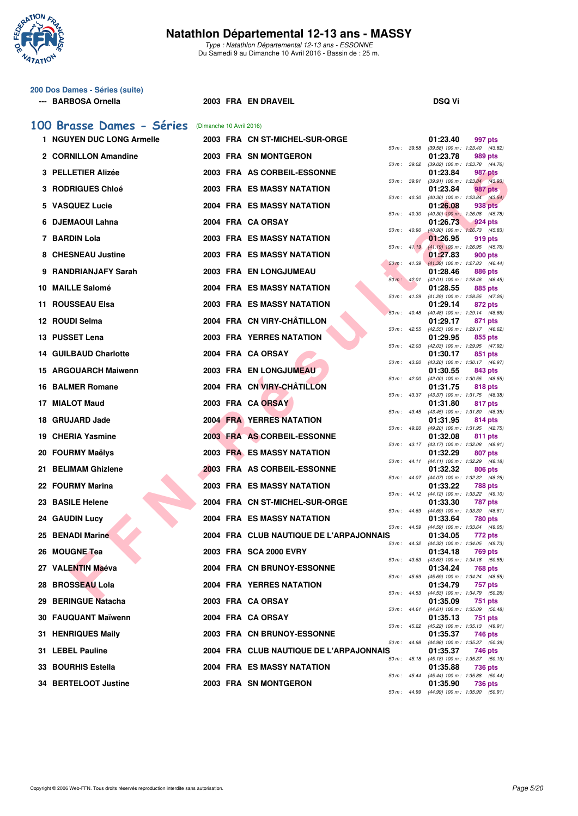

Type : Natathlon Départemental 12-13 ans - ESSONNE Du Samedi 9 au Dimanche 10 Avril 2016 - Bassin de : 25 m.

# **200 Dos Dames - Séries (suite)**

#### **--- BARBOSA Ornella 2003 FRA EN DRAVEIL DSQ Vi**

|     | 100 Brasse Dames - Séries (Dimanche 10 Avril 2016) |  |                                         |                  |              |                                                                          |
|-----|----------------------------------------------------|--|-----------------------------------------|------------------|--------------|--------------------------------------------------------------------------|
|     | 1 NGUYEN DUC LONG Armelle                          |  | 2003 FRA CN ST-MICHEL-SUR-ORGE          |                  |              | 01:23.40<br>997 pts                                                      |
|     | 2 CORNILLON Amandine                               |  | 2003 FRA SN MONTGERON                   | 50 m : 39.58     |              | (39.58) 100 m: 1:23.40 (43.82)<br>01:23.78<br>989 pts                    |
|     | 3 PELLETIER Alizée                                 |  | 2003 FRA AS CORBEIL-ESSONNE             | 50 m: 39.02      |              | (39.02) 100 m: 1:23.78 (44.76)<br>01:23.84<br><b>987 pts</b>             |
|     | <b>3 RODRIGUES Chloé</b>                           |  | <b>2003 FRA ES MASSY NATATION</b>       | 50 m: 39.91      |              | (39.91) 100 m: 1:23.84 (43.93)<br>01:23.84<br>987 pts                    |
|     | 5 VASQUEZ Lucie                                    |  | <b>2004 FRA ES MASSY NATATION</b>       | 50 m: 40.30      |              | $(40.30)$ 100 m : 1:23.84 $(43.54)$<br>01:26.08<br>938 pts               |
|     | 6 DJEMAOUI Lahna                                   |  | 2004 FRA CA ORSAY                       | 50 m : 40.30     |              | $(40.30)$ 100 m : 1:26.08 $(45.78)$                                      |
|     |                                                    |  |                                         | 50 m: 40.90      |              | 01:26.73<br>924 pts<br>$(40.90)$ 100 m : 1:26.73 $(45.83)$               |
|     | 7 BARDIN Lola                                      |  | 2003 FRA ES MASSY NATATION              | 50 m: 41.19      |              | 01:26.95<br>919 pts<br>$(41.19)$ 100 m : 1:26.95 $(45.76)$               |
|     | 8 CHESNEAU Justine                                 |  | 2003 FRA ES MASSY NATATION              | 50 m: 41.39      |              | 01:27.83<br>900 pts<br>$(41.39)$ 100 m : 1:27.83 $(46.44)$               |
| 9.  | RANDRIANJAFY Sarah                                 |  | 2003 FRA EN LONGJUMEAU                  | 50 m: 42.01      |              | 01:28.46<br>886 pts<br>(42.01) 100 m: 1:28.46 (46.45)                    |
| 10. | <b>MAILLE Salomé</b>                               |  | <b>2004 FRA ES MASSY NATATION</b>       | 50 m: 41.29      |              | 01:28.55<br>885 pts<br>(41.29) 100 m: 1:28.55 (47.26)                    |
| 11. | <b>ROUSSEAU Elsa</b>                               |  | <b>2003 FRA ES MASSY NATATION</b>       |                  |              | 01:29.14<br>872 pts                                                      |
|     | 12 ROUDI Selma                                     |  | 2004 FRA CN VIRY-CHÂTILLON              | 50 m: 40.48      |              | (40.48) 100 m: 1:29.14 (48.66)<br>01:29.17<br>871 pts                    |
|     | 13 PUSSET Lena                                     |  | <b>2003 FRA YERRES NATATION</b>         |                  | 50 m: 42.55  | (42.55) 100 m: 1:29.17 (46.62)<br>01:29.95<br>855 pts                    |
|     | <b>14 GUILBAUD Charlotte</b>                       |  | 2004 FRA CA ORSAY                       | 50 m: 42.03      |              | (42.03) 100 m: 1:29.95 (47.92)<br>01:30.17<br>851 pts                    |
|     | <b>15 ARGOUARCH Maiwenn</b>                        |  | 2003 FRA EN LONGJUMEAU                  | 50 m: 43.20      |              | (43.20) 100 m: 1:30.17 (46.97)<br>01:30.55<br>843 pts                    |
|     | <b>16 BALMER Romane</b>                            |  | 2004 FRA CN VIRY-CHÂTILLON              | $50 m$ : $42.00$ |              | (42.00) 100 m : 1:30.55 (48.55)                                          |
|     |                                                    |  |                                         |                  | 50 m : 43.37 | 01:31.75<br>818 pts<br>(43.37) 100 m: 1:31.75 (48.38)                    |
| 17  | <b>MIALOT Maud</b>                                 |  | 2003 FRA CA ORSAY                       |                  |              | 01:31.80<br>817 pts<br>50 m: 43.45 (43.45) 100 m: 1:31.80 (48.35)        |
| 18. | <b>GRUJARD Jade</b>                                |  | <b>2004 FRA YERRES NATATION</b>         |                  | 50 m : 49.20 | 01:31.95<br>814 pts<br>(49.20) 100 m: 1:31.95 (42.75)                    |
| 19  | <b>CHERIA Yasmine</b>                              |  | 2003 FRA AS CORBEIL-ESSONNE             |                  | 50 m : 43.17 | 01:32.08<br>811 pts<br>$(43.17)$ 100 m : 1:32.08 $(48.91)$               |
|     | 20 FOURMY Maëlys                                   |  | 2003 FRA ES MASSY NATATION              |                  | 50 m : 44.11 | 01:32.29<br>807 pts<br>(44.11) 100 m: 1:32.29 (48.18)                    |
|     | 21 BELIMAM Ghizlene                                |  | 2003 FRA AS CORBEIL-ESSONNE             |                  |              | 01:32.32<br>806 pts                                                      |
|     | 22 FOURMY Marina                                   |  | <b>2003 FRA ES MASSY NATATION</b>       |                  | 50 m : 44.07 | (44.07) 100 m: 1:32.32 (48.25)<br>01:33.22<br>788 pts                    |
| 23. | <b>BASILE Helene</b>                               |  | 2004 FRA CN ST-MICHEL-SUR-ORGE          |                  |              | 50 m: 44.12 (44.12) 100 m: 1:33.22 (49.10)<br>01:33.30<br><b>787 pts</b> |
| 24. | <b>GAUDIN Lucy</b>                                 |  | <b>2004 FRA ES MASSY NATATION</b>       | 50 m: 44.69      |              | $(44.69)$ 100 m : 1:33.30 $(48.61)$<br>01:33.64<br>780 pts               |
|     | 25 BENADI Marine                                   |  | 2004 FRA CLUB NAUTIQUE DE L'ARPAJONNAIS |                  | 50 m : 44.59 | $(44.59)$ 100 m : 1:33.64 $(49.05)$<br>01:34.05<br>772 pts               |
|     | 26 MOUGNE Tea                                      |  | 2003 FRA SCA 2000 EVRY                  |                  |              | 50 m: 44.32 (44.32) 100 m: 1:34.05 (49.73)<br>01:34.18                   |
|     |                                                    |  |                                         | 50 m: 43.63      |              | 769 pts<br>$(43.63)$ 100 m : 1:34.18 $(50.55)$                           |
|     | 27 VALENTIN Maéva                                  |  | 2004 FRA CN BRUNOY-ESSONNE              |                  | 50 m : 45.69 | 01:34.24<br>768 pts<br>(45.69) 100 m: 1:34.24 (48.55)                    |
|     | 28 BROSSEAU Lola                                   |  | 2004 FRA YERRES NATATION                |                  | 50 m : 44.53 | 01:34.79<br>757 pts<br>(44.53) 100 m: 1:34.79 (50.26)                    |
|     | 29 BERINGUE Natacha                                |  | 2003 FRA CA ORSAY                       |                  | 50 m : 44.61 | 01:35.09<br>751 pts<br>$(44.61)$ 100 m : 1:35.09 (50.48)                 |
|     | 30 FAUQUANT Maïwenn                                |  | 2004 FRA CA ORSAY                       |                  |              | 01:35.13<br>751 pts<br>50 m: 45.22 (45.22) 100 m: 1:35.13 (49.91)        |
|     | 31 HENRIQUES Maily                                 |  | 2003 FRA CN BRUNOY-ESSONNE              |                  |              | 01:35.37<br>746 pts                                                      |
|     | 31 LEBEL Pauline                                   |  | 2004 FRA CLUB NAUTIQUE DE L'ARPAJONNAIS |                  |              | 50 m : 44.98 (44.98) 100 m : 1:35.37 (50.39)<br>01:35.37<br>746 pts      |
|     | 33 BOURHIS Estella                                 |  | 2004 FRA ES MASSY NATATION              |                  | 50 m : 45.18 | (45.18) 100 m: 1:35.37 (50.19)<br>01:35.88<br><b>736 pts</b>             |
|     | 34 BERTELOOT Justine                               |  | 2003 FRA SN MONTGERON                   |                  | 50 m : 45.44 | (45.44) 100 m: 1:35.88 (50.44)<br>01:35.90<br>736 pts                    |

50 m : 44.99 (44.99) 100 m : 1:35.90 (50.91)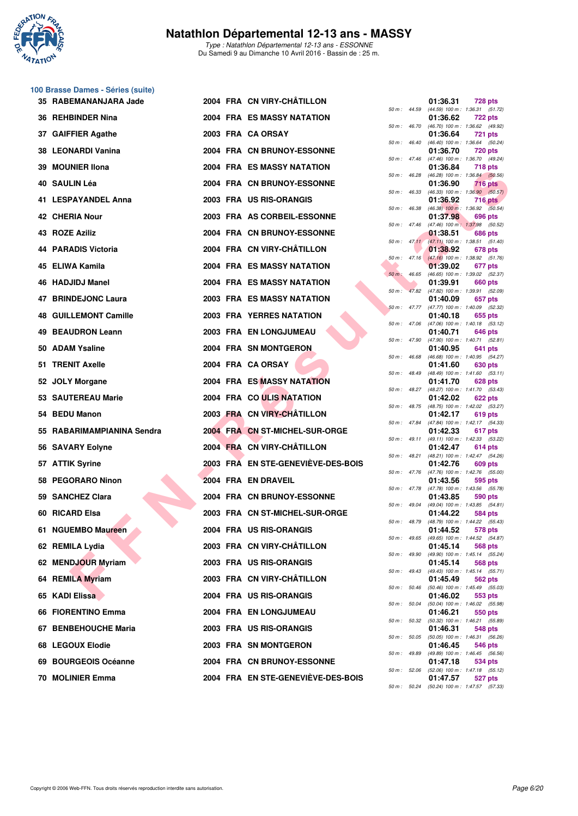

Type : Natathlon Départemental 12-13 ans - ESSONNE Du Samedi 9 au Dimanche 10 Avril 2016 - Bassin de : 25 m.

# **100 Brasse Dames - Séries (suite)**

| 35 RABEMANANJARA Jade        |  | 2004 FRA CN VIRY-CHÂTILLON         |                |                  | 01:36.31 | 728 pts                                                      |
|------------------------------|--|------------------------------------|----------------|------------------|----------|--------------------------------------------------------------|
| 36 REHBINDER Nina            |  | 2004 FRA ES MASSY NATATION         |                | 50 m : 44.59     | 01:36.62 | $(44.59)$ 100 m : 1:36.31 $(51.72)$<br>722 pts               |
| 37 GAIFFIER Agathe           |  | 2003 FRA CA ORSAY                  |                | 50 m : 46.70     | 01:36.64 | (46.70) 100 m: 1:36.62 (49.92)<br><b>721 pts</b>             |
| 38 LEONARDI Vanina           |  | 2004 FRA CN BRUNOY-ESSONNE         |                | 50 m: 46.40      | 01:36.70 | (46.40) 100 m: 1:36.64 (50.24)<br><b>720 pts</b>             |
| 39 MOUNIER IIona             |  | 2004 FRA ES MASSY NATATION         |                | 50 m: 47.46      | 01:36.84 | (47.46) 100 m : 1:36.70 (49.24)<br>718 pts                   |
| 40 SAULIN Léa                |  | 2004 FRA CN BRUNOY-ESSONNE         |                | 50 m: 46.28      | 01:36.90 | (46.28) 100 m : 1:36.84 (50.56)<br>716 pts                   |
| 41 LESPAYANDEL Anna          |  | 2003 FRA US RIS-ORANGIS            |                | 50 m: 46.33      | 01:36.92 | $(46.33)$ 100 m : 1:36.90 $(50.57)$                          |
|                              |  |                                    |                | 50 m : 46.38     |          | <b>716 pts</b><br>$(46.38)$ 100 m : 1:36.92 $(50.54)$        |
| <b>42 CHERIA Nour</b>        |  | 2003 FRA AS CORBEIL-ESSONNE        |                | 50 m: 47.46      | 01:37.98 | 696 pts<br>(47.46) 100 m: 1:37.98 (50.52)                    |
| 43 ROZE Aziliz               |  | 2004 FRA CN BRUNOY-ESSONNE         |                |                  | 01:38.51 | 686 pts<br>50 m: 47.11 (47.11) 100 m: 1:38.51 (51.40)        |
| 44 PARADIS Victoria          |  | 2004 FRA CN VIRY-CHÂTILLON         |                | $50 m$ : $47.16$ | 01:38.92 | 678 pts<br>$(47.16)$ 100 m : 1:38.92 $(51.76)$               |
| 45 ELIWA Kamila              |  | 2004 FRA ES MASSY NATATION         | $50 m$ : 46.65 |                  | 01:39.02 | 677 pts<br>(46.65) 100 m: 1:39.02 (52.37)                    |
| 46 HADJIDJ Manel             |  | 2004 FRA ES MASSY NATATION         | $50 m$ :       |                  | 01:39.91 | 660 pts<br>47.82 (47.82) 100 m : 1:39.91 (52.09)             |
| 47 BRINDEJONC Laura          |  | <b>2003 FRA ES MASSY NATATION</b>  |                |                  | 01:40.09 | 657 pts                                                      |
| <b>48 GUILLEMONT Camille</b> |  | <b>2003 FRA YERRES NATATION</b>    |                | 50 m: 47.77      | 01:40.18 | (47.77) 100 m: 1:40.09 (52.32)<br>655 pts                    |
| 49 BEAUDRON Leann            |  | <b>2003 FRA EN LONGJUMEAU</b>      |                |                  | 01:40.71 | 50 m: 47.06 (47.06) 100 m: 1:40.18 (53.12)<br><b>646 pts</b> |
| 50 ADAM Ysaline              |  | 2004 FRA SN MONTGERON              |                | 50 m : 47.90     | 01:40.95 | (47.90) 100 m: 1:40.71 (52.81)<br>641 pts                    |
| 51 TRENIT Axelle             |  | 2004 FRA CA ORSAY                  |                | 50 m: 46.68      | 01:41.60 | (46.68) 100 m: 1:40.95 (54.27)<br>630 pts                    |
| 52 JOLY Morgane              |  | <b>2004 FRA ES MASSY NATATION</b>  |                | $50 m$ : 48.49   | 01:41.70 | $(48.49)$ 100 m : 1:41.60 $(53.11)$<br>628 pts               |
| 53 SAUTEREAU Marie           |  | 2004 FRA CO ULIS NATATION          |                | 50 m : 48.27     | 01:42.02 | (48.27) 100 m: 1:41.70 (53.43)<br>622 pts                    |
| 54 BEDU Manon                |  | 2003 FRA CN VIRY-CHÂTILLON         |                |                  | 01:42.17 | 50 m: 48.75 (48.75) 100 m: 1:42.02 (53.27)                   |
|                              |  |                                    |                | 50 m : 47.84     |          | 619 pts<br>(47.84) 100 m: 1:42.17 (54.33)                    |
| 55 RABARIMAMPIANINA Sendra   |  | 2004 FRA CN ST-MICHEL-SUR-ORGE     |                |                  | 01:42.33 | 617 pts<br>50 m: 49.11 (49.11) 100 m: 1:42.33 (53.22)        |
| 56 SAVARY Eolyne             |  | 2004 FRA CN VIRY-CHÂTILLON         |                |                  | 01:42.47 | 614 pts<br>50 m: 48.21 (48.21) 100 m: 1:42.47 (54.26)        |
| 57 ATTIK Syrine              |  | 2003 FRA EN STE-GENEVIÈVE-DES-BOIS |                |                  | 01:42.76 | 609 pts<br>50 m: 47.76 (47.76) 100 m: 1:42.76 (55.00)        |
| 58 PEGORARO Ninon            |  | 2004 FRA EN DRAVEIL                |                | 50 m: 47.78      | 01:43.56 | 595 pts<br>(47.78) 100 m: 1:43.56 (55.78)                    |
| 59 SANCHEZ Clara             |  | 2004 FRA CN BRUNOY-ESSONNE         |                | 50 m : 49.04     | 01:43.85 | 590 pts<br>(49.04) 100 m: 1:43.85 (54.81)                    |
| 60 RICARD Elsa               |  | 2003 FRA CN ST-MICHEL-SUR-ORGE     |                |                  | 01:44.22 | 584 pts                                                      |
| 61 NGUEMBO Maureen           |  | 2004 FRA US RIS-ORANGIS            |                | 50 m : 48.79     | 01:44.52 | (48.79) 100 m: 1:44.22 (55.43)<br>578 pts                    |
| 62 REMILA Lydia              |  | 2003 FRA CN VIRY-CHATILLON         |                |                  | 01:45.14 | 50 m : 49.65 (49.65) 100 m : 1:44.52 (54.87)<br>568 pts      |
| 62 MENDJOUR Myriam           |  | 2003 FRA US RIS-ORANGIS            |                | 50 m : 49.90     | 01:45.14 | (49.90) 100 m : 1:45.14 (55.24)<br>568 pts                   |
| 64 REMILA Myriam             |  | 2003 FRA CN VIRY-CHÂTILLON         |                |                  | 01:45.49 | 50 m: 49.43 (49.43) 100 m: 1:45.14 (55.71)<br>562 pts        |
| 65 KADI Elissa               |  | 2004 FRA US RIS-ORANGIS            |                | 50 m : 50.46     | 01:46.02 | (50.46) 100 m: 1:45.49 (55.03)<br>553 pts                    |
| 66 FIORENTINO Emma           |  | 2004 FRA EN LONGJUMEAU             |                | 50 m : 50.04     | 01:46.21 | (50.04) 100 m: 1:46.02 (55.98)<br>550 pts                    |
| 67 BENBEHOUCHE Maria         |  |                                    |                |                  |          | 50 m : 50.32 (50.32) 100 m : 1:46.21 (55.89)                 |
|                              |  | 2003 FRA US RIS-ORANGIS            |                |                  | 01:46.31 | 548 pts<br>50 m: 50.05 (50.05) 100 m: 1:46.31 (56.26)        |
| 68 LEGOUX Elodie             |  | 2003 FRA SN MONTGERON              |                | 50 m : 49.89     | 01:46.45 | 546 pts<br>(49.89) 100 m: 1:46.45 (56.56)                    |
| 69 BOURGEOIS Océanne         |  | 2004 FRA CN BRUNOY-ESSONNE         |                | 50 m : 52.06     | 01:47.18 | 534 pts<br>(52.06) 100 m: 1:47.18 (55.12)                    |
| 70 MOLINIER Emma             |  | 2004 FRA EN STE-GENEVIÈVE-DES-BOIS |                |                  | 01:47.57 | 527 pts                                                      |

|          |       | 01:36.62                      | 722 pts            |                |
|----------|-------|-------------------------------|--------------------|----------------|
| 50 m :   | 46.70 | $(46.70)$ 100 m :             | 1:36.62            | (49.92)        |
|          |       | 01:36.64                      | 721                | pts            |
| $50 m$ : | 46.40 | $(46.40) 100 m$ :             | 1:36.64            | (50.24)        |
|          |       | 01:36.70                      | <b>720 pts</b>     |                |
| $50 m$ : | 47.46 | $(47.46) 100 m$ :             | 1:36.70            | (49.24)        |
|          |       | 01:36.84                      | 718 pts            |                |
| 50 m :   | 46.28 | $(46.28) 100 m$ :             | 1:36.84            | (50.56)        |
|          |       | 01:36.90                      | <b>716 pts</b>     |                |
| $50 m$ : | 46.33 | $(46.33) 100 m$ :             | 1:36.90            | (50.57)        |
|          |       | 01:36.92                      | 716                | pts            |
| $50 m$ : | 46.38 | $(46.38)$ 100 m :             | 1:36.92            | (50.54)        |
|          |       | 01:37.98                      | 696                | pts            |
| 50 m :   | 47.46 | $(47.46) 100 m$ :             | 1:37.98            | (50.52)        |
|          |       | 01:38.51                      | <b>686 pts</b>     |                |
| 50 m :   | 47.11 | $(47.11) 100 m$ :             | 1:38.51            | (51.40)        |
|          |       | 01:38.92                      | 678 pts            |                |
| $50 m$ : | 47.16 | $(47.16) 100 m$ :             | 1:38.92            | (51.76)        |
|          |       | 01:39.02                      | 677                | pts            |
| $50 m$ : | 46.65 | $(46.65) 100 m$ :             | 1:39.02            | (52.37)        |
|          |       | 01:39.91                      | <b>660 pts</b>     |                |
| $50 m$ : | 47.82 | (47.82) 100 m :               | 1:39.91            | (52.09)        |
|          |       | 01:40.09                      | 657 pts            |                |
| $50 m$ : | 47.77 | (47.77) 100 m :               | 1:40.09            | (52.32)        |
|          |       | 01:40.18                      | 655                | pts            |
| 50 m :   | 47.06 | (47.06) 100 m :               | 1:40.18            | (53.12)        |
|          |       | 01:40.71                      | 646                | pts            |
| $50 m$ : | 47.90 | (47.90) 100 m :               | 1:40.71            | (52.81)        |
|          |       | 01:40.95                      | 641                | pts            |
| $50 m$ : | 46.68 | $(46.68) 100 m$ :             | 1:40.95            | (54.27)        |
|          |       | 01:41.60                      | 630 pts            |                |
| 50 m :   | 48.49 | (48.49) 100 m :               | 1:41.60            | (53.11)        |
|          |       | 01:41.70                      | <b>628 pts</b>     |                |
| $50 m$ : | 48.27 | (48.27) 100 m :               | 1:41.70            | (53.43)        |
|          |       | 01:42.02                      | 622 pts            |                |
| $50 m$ : | 48.75 | (48.75) 100 m :               | 1:42.02            | (53.27)        |
|          |       | 01:42.17                      | 619 pts            |                |
| 50 m :   | 47.84 | (47.84) 100 m :               | 1:42.17            | (54.33)        |
|          |       | 01:42.33                      | 617                |                |
| $50 m$ : | 49.11 | $(49.11) 100 m$ :             | 1:42.33            | pts<br>(53.22) |
|          |       | 01:42.47                      | 614 pts            |                |
| $50 m$ : | 48.21 | $(48.21)$ 100 m :             | 1:42.47            | (54.26)        |
|          |       | 01:42.76                      | 609                | pts            |
| 50 m :   | 47.76 | (47.76) 100 m :               | 1:42.76            | (55.00)        |
|          |       | 01:43.56                      | 595                | pts            |
| $50 m$ : | 47.78 | (47.78) 100 m :               | 1:43.56            | (55.78)        |
|          |       | 01:43.85                      | 590                | pts            |
| $50 m$ : | 49.04 | (49.04) 100 m :               | 1:43.85            | (54.81)        |
|          |       | 01:44.22                      | 584 pts            |                |
| $50 m$ : | 48.79 | (48.79) 100 m :               | 1:44.22            | (55.43)        |
|          |       | 01:44.52                      | 578                | pts            |
| 50 m :   | 49.65 | (49.65) 100 m :               | 1:44.52            | (54.87)        |
|          |       | 01:45.14                      | 568 pts            |                |
| 50 m :   | 49.90 | (49.90) 100 m :               | 1:45.14            | (55.24)        |
|          |       | 01:45.14                      | 568 pts            |                |
| $50 m$ : | 49.43 | $(49.43) 100 m$ :             | 1:45.14            | (55.71)        |
|          |       | 01:45.49                      | <b>562 pts</b>     |                |
| $50 m$ : | 50.46 | (50.46) 100 m :               | 1:45.49            | (55.03)        |
|          |       | 01:46.02                      | 553 pts            |                |
| $50 m$ : | 50.04 | $(50.04) 100 m$ :             | 1:46.02            | (55.98)        |
|          |       | 01:46.21                      | 550 pts            |                |
| $50 m$ : | 50.32 | (50.32) 100 m :               | 1:46.21            | (55.89)        |
|          |       |                               |                    |                |
|          | 50.05 | 01:46.31                      | 548 pts            |                |
| $50 m$ : |       | (50.05) 100 m :<br>01:46.45   | 1:46.31            | (56.26)        |
|          |       |                               | 546 pts            |                |
| $50 m$ : | 49.89 | (49.89) 100 m :               | 1:46.45            | (56.56)        |
|          |       | 01:47.18                      | 534 pts<br>1:47.18 |                |
| $50 m$ : | 52.06 | $(52.06)$ 100 m :<br>01:47.57 |                    | (55.12)        |
|          |       |                               | 527                | pts            |
| $50 m$ : | 50.24 | $(50.24)$ 100 m :             | 1:47.57            | (57.33)        |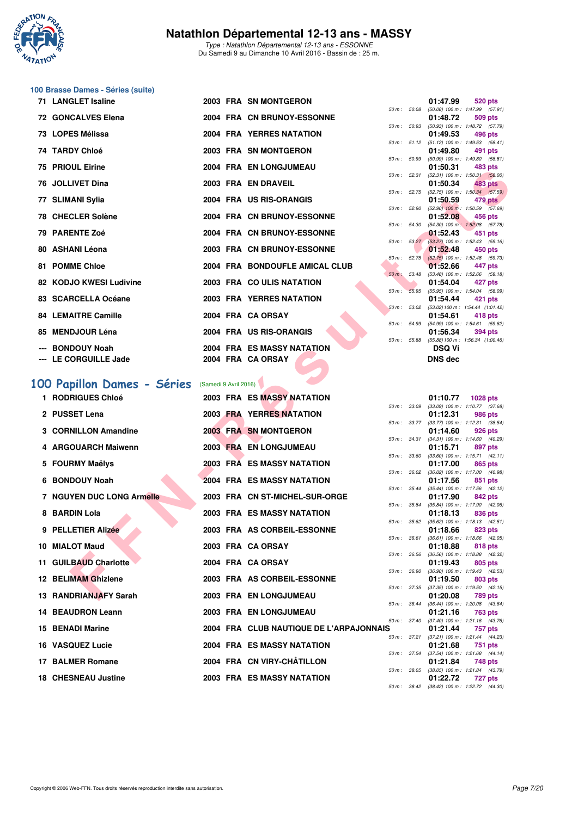

Type : Natathlon Départemental 12-13 ans - ESSONNE Du Samedi 9 au Dimanche 10 Avril 2016 - Bassin de : 25 m.

# **100 Brasse Dames - Séries (suite)**

| <b>71 LANGLET Isaline</b>  |  | 2003 FRA SN MONTGERON             |             | 01:47.99                                                      | 520 pts |  |
|----------------------------|--|-----------------------------------|-------------|---------------------------------------------------------------|---------|--|
|                            |  |                                   | 50 m: 50.08 | $(50.08)$ 100 m : 1:47.99 (57.                                |         |  |
| 72 GONCALVES Elena         |  | 2004 FRA CN BRUNOY-ESSONNE        |             | 01:48.72 509 pts                                              |         |  |
|                            |  |                                   |             | 50 m: 50.93 (50.93) 100 m: 1:48.72 (57.                       |         |  |
| 73 LOPES Mélissa           |  | 2004 FRA YERRES NATATION          |             | 01:49.53                                                      | 496 pts |  |
|                            |  |                                   |             | 50 m: 51.12 (51.12) 100 m: 1:49.53 (58.                       |         |  |
| 74 TARDY Chloé             |  | 2003 FRA SN MONTGERON             |             | 01:49.80                                                      | 491 pts |  |
|                            |  |                                   |             | 50 m : 50.99 (50.99) 100 m : 1:49.80 (58.                     |         |  |
| 75 PRIOUL Eirine           |  | 2004 FRA EN LONGJUMEAU            |             | 01:50.31                                                      | 483 pts |  |
|                            |  |                                   |             | 50 m: 52.31 (52.31) 100 m: 1:50.31 (58.                       |         |  |
| 76 JOLLIVET Dina           |  | 2003 FRA EN DRAVEIL               |             | 01:50.34 483 pts                                              |         |  |
|                            |  |                                   |             | 50 m : 52.75 (52.75) 100 m : 1:50.34 (57.                     |         |  |
| 77 SLIMANI Sylia           |  | 2004 FRA US RIS-ORANGIS           |             | 01:50.59 479 pts                                              |         |  |
|                            |  |                                   |             | 50 m : 52.90 (52.90) 100 m : 1:50.59 (57.                     |         |  |
| 78 CHECLER Solène          |  | 2004 FRA CN BRUNOY-ESSONNE        |             | 01:52.08 456 pts                                              |         |  |
|                            |  |                                   |             | 50 m : 54.30 (54.30) 100 m : 1:52.08 (57.                     |         |  |
| 79 PARENTE Zoé             |  | 2004 FRA CN BRUNOY-ESSONNE        |             | $01:52.43$ 451 pts                                            |         |  |
|                            |  |                                   |             | 50 m: 53.27 (53.27) 100 m: 1:52.43 (59.                       |         |  |
| 80 ASHANI Léona            |  | 2003 FRA CN BRUNOY-ESSONNE        |             | 01:52.48 450 pts                                              |         |  |
|                            |  |                                   |             | 50 m: 52.75 (52.75) 100 m: 1:52.48 (59.                       |         |  |
| 81 POMME Chloe             |  | 2004 FRA BONDOUFLE AMICAL CLUB    |             | 01:52.66 447 pts                                              |         |  |
| 82 KODJO KWESI Ludivine    |  |                                   |             | 50 m : 53.48 (53.48) 100 m : 1:52.66 (59.                     |         |  |
|                            |  | 2003 FRA COULIS NATATION          |             | 01:54.04 427 pts                                              |         |  |
| 83 SCARCELLA Océane        |  | <b>2003 FRA YERRES NATATION</b>   |             | 50 m: 55.95 (55.95) 100 m: 1:54.04 (58.                       |         |  |
|                            |  |                                   |             | 01:54.44 421 pts<br>50 m: 53.02 (53.02) 100 m: 1:54.44 (1:01. |         |  |
| <b>84 LEMAITRE Camille</b> |  | 2004 FRA CA ORSAY                 |             | 01:54.61                                                      | 418 pts |  |
|                            |  |                                   |             | 50 m: 54.99 (54.99) 100 m: 1:54.61 (59.                       |         |  |
| 85 MENDJOUR Léna           |  | 2004 FRA US RIS-ORANGIS           |             |                                                               |         |  |
|                            |  |                                   |             | 01:56.34 394 pts                                              |         |  |
| --- BONDOUY Noah           |  | <b>2004 FRA ES MASSY NATATION</b> |             | 50 m: 55.88 (55.88) 100 m: 1:56.34 (1:00.<br>DSQ Vi           |         |  |
|                            |  |                                   |             |                                                               |         |  |
| --- LE CORGUILLE Jade      |  | 2004 FRA CA ORSAY                 |             | <b>DNS</b> dec                                                |         |  |
|                            |  |                                   |             |                                                               |         |  |

|    | FRIUDL EINIG                     |                       | <b>FRA EN LUNGUUMEAU</b>                |              |              | 01.JU.JI<br>אוע טס <del>וי</del>                                    |
|----|----------------------------------|-----------------------|-----------------------------------------|--------------|--------------|---------------------------------------------------------------------|
|    | 76 JOLLIVET Dina                 |                       | 2003 FRA EN DRAVEIL                     |              |              | 50 m: 52.31 (52.31) 100 m: 1:50.31 (58.00)<br>01:50.34<br>483 pts   |
|    | 77 SLIMANI Sylia                 |                       | 2004 FRA US RIS-ORANGIS                 |              | 50 m : 52.75 | $(52.75)$ 100 m : 1:50.34 $(57.59)$<br>01:50.59<br>479 pts          |
|    | 78 CHECLER Solène                |                       | 2004 FRA CN BRUNOY-ESSONNE              |              | 50 m: 52.90  | $(52.90)$ 100 m : 1:50.59 $(57.69)$                                 |
|    |                                  |                       |                                         | 50 m : 54.30 |              | 01:52.08<br>456 pts<br>$(54.30)$ 100 m : 1:52.08 $(57.78)$          |
|    | 79 PARENTE Zoé                   |                       | 2004 FRA CN BRUNOY-ESSONNE              |              | 50 m: 53.27  | 01:52.43<br>451 pts<br>(53.27) 100 m : 1:52.43 (59.16)              |
|    | 80 ASHANI Léona                  |                       | 2003 FRA CN BRUNOY-ESSONNE              |              |              | 01:52.48<br>450 pts                                                 |
|    | <b>81 POMME Chloe</b>            |                       | 2004 FRA BONDOUFLE AMICAL CLUB          |              |              | 50 m : 52.75 (52.75) 100 m : 1:52.48 (59.73)<br>01:52.66<br>447 pts |
|    | 82 KODJO KWESI Ludivine          |                       | 2003 FRA COULIS NATATION                | 50 m : 53.48 |              | (53.48) 100 m: 1:52.66 (59.18)<br>01:54.04<br>427 pts               |
|    | 83 SCARCELLA Océane              |                       | <b>2003 FRA YERRES NATATION</b>         |              | 50 m: 55.95  | (55.95) 100 m: 1:54.04 (58.09)                                      |
|    |                                  |                       |                                         |              | 50 m: 53.02  | 01:54.44<br>421 pts<br>(53.02) 100 m: 1:54.44 (1:01.42)             |
|    | <b>84 LEMAITRE Camille</b>       |                       | 2004 FRA CA ORSAY                       | 50 m : 54.99 |              | 01:54.61<br>418 pts<br>(54.99) 100 m: 1:54.61 (59.62)               |
| 85 | <b>MENDJOUR Léna</b>             |                       | 2004 FRA US RIS-ORANGIS                 |              |              | 01:56.34<br><b>394 pts</b>                                          |
|    | <b>BONDOUY Noah</b>              |                       | 2004 FRA ES MASSY NATATION              |              | 50 m : 55.88 | (55.88) 100 m: 1:56.34 (1:00.46)<br><b>DSQ Vi</b>                   |
|    | LE CORGUILLE Jade                |                       | 2004 FRA CA ORSAY                       |              |              | DNS dec                                                             |
|    |                                  |                       |                                         |              |              |                                                                     |
|    | 100 Papillon Dames - Séries      | (Samedi 9 Avril 2016) |                                         |              |              |                                                                     |
|    | 1 RODRIGUES Chloé                |                       | 2003 FRA ES MASSY NATATION              |              |              | 01:10.77<br>1028 pts<br>50 m: 33.09 (33.09) 100 m: 1:10.77 (37.68)  |
|    | 2 PUSSET Lena                    |                       | <b>2003 FRA YERRES NATATION</b>         |              |              | 01:12.31<br>986 pts                                                 |
|    | 3 CORNILLON Amandine             |                       | 2003 FRA SN MONTGERON                   | 50 m : 33.77 |              | $(33.77)$ 100 m : 1:12.31 $(38.54)$<br>01:14.60<br>926 pts          |
|    |                                  |                       |                                         |              | 50 m : 34.31 | (34.31) 100 m: 1:14.60 (40.29)                                      |
|    | <b>ARGOUARCH Maiwenn</b>         |                       | 2003 FRA EN LONGJUMEAU                  | 50 m : 33.60 |              | 01:15.71<br>897 pts<br>$(33.60)$ 100 m : 1:15.71 $(42.11)$          |
|    | 5 FOURMY Maëlys                  |                       | 2003 FRA ES MASSY NATATION              | 50 m : 36.02 |              | 01:17.00<br>865 pts<br>(36.02) 100 m: 1:17.00 (40.98)               |
| 6. | <b>BONDOUY Noah</b>              |                       | 2004 FRA ES MASSY NATATION              |              |              | 01:17.56<br>851 pts                                                 |
|    | <b>7 NGUYEN DUC LONG Armelle</b> |                       | 2003 FRA CN ST-MICHEL-SUR-ORGE          |              | 50 m : 35.44 | (35.44) 100 m: 1:17.56 (42.12)<br>01:17.90<br>842 pts               |
|    | 8 BARDIN Lola                    |                       | 2003 FRA ES MASSY NATATION              | 50 m : 35.84 |              | (35.84) 100 m: 1:17.90 (42.06)<br>01:18.13<br>836 pts               |
|    |                                  |                       |                                         | 50 m: 35.62  |              | $(35.62)$ 100 m : 1:18.13 $(42.51)$                                 |
| 9  | <b>PELLETIER Alizée</b>          |                       | 2003 FRA AS CORBEIL-ESSONNE             | 50 m: 36.61  |              | 01:18.66<br>823 pts<br>(36.61) 100 m: 1:18.66 (42.05)               |
|    | 10 MIALOT Maud                   |                       | 2003 FRA CA ORSAY                       |              |              | 01:18.88<br>818 pts                                                 |
|    | 11 GUILBAUD Charlotte            |                       | 2004 FRA CA ORSAY                       | 50 m : 36.56 |              | (36.56) 100 m: 1:18.88 (42.32)<br>01:19.43<br>805 pts               |
|    | 12 BELIMAM Ghizlene              |                       | 2003 FRA AS CORBEIL-ESSONNE             | 50 m : 36.90 |              | (36.90) 100 m: 1:19.43 (42.53)<br>01:19.50<br>803 pts               |
|    | <b>13 RANDRIANJAFY Sarah</b>     |                       |                                         |              | 50 m : 37.35 | $(37.35)$ 100 m : 1:19.50 $(42.15)$                                 |
|    |                                  |                       | 2003 FRA EN LONGJUMEAU                  | 50 m : 36.44 |              | 01:20.08<br>789 pts<br>(36.44) 100 m : 1:20.08 (43.64)              |
|    | <b>14 BEAUDRON Leann</b>         |                       | 2003 FRA EN LONGJUMEAU                  | 50 m : 37.40 |              | 01:21.16<br>763 pts<br>$(37.40)$ 100 m : 1:21.16 $(43.76)$          |
|    | <b>15 BENADI Marine</b>          |                       | 2004 FRA CLUB NAUTIQUE DE L'ARPAJONNAIS |              |              | 01:21.44<br>757 pts                                                 |
|    | <b>16 VASQUEZ Lucie</b>          |                       | 2004 FRA ES MASSY NATATION              |              | 50 m : 37.21 | (37.21) 100 m : 1:21.44 (44.23)<br>01:21.68<br>751 pts              |
|    | 17 BALMER Romane                 |                       | 2004 FRA CN VIRY-CHÂTILLON              |              | 50 m : 37.54 | $(37.54)$ 100 m : 1:21.68 $(44.14)$<br>01:21.84<br>748 pts          |
|    |                                  |                       |                                         |              | 50 m : 38.05 | (38.05) 100 m : 1:21.84 (43.79)                                     |
|    | <b>18 CHESNEAU Justine</b>       |                       | 2003 FRA ES MASSY NATATION              |              |              | 01:22.72<br><b>727 pts</b>                                          |

|                  |       | 01:47.99          | 520 pts             |
|------------------|-------|-------------------|---------------------|
| $50 m$ : $50.08$ |       | $(50.08)$ 100 m : | 1:47.99 (57.91)     |
|                  |       | 01:48.72          | <b>509 pts</b>      |
| 50 m :           | 50.93 | $(50.93)$ 100 m : | 1:48.72 (57.79)     |
|                  |       | 01:49.53          | 496 pts             |
| $50 m$ : $51.12$ |       | $(51.12)$ 100 m : | 1:49.53 (58.41)     |
|                  |       | 01:49.80          | 491 pts             |
| 50 m :           | 50.99 | $(50.99)$ 100 m : | 1:49.80<br>(58.81)  |
|                  |       | 01:50.31          | 483 pts             |
| 50 m :           | 52.31 | $(52.31)$ 100 m : | $1:50.31$ $(58.00)$ |
|                  |       | 01:50.34          | 483 pts             |
| 50 m :           | 52.75 | $(52.75)$ 100 m : | 1:50.34 (57.59)     |
|                  |       | 01:50.59          | 479 pts             |
| 50 m: 52.90      |       | $(52.90)$ 100 m : | 1:50.59<br>(57.69)  |
|                  |       | 01:52.08          | 456 pts             |
| 50 m :           | 54.30 | $(54.30)$ 100 m : | 1:52.08 (57.78)     |
|                  |       | 01:52.43          | $-451$ pts          |
| $50 m$ :         | 53.27 | $(53.27)$ 100 m : | $1:52.43$ $(59.16)$ |
|                  |       | 01:52.48          | 450 pts             |
| 50 m :           | 52.75 | $(52.75)$ 100 m : | 1:52.48 (59.73)     |
|                  |       | 01:52.66          | 447 pts             |
| $50 m$ :         | 53.48 | $(53.48) 100 m$ : | 1:52.66 (59.18)     |
|                  |       | 01:54.04          | 427 pts             |
| 50 m :           | 55.95 | $(55.95)$ 100 m : | 1:54.04 (58.09)     |
|                  |       | 01:54.44          | 421 pts             |
| 50 m :           | 53.02 | $(53.02) 100 m$ : | 1:54.44 (1:01.42)   |
|                  |       | 01:54.61          | 418 pts             |
| 50 m:            | 54.99 | $(54.99)$ 100 m : | 1:54.61 (59.62)     |
|                  |       | 01:56.34          | 394 pts             |
| 50 m :           | 55.88 | $(55.88) 100 m$ : | 1:56.34 (1:00.46)   |
|                  |       | DSQ Vi            |                     |

|          |       | 01:10.77          | <b>1028 pts</b> |         |
|----------|-------|-------------------|-----------------|---------|
| 50 m:    | 33.09 | $(33.09)$ 100 m : | 1:10.77 (37.68) |         |
|          |       | 01:12.31          | <b>986 pts</b>  |         |
| $50 m$ : | 33.77 | $(33.77)$ 100 m : | 1:12.31         | (38.54) |
|          |       | 01:14.60          | 926 pts         |         |
| $50 m$ : | 34.31 | $(34.31)$ 100 m : | 1:14.60         | (40.29) |
|          |       | 01:15.71          | 897 pts         |         |
| $50 m$ : | 33.60 | $(33.60)$ 100 m : | 1:15.71         | (42.11) |
|          |       | 01:17.00          | 865 pts         |         |
| $50 m$ : | 36.02 | $(36.02)$ 100 m : | 1:17.00 (40.98) |         |
|          |       | 01:17.56          | 851 pts         |         |
| $50 m$ : | 35.44 | $(35.44) 100 m$ : | 1:17.56         | (42.12) |
|          |       | 01:17.90          | 842 pts         |         |
| $50 m$ : | 35.84 | $(35.84) 100 m$ : | 1:17.90         | (42.06) |
|          |       | 01:18.13          | <b>836 pts</b>  |         |
| $50 m$ : | 35.62 | $(35.62)$ 100 m : | 1:18.13         | (42.51) |
|          |       | 01:18.66          | 823 pts         |         |
| $50 m$ : | 36.61 | $(36.61)$ 100 m : | 1:18.66         | (42.05) |
|          |       | 01:18.88          | <b>818 pts</b>  |         |
| $50 m$ : | 36.56 | $(36.56)$ 100 m : | 1:18.88         | (42.32) |
|          |       | 01:19.43          | 805 pts         |         |
| $50 m$ : | 36.90 | $(36.90)$ 100 m : | 1:19.43         | (42.53) |
|          |       | 01:19.50          | <b>803 pts</b>  |         |
| $50 m$ : | 37.35 | $(37.35)$ 100 m : | 1:19.50         | (42.15) |
|          |       | 01:20.08          | <b>789 pts</b>  |         |
| $50 m$ : | 36.44 | $(36.44) 100 m$ : | 1:20.08         | (43.64) |
|          |       | 01:21.16          | <b>763 pts</b>  |         |
| $50 m$ : | 37.40 | $(37.40)$ 100 m : | 1:21.16         | (43.76) |
| ١S       |       | 01:21.44          | 757 pts         |         |
| $50 m$ : | 37.21 | $(37.21)$ 100 m : | 1:21.44         | (44.23) |
|          |       | 01:21.68          | 751             | pts     |
| $50 m$ : | 37.54 | $(37.54)$ 100 m : | 1:21.68         | (44.14) |
|          |       | 01:21.84          | 748 pts         |         |
| $50 m$ : | 38.05 | $(38.05)$ 100 m : | 1:21.84         | (43.79) |
|          |       | 01:22.72          | 727 pts         |         |
| $50 m$ : | 38.42 | $(38.42)$ 100 m : | 1:22.72         | (44.30) |
|          |       |                   |                 |         |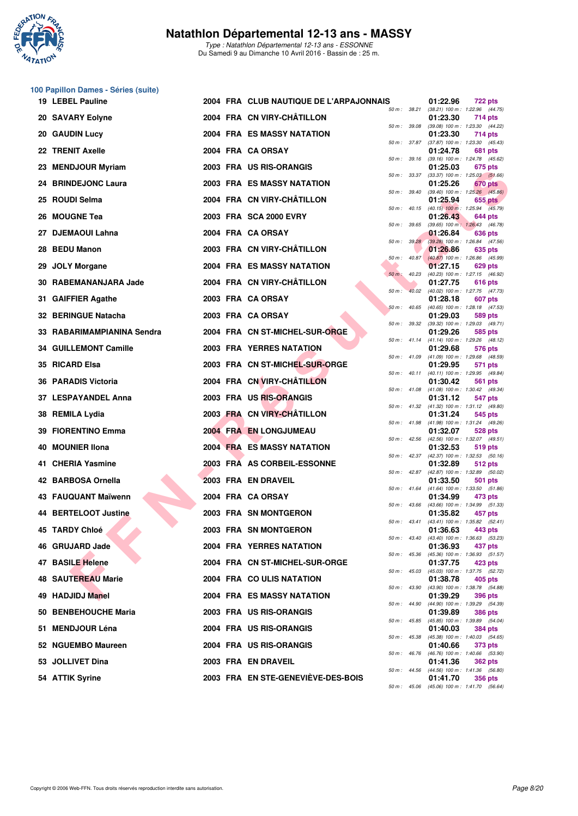

#### **100 Papillon Dames - Séries (suite)**

|     | 19 LEBEL Pauline           |  | 2004 FRA CLUB NAUTIQUE DE L'ARPAJONNAIS |                |                  | 01:22.96 | 722 pts                                                      |
|-----|----------------------------|--|-----------------------------------------|----------------|------------------|----------|--------------------------------------------------------------|
|     | 20 SAVARY Eolyne           |  | 2004 FRA CN VIRY-CHÂTILLON              | 50 m: 38.21    |                  | 01:23.30 | (38.21) 100 m: 1:22.96 (44.75)<br>714 pts                    |
| 20. | <b>GAUDIN Lucy</b>         |  | 2004 FRA ES MASSY NATATION              | 50 m: 39.08    |                  | 01:23.30 | (39.08) 100 m: 1:23.30 (44.22)<br>714 pts                    |
|     | 22 TRENIT Axelle           |  | 2004 FRA CA ORSAY                       |                | 50 m: 37.87      | 01:24.78 | $(37.87)$ 100 m : 1:23.30 $(45.43)$<br>681 pts               |
| 23. | <b>MENDJOUR Myriam</b>     |  | 2003 FRA US RIS-ORANGIS                 |                | 50 m: 39.16      | 01:25.03 | (39.16) 100 m: 1:24.78 (45.62)<br>675 pts                    |
|     | 24 BRINDEJONC Laura        |  | 2003 FRA ES MASSY NATATION              |                | 50 m : 33.37     | 01:25.26 | $(33.37)$ 100 m : 1:25.03 $(51.66)$<br>670 pts               |
|     | 25 ROUDI Selma             |  | 2004 FRA CN VIRY-CHÂTILLON              |                | 50 m : 39.40     | 01:25.94 | $(39.40)$ 100 m : 1:25.26 $(45.86)$<br>655 pts               |
|     | 26 MOUGNE Tea              |  | 2003 FRA SCA 2000 EVRY                  |                | 50 m: 40.15      | 01:26.43 | $(40.15)$ 100 m : 1:25.94 $(45.79)$<br>644 pts               |
|     | 27 DJEMAOUI Lahna          |  | 2004 FRA CA ORSAY                       | 50 m: 39.65    |                  | 01:26.84 | (39.65) 100 m: 1:26.43 (46.78)<br>636 pts                    |
| 28  | <b>BEDU Manon</b>          |  | 2003 FRA CN VIRY-CHÂTILLON              |                | 50 m: 39.28      | 01:26.86 | (39.28) 100 m: 1:26.84 (47.56)<br>635 pts                    |
| 29  | <b>JOLY Morgane</b>        |  | 2004 FRA ES MASSY NATATION              |                | $50 m$ : $40.87$ | 01:27.15 | $(40.87)$ 100 m : 1:26.86 $(45.99)$<br>629 pts               |
|     | 30 RABEMANANJARA Jade      |  | 2004 FRA CN VIRY-CHÂTILLON              | $50 m$ :       | 40.23            | 01:27.75 | (40.23) 100 m: 1:27.15 (46.92)<br>616 pts                    |
|     | 31 GAIFFIER Agathe         |  | 2003 FRA CA ORSAY                       | $50 m$ :       |                  | 01:28.18 | 40.02 (40.02) 100 m: 1:27.75 (47.73)<br>607 pts              |
|     | 32 BERINGUE Natacha        |  | 2003 FRA CA ORSAY                       | $50 m$ : 40.65 |                  | 01:29.03 | (40.65) 100 m: 1:28.18 (47.53)<br>589 pts                    |
|     | 33 RABARIMAMPIANINA Sendra |  | 2004 FRA CN ST-MICHEL-SUR-ORGE          | 50 m: 39.32    |                  | 01:29.26 | (39.32) 100 m: 1:29.03 (49.71)<br>585 pts                    |
|     | 34 GUILLEMONT Camille      |  | 2003 FRA YERRES NATATION                |                |                  | 01:29.68 | 50 m: 41.14 (41.14) 100 m: 1:29.26 (48.12)<br>576 pts        |
|     | 35 RICARD Elsa             |  | 2003 FRA CN ST-MICHEL-SUR-ORGE          |                | 50 m : 41.09     | 01:29.95 | $(41.09)$ 100 m : 1:29.68 $(48.59)$<br>571 pts               |
|     | 36 PARADIS Victoria        |  | 2004 FRA CN VIRY-CHÂTILLON              |                |                  | 01:30.42 | 50 m: 40.11 (40.11) 100 m: 1:29.95 (49.84)<br><b>561 pts</b> |
|     | 37 LESPAYANDEL Anna        |  | 2003 FRA US RIS-ORANGIS                 |                |                  | 01:31.12 | 50 m: 41.08 (41.08) 100 m: 1:30.42 (49.34)<br>547 pts        |
|     | 38 REMILA Lydia            |  | 2003 FRA CN VIRY-CHÂTILLON              |                |                  | 01:31.24 | 50 m: 41.32 (41.32) 100 m: 1:31.12 (49.80)                   |
|     | 39 FIORENTINO Emma         |  | 2004 FRA EN LONGJUMEAU                  | 50 m: 41.98    |                  |          | 545 pts<br>(41.98) 100 m: 1:31.24 (49.26)                    |
|     | <b>MOUNIER IIona</b>       |  | <b>2004 FRA ES MASSY NATATION</b>       |                | 50 m: 42.56      | 01:32.07 | 528 pts<br>(42.56) 100 m: 1:32.07 (49.51)                    |
| 40  |                            |  |                                         |                | 50 m : 42.37     | 01:32.53 | 519 pts<br>$(42.37)$ 100 m : 1:32.53 (50.16)                 |
|     | 41 CHERIA Yasmine          |  | 2003 FRA AS CORBEIL-ESSONNE             |                | $50 m$ : 42.87   | 01:32.89 | 512 pts<br>(42.87) 100 m: 1:32.89 (50.02)                    |
|     | 42 BARBOSA Ornella         |  | 2003 FRA EN DRAVEIL                     |                |                  | 01:33.50 | <b>501 pts</b><br>50 m: 41.64 (41.64) 100 m: 1:33.50 (51.86) |
|     | 43 FAUQUANT Maïwenn        |  | 2004 FRA CA ORSAY                       | 50 m: 43.66    |                  | 01:34.99 | 473 pts<br>$(43.66)$ 100 m : 1:34.99 $(51.33)$               |
|     | 44 BERTELOOT Justine       |  | 2003 FRA SN MONTGERON                   |                | 50 m: 43.41      | 01:35.82 | 457 pts<br>$(43.41)$ 100 m : 1:35.82 $(52.41)$               |
|     | 45 TARDY Chloé             |  | 2003 FRA SN MONTGERON                   |                | 50 m : 43.40     | 01:36.63 | 443 pts<br>(43.40) 100 m : 1:36.63 (53.23)                   |
|     | 46 GRUJARD Jade            |  | <b>2004 FRA YERRES NATATION</b>         | $50 m$ : 45.36 |                  | 01:36.93 | 437 pts<br>$(45.36)$ 100 m : 1:36.93 $(51.57)$               |
|     | 47 BASILE Helene           |  | 2004 FRA CN ST-MICHEL-SUR-ORGE          |                | 50 m: 45.03      | 01:37.75 | 423 pts<br>(45.03) 100 m: 1:37.75 (52.72)                    |
|     | 48 SAUTEREAU Marie         |  | 2004 FRA COULIS NATATION                | 50 m: 43.90    |                  | 01:38.78 | 405 pts<br>(43.90) 100 m: 1:38.78 (54.88)                    |
|     | 49 HADJIDJ Manel           |  | <b>2004 FRA ES MASSY NATATION</b>       | 50 m: 44.90    |                  | 01:39.29 | 396 pts<br>(44.90) 100 m : 1:39.29 (54.39)                   |
|     | 50 BENBEHOUCHE Maria       |  | 2003 FRA US RIS-ORANGIS                 | 50 m: 45.85    |                  | 01:39.89 | <b>386 pts</b><br>(45.85) 100 m: 1:39.89 (54.04)             |
|     | 51 MENDJOUR Léna           |  | 2004 FRA US RIS-ORANGIS                 | 50 m: 45.38    |                  | 01:40.03 | 384 pts<br>(45.38) 100 m: 1:40.03 (54.65)                    |
|     | 52 NGUEMBO Maureen         |  | 2004 FRA US RIS-ORANGIS                 | 50 m: 46.76    |                  | 01:40.66 | 373 pts<br>(46.76) 100 m: 1:40.66 (53.90)                    |
| 53. | <b>JOLLIVET Dina</b>       |  | 2003 FRA EN DRAVEIL                     |                | 50 m: 44.56      | 01:41.36 | 362 pts<br>(44.56) 100 m: 1:41.36 (56.80)                    |
|     | 54 ATTIK Syrine            |  | 2003 FRA EN STE-GENEVIEVE-DES-BOIS      | 50 m: 45.06    |                  | 01:41.70 | <b>356 pts</b><br>(45.06) 100 m: 1:41.70 (56.64)             |
|     |                            |  |                                         |                |                  |          |                                                              |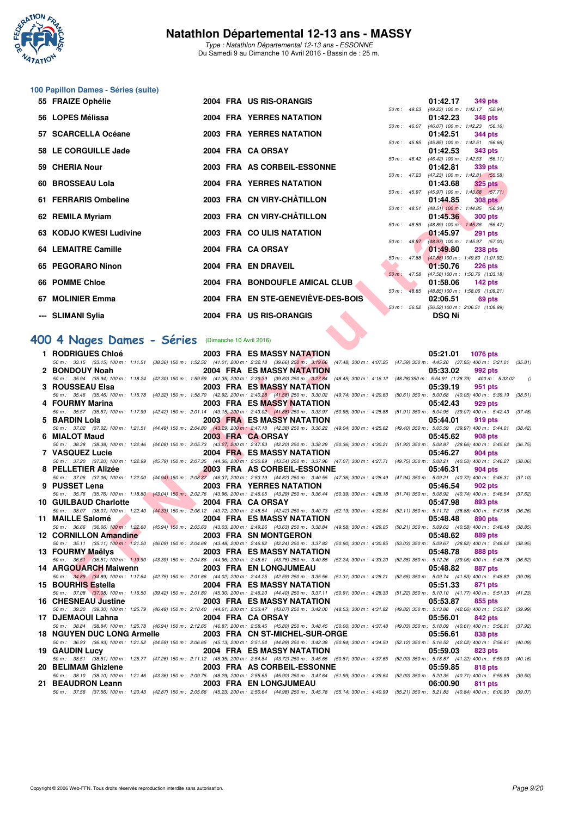

Type : Natathlon Départemental 12-13 ans - ESSONNE Du Samedi 9 au Dimanche 10 Avril 2016 - Bassin de : 25 m.

# **100 Papillon Dames - Séries (suite)**

| 55 FRAIZE Ophélie          |  | 2004 FRA US RIS-ORANGIS            |                |                | $01:42.17$ 349 pts                             |                |
|----------------------------|--|------------------------------------|----------------|----------------|------------------------------------------------|----------------|
|                            |  |                                    | $50 m$ : 49.23 |                | (49.23) 100 m: 1:42.17 (52.94                  |                |
| 56 LOPES Mélissa           |  | 2004 FRA YERRES NATATION           |                |                | 01:42.23                                       | 348 pts        |
|                            |  |                                    |                | $50 m$ : 46.07 | $(46.07)$ 100 m : 1:42.23 $(56.16)$            |                |
| 57 SCARCELLA Océane        |  | <b>2003 FRA YERRES NATATION</b>    |                |                | 01:42.51                                       | 344 pts        |
|                            |  |                                    |                |                | 50 m : 45.85 (45.85) 100 m : 1:42.51 (56.66    |                |
| 58 LE CORGUILLE Jade       |  | 2004 FRA CA ORSAY                  |                |                | 01:42.53 343 pts                               |                |
|                            |  |                                    |                |                | 50 m: 46.42 (46.42) 100 m: 1:42.53 (56.11)     |                |
| 59 CHERIA Nour             |  | 2003 FRA AS CORBEIL-ESSONNE        |                |                | 01:42.81                                       | 339 pts        |
|                            |  |                                    |                |                | 50 m: 47.23 (47.23) 100 m: 1:42.81 (55.58      |                |
| 60 BROSSEAU Lola           |  | <b>2004 FRA YERRES NATATION</b>    |                |                | $01:43.68$ $325 \text{ pts}$                   |                |
|                            |  |                                    |                |                | 50 m: 45.97 (45.97) 100 m: 1:43.68 (57.71      |                |
| 61 FERRARIS Ombeline       |  | 2003 FRA CN VIRY-CHÂTILLON         |                |                | 01:44.85                                       | <b>308 pts</b> |
|                            |  |                                    |                |                | 50 m : 48.51 (48.51) 100 m : 1:44.85 (56.34)   |                |
| 62 REMILA Myriam           |  | 2003 FRA CN VIRY-CHÂTILLON         |                |                | 01:45.36 300 pts                               |                |
|                            |  |                                    |                | 50 m : 48.89   | (48.89) 100 m: 1:45.36 (56.47)                 |                |
| 63 KODJO KWESI Ludivine    |  | 2003 FRA COULIS NATATION           |                |                | $01:45.97$ 291 pts                             |                |
|                            |  |                                    |                |                | 50 m : 48.97 (48.97) 100 m : 1:45.97 (57.00    |                |
| <b>64 LEMAITRE Camille</b> |  | 2004 FRA CA ORSAY                  |                |                | 01:49.80 238 pts                               |                |
|                            |  |                                    |                |                | 50 m: 47.88 (47.88) 100 m: 1:49.80 (1:01.92)   |                |
| 65 PEGORARO Ninon          |  | 2004 FRA EN DRAVEIL                |                |                | 01:50.76                                       | 226 pts        |
|                            |  |                                    | 50 m: 47.58    |                | (47.58) 100 m: 1:50.76 (1:03.18                |                |
| 66 POMME Chloe             |  | 2004 FRA BONDOUFLE AMICAL CLUB     |                |                | $01:58.06$ 142 pts                             |                |
|                            |  |                                    |                |                | 50 m : 48.85 (48.85) 100 m : 1:58.06 (1:09.21) |                |
| 67 MOLINIER Emma           |  | 2004 FRA EN STE-GENEVIÈVE-DES-BOIS |                |                | $02:06.51$ 69 pts                              |                |
|                            |  |                                    |                |                | 50 m: 56.52 (56.52) 100 m: 2:06.51 (1:09.99    |                |
| --- SLIMANI Sylia          |  | 2004 FRA US RIS-ORANGIS            |                |                | <b>DSQ Ni</b>                                  |                |
|                            |  |                                    |                |                |                                                |                |

## **[400 4 Nages Dames - Séries](http://www.ffnatation.fr/webffn/resultats.php?idact=nat&go=epr&idcpt=38883&idepr=42)** (Dimanche 10 Avril 2016)

| ว <del>ง</del> บาเธกเคางบน                                                                                                                                                                                  |  | ZUUJ FRA AJ CORDEIL-EJJOINNE       |              | <b>UI.44.01</b><br>งงอ มเจ                                                 |          |
|-------------------------------------------------------------------------------------------------------------------------------------------------------------------------------------------------------------|--|------------------------------------|--------------|----------------------------------------------------------------------------|----------|
| 60 BROSSEAU Lola                                                                                                                                                                                            |  | <b>2004 FRA YERRES NATATION</b>    |              | 50 m: 47.23 (47.23) 100 m: 1:42.81 (55.58)<br>01:43.68<br><b>325 pts</b>   |          |
| 61 FERRARIS Ombeline                                                                                                                                                                                        |  | 2003 FRA CN VIRY-CHÂTILLON         |              | 50 m : 45.97 (45.97) 100 m : 1:43.68 (57.71)<br>01:44.85<br>308 pts        |          |
|                                                                                                                                                                                                             |  | 2003 FRA CN VIRY-CHÂTILLON         |              | 50 m : 48.51 (48.51) 100 m : 1:44.85 (56.34)                               |          |
| 62 REMILA Myriam                                                                                                                                                                                            |  |                                    | 50 m : 48.89 | 01:45.36<br><b>300 pts</b><br>$(48.89)$ 100 m : 1:45.36 $(56.47)$          |          |
| 63   KODJO KWESI Ludivine                                                                                                                                                                                   |  | 2003 FRA COULIS NATATION           |              | 01:45.97<br><b>291 pts</b><br>50 m : 48.97 (48.97) 100 m : 1:45.97 (57.00) |          |
| 64 LEMAITRE Camille                                                                                                                                                                                         |  | 2004 FRA CA ORSAY                  |              | 01:49.80<br><b>238 pts</b>                                                 |          |
| 65 PEGORARO Ninon                                                                                                                                                                                           |  | 2004 FRA EN DRAVEIL                |              | 50 m: 47.88 (47.88) 100 m: 1:49.80 (1:01.92)<br>01:50.76<br>$226$ pts      |          |
| 66 POMME Chloe                                                                                                                                                                                              |  | 2004 FRA BONDOUFLE AMICAL CLUB     |              | 50 m : 47.58 (47.58) 100 m : 1:50.76 (1:03.18)<br>01:58.06<br>142 pts      |          |
|                                                                                                                                                                                                             |  |                                    |              | 50 m : 48.85 (48.85) 100 m : 1:58.06 (1:09.21)                             |          |
| 67 MOLINIER Emma                                                                                                                                                                                            |  | 2004 FRA EN STE-GENEVIEVE-DES-BOIS |              | 02:06.51<br>69 pts<br>50 m : 56.52 (56.52) 100 m : 2:06.51 (1:09.99)       |          |
| --- SLIMANI Sylia                                                                                                                                                                                           |  | 2004 FRA US RIS-ORANGIS            |              | <b>DSQ Ni</b>                                                              |          |
|                                                                                                                                                                                                             |  |                                    |              |                                                                            |          |
| 00 4 Nages Dames - Séries (Dimanche 10 Avril 2016)                                                                                                                                                          |  |                                    |              |                                                                            |          |
| 1 RODRIGUES Chloé<br>50 m: 33.15 (33.15) 100 m: 1:11.51 (38.36) 150 m: 1:52.52 (41.01) 200 m: 2:32.18 (39.66) 250 m: 3:19.66 (47.48) 300 m: 4:07.25 (47.59) 350 m: 4:45.20 (37.95) 400 m: 5:21.01 (35.81    |  | 2003 FRA ES MASSY NATATION         |              | 05:21.01<br><b>1076 pts</b>                                                |          |
| 2 BONDOUY Noah                                                                                                                                                                                              |  | 2004 FRA ES MASSY NATATION         |              | 05:33.02<br>992 pts                                                        |          |
| 50 m: 35.94 (35.94) 100 m: 1:18.24 (42.30) 150 m: 1:59.59 (41.35) 200 m: 2:39.39 (39.80) 250 m: 3:27.84 (48.45) 300 m: 4:16.12 (48.28) 350 m: 5:54.91 (1:38.79) 400 m: 5:33.02                              |  |                                    |              |                                                                            | $\left($ |
| 3 ROUSSEAU Elsa                                                                                                                                                                                             |  | 2003 FRA ES MASSY NATATION         |              | 05:39.19<br>951 pts                                                        |          |
| 50 m: 35.46 (35.46) 100 m: 1:15.78 (40.32) 150 m: 1:58.70 (42.92) 200 m: 2:40.28 (41.58) 250 m: 3:30.02 (49.74) 300 m: 4:20.63 (50.61) 350 m: 5:00.68 (40.05) 400 m: 5:39.19 (38.51<br>4 FOURMY Marina      |  | <b>2003 FRA ES MASSY NATATION</b>  |              | 05:42.43<br>929 pts                                                        |          |
| 50 m: 35.57 (35.57) 100 m: 1:17.99 (42.42) 150 m: 2:01.14 (43.15) 200 m: 2:43.02 (41.88) 250 m: 3:33.97 (50.95) 300 m: 4:25.88 (51.91) 350 m: 5:04.95 (39.07) 400 m: 5:42.43 (37.48                         |  |                                    |              |                                                                            |          |
| 5 BARDIN Lola                                                                                                                                                                                               |  | <b>2003 FRA ES MASSY NATATION</b>  |              | 05:44.01<br>919 pts                                                        |          |
| 50 m: 37.02 (37.02) 100 m: 1:21.51 (44.49) 150 m: 2:04.80 (43.29) 200 m: 2:47.18 (42.38) 250 m: 3:36.22 (49.04) 300 m: 4:25.62 (49.40) 350 m: 5:05.59 (39.97) 400 m: 5:44.01 (38.42<br>6 MIALOT Maud        |  | 2003 FRA CA ORSAY                  |              | 05:45.62<br>908 pts                                                        |          |
| 50 m: 38.38 (38.38) 100 m: 1:22.46 (44.08) 150 m: 2:05.73 (43.27) 200 m: 2:47.93 (42.20) 250 m: 3:38.29 (50.36) 300 m: 4:30.21 (51.92) 350 m: 5:08.87 (38.66) 400 m: 5:45.62                                |  |                                    |              |                                                                            | (36.75)  |
| 7 VASQUEZ Lucie                                                                                                                                                                                             |  | 2004 FRA ES MASSY NATATION         |              | 05:46.27<br>904 pts                                                        |          |
| 50 m : 37.20 (37.20) 100 m : 1:22.99 (45.79) 150 m : 2:07.35 (44.36) 200 m : 2:50.89 (43.54) 250 m : 3:37.96 (47.07) 300 m : 4:27.71 (49.75) 350 m : 5:08.21 (40.50) 400 m : 5:46.27<br>8 PELLETIER Alizée  |  | 2003 FRA AS CORBEIL-ESSONNE        |              | 05:46.31<br>904 pts                                                        | (38.06)  |
| 50 m : 37.06 (37.06) 100 m : 1:22.00 (44.94) 150 m : 2:08.37 (46.37) 200 m : 2:53.19 (44.82) 250 m : 3:40.55 (47.36) 300 m : 4:28.49 (47.94) 350 m : 5:09.21 (40.72) 400 m : 5:46.31 (37.10                 |  |                                    |              |                                                                            |          |
| 9 PUSSET Lena                                                                                                                                                                                               |  | 2003 FRA YERRES NATATION           |              | 05:46.54<br>902 pts                                                        |          |
| 50 m: 35.76 (35.76) 100 m: 1:18.80 (43.04) 150 m: 2:02.76 (43.96) 200 m: 2:46.05 (43.29) 250 m: 3:36.44 (50.39) 300 m: 4:28.18 (51.74) 350 m: 5:08.92 (40.74) 400 m: 5:46.54<br>10 GUILBAUD Charlotte       |  | 2004 FRA CA ORSAY                  |              | 05:47.98<br>893 pts                                                        | (37.62)  |
| 50 m: 38.07 (38.07) 100 m: 1:22.40 (44.33) 150 m: 2:06.12 (43.72) 200 m: 2:48.54 (42.42) 250 m: 3:40.73 (52.19) 300 m: 4:32.84 (52.11) 350 m: 5:11.72 (38.88) 400 m: 5:47.98 (36.26                         |  |                                    |              |                                                                            |          |
| <b>The Contract of Street</b><br>11 MAILLE Salomé                                                                                                                                                           |  | 2004 FRA ES MASSY NATATION         |              | 05:48.48<br>890 pts                                                        |          |
| 50 m: 36.66 (36.66) 100 m: 1:22.60 (45.94) 150 m: 2:05.63 (43.03) 200 m: 2:49.26 (43.63) 250 m: 3:38.84 (49.58) 300 m: 4:29.05 (50.21) 350 m: 5:09.63 (40.58) 400 m: 5:48.48<br>12 CORNILLON Amandine       |  | 2003 FRA SN MONTGERON              |              | 05:48.62<br>889 pts                                                        | (38.85)  |
| 50 m: 35.11 (35.11) 100 m: 1:21.20 (46.09) 150 m: 2:04.68 (43.48) 200 m: 2:46.92 (42.24) 250 m: 3:37.82 (50.90) 300 m: 4:30.85 (53.03) 350 m: 5:09.67 (38.82) 400 m: 5:48.62 (38.95                         |  |                                    |              |                                                                            |          |
| 13 FOURMY Maëlys                                                                                                                                                                                            |  | 2003 FRA ES MASSY NATATION         |              | 05:48.78<br>888 pts                                                        |          |
| 50 m: 36,51 (36.51) 100 m: 1:19.90 (43.39) 150 m: 2:04.86 (44.96) 200 m: 2:48.61 (43.75) 250 m: 3:40.85 (52.24) 300 m: 4:33.20 (52.35) 350 m: 5:12.26 (39.06) 400 m: 5:48.78 (36.52<br>14 ARGOUARCH Maiwenn |  | 2003 FRA EN LONGJUMEAU             |              | 05:48.82<br>887 pts                                                        |          |
| 50 m: 34.89 (34.89) 100 m: 1:17.64 (42.75) 150 m: 2:01.66 (44.02) 200 m: 2:44.25 (42.59) 250 m: 3:35.56 (51.31) 300 m: 4:28.21 (52.65) 350 m: 5:05.74 (41.53) 400 m: 5:48.82 (39.08                         |  |                                    |              |                                                                            |          |
| 15 BOURHIS Estella                                                                                                                                                                                          |  | 2004 FRA ES MASSY NATATION         |              | 05:51.33<br>871 pts                                                        |          |
| 50 m: 37.08 (37.08) 100 m: 1:16.50 (39.42) 150 m: 2:01.80 (45.30) 200 m: 2:46.20 (44.40) 250 m: 3:37.11 (50.91) 300 m: 4:28.33 (51.22) 350 m: 5:10.10 (41.77) 400 m: 5:51.33 (41.23)<br>16 CHESNEAU Justine |  | 2003 FRA ES MASSY NATATION         |              | 05:53.87<br>855 pts                                                        |          |
| 50 m : 39.30 (39.30) 100 m : 1:25.79 (46.49) 150 m : 2:10.40 (44.61) 200 m : 2:53.47 (43.07) 250 m : 3:42.00 (48.53) 300 m : 4:31.82 (49.82) 350 m : 5:13.88 (42.06) 400 m : 5:53.87 (39.99                 |  |                                    |              |                                                                            |          |
| 17 DJEMAOUI Lahna                                                                                                                                                                                           |  | 2004 FRA CA ORSAY                  |              | 05:56.01<br>842 pts                                                        |          |
| 50 m: 38.84 (38.84) 100 m: 1:25.78 (46.94) 150 m: 2:12.65 (46.87) 200 m: 2:58.45 (45.80) 250 m: 3:48.45 (50.00) 300 m: 4:37.48 (49.03) 350 m: 5:18.09 (40.61) 400 m: 5:56.01<br>18 NGUYEN DUC LONG Armelle  |  | 2003 FRA CN ST-MICHEL-SUR-ORGE     |              | 05:56.61<br>838 pts                                                        | (37.92)  |
| 50 m: 36.93 (36.93) 100 m: 1:21.52 (44.59) 150 m: 2:06.65 (45.13) 200 m: 2:51.54 (44.89) 250 m: 3:42.38 (50.84) 300 m: 4:34.50 (52.12) 350 m: 5:16.52 (42.02) 400 m: 5:56.61                                |  |                                    |              |                                                                            | (40.09)  |
| <b>19 GAUDIN Lucv</b>                                                                                                                                                                                       |  | 2004 FRA ES MASSY NATATION         |              | 05:59.03<br>823 pts                                                        |          |
| 50 m: 38.51 (38.51) 100 m: 1:25.77 (47.26) 150 m: 2:11.12 (45.35) 200 m: 2:54.84 (43.72) 250 m: 3:45.65 (50.81) 300 m: 4:37.65 (52.00) 350 m: 5:18.87 (41.22) 400 m: 5:59.03 (40.16<br>20 BELIMAM Ghizlene  |  | 2003 FRA AS CORBEIL-ESSONNE        |              | 05:59.85<br><b>818 pts</b>                                                 |          |
| 50 m: 38.10 (38.10) 100 m: 1:21.46 (43.36) 150 m: 2:09.75 (48.29) 200 m: 2:55.65 (45.90) 250 m: 3:47.64 (51.99) 300 m: 4:39.64 (52.00) 350 m: 5:20.35 (40.71) 400 m: 5:59.85 (39.50                         |  |                                    |              |                                                                            |          |
| 21 BEAUDRON Leann                                                                                                                                                                                           |  | 2003 FRA EN LONGJUMEAU             |              | 06:00.90<br>811 pts                                                        |          |
| 50 m : 37.56 (37.56) 100 m : 1:20.43 (42.87) 150 m : 2:05.66 (45.23) 200 m : 2:50.64 (44.98) 250 m : 3:45.78 (55.14) 300 m : 4:40.99 (55.21) 350 m : 5:21.83 (40.84) 400 m : 6:00.90 (39.07                 |  |                                    |              |                                                                            |          |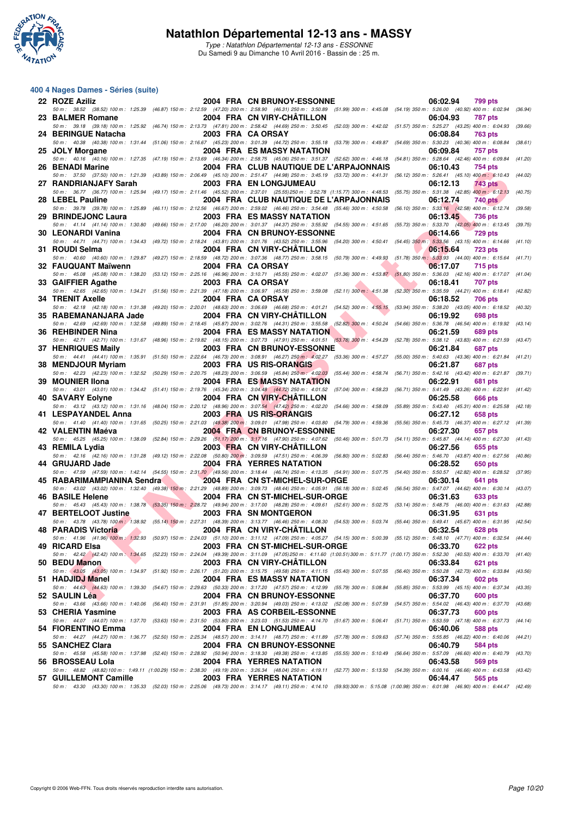

#### **400 4 Nages Dames - Séries (suite)**

| 22 ROZE Aziliz             | 2004 FRA CN BRUNOY-ESSONNE                                                                                                                                                                                                      | 06:02.94<br>799 pts                                                          |
|----------------------------|---------------------------------------------------------------------------------------------------------------------------------------------------------------------------------------------------------------------------------|------------------------------------------------------------------------------|
| 23 BALMER Romane           | 50 m: 38.52 (38.52) 100 m: 1:25.39 (46.87) 150 m: 2:12.59 (47.20) 200 m: 2:58.90 (46.31) 250 m: 3:50.89 (51.99) 300 m: 4:45.08 (54.19) 350 m: 5:26.00 (40.92) 400 m: 6:02.94<br>2004 FRA CN VIRY-CHATILLON                      | (36.94)<br>06:04.93<br>787 pts                                               |
|                            | 50 m: 39.18 (39.18) 100 m: 1:25.92 (46.74) 150 m: 2:13.73 (47.81) 200 m: 2:58.42 (44.69) 250 m: 3:50.45 (52.03) 300 m: 4:42.02 (51.57) 350 m: 5:25.27 (43.25) 400 m: 6:04.93 (39.66)                                            |                                                                              |
| 24 BERINGUE Natacha        | 2003 FRA CAORSAY                                                                                                                                                                                                                | 06:08.84<br>763 pts                                                          |
| 25 JOLY Morgane            | 50 m: 40.38 (40.38) 100 m: 1:31.44 (51.06) 150 m: 2:16.67 (45.23) 200 m: 3:01.39 (44.72) 250 m: 3:55.18 (53.79) 300 m: 4:49.87 (54.69) 350 m: 5:30.23 (40.36) 400 m: 6:08.84<br>2004 FRA ES MASSY NATATION                      | (38.61)<br>06:09.84<br>757 pts                                               |
|                            | 50 m: 40.16 (40.16) 100 m: 1:27.35 (47.19) 150 m: 2:13.69 (46.34) 200 m: 2:58.75 (45.06) 250 m: 3:51.37 (52.62) 300 m: 4:46.18 (54.81) 350 m: 5:28.64 (42.46) 400 m: 6:09.84                                                    | (41.20)                                                                      |
| 26 BENADI Marine           | 2004 FRA CLUB NAUTIQUE DE L'ARPAJONNAIS                                                                                                                                                                                         | 06:10.43<br>754 pts                                                          |
| 27 RANDRIANJAFY Sarah      | 50 m: 37.50 (37.50) 100 m: 1:21.39 (43.89) 150 m: 2:06.49 (45.10) 200 m: 2:51.47 (44.98) 250 m: 3:45.19 (53.72) 300 m: 4:41.31 (56.12) 350 m: 5:26.41 (45.10) 400 m: 6:10.43 (44.02)<br>2003 FRA EN LONGJUMEAU                  | 06:12.13<br>743 pts                                                          |
|                            | 50 m: 36.77 (36.77) 100 m: 1:25.94 (49.17) 150 m: 2:11.46 (45.52) 200 m: 2:37.01 (25.55) 250 m: 3:52.78 (1:15.77) 300 m: 4:48.53 (55.75) 350 m: 5:31.38 (42.85) 400 m: 6:12.13                                                  | (40.75)                                                                      |
| 28 LEBEL Pauline           | 2004 FRA CLUB NAUTIQUE DE L'ARPAJONNAIS<br>50 m: 39.78 (39.78) 100 m: 1:25.89 (46.11) 150 m: 2:12.56 (46.67) 200 m: 2:59.02 (46.46) 250 m: 3:54.48 (55.46) 300 m: 4:50.58 (56.10) 350 m: 5:33.16 (42.58) 400 m: 6:12.74 (39.58) | 06:12.74<br>740 pts                                                          |
| 29 BRINDEJONC Laura        | <b>2003 FRA ES MASSY NATATION</b>                                                                                                                                                                                               | 06:13.45<br><b>736 pts</b>                                                   |
|                            | 50 m: 41.14 (41.14) 100 m: 1:30.80 (49.66) 150 m: 2:17.00 (46.20) 200 m: 3:01.37 (44.37) 250 m: 3:55.92 (54.55) 300 m: 4:51.65 (55.73) 350 m: 5:33.70 (42.05) 400 m: 6:13.45 (39.75)                                            |                                                                              |
| 30 LEONARDI Vanina         | <b>2004 FRA CN BRUNOY-ESSONNE</b><br>50 m: 44.71 (44.71) 100 m: 1:34.43 (49.72) 150 m: 2:18.24 (43.81) 200 m: 3:01.76 (43.52) 250 m: 3:55.96 (54.20) 300 m: 4:50.41 (54.45) 350 m: 5:33.56 (43.15) 400 m: 6:14.66 (41.10)       | 06:14.66<br><b>729 pts</b>                                                   |
| 31 ROUDI Selma             | 2004 FRA CN VIRY-CHATILLON                                                                                                                                                                                                      | 06:15.64<br><b>723 pts</b>                                                   |
| 32 FAUQUANT Maïwenn        | 50 m: 40.60 (40.60) 100 m: 1:29.87 (49.27) 150 m: 2:18.59 (48.72) 200 m: 3:07.36 (48.77) 250 m: 3:58.15 (50.79) 300 m: 4:49.93 (51.78) 350 m: 5:33.93 (44.00) 400 m: 6:15.64 (41.71)<br>2004 FRA CA ORSAY                       | 06:17.07<br>715 pts                                                          |
|                            | 50 m: 45.08 (45.08) 100 m: 1:38.20 (53.12) 150 m: 2:25.16 (46.96) 200 m: 3:10.71 (45.55) 250 m: 4:02.07 (51.36) 300 m: 4:53.87 (51.80) 350 m: 5:36.03 (42.16) 400 m: 6:17.07 (41.04)                                            |                                                                              |
| 33 GAIFFIER Agathe         | 2003 FRA CA ORSAY                                                                                                                                                                                                               | 06:18.41<br>707 pts                                                          |
| 34 TRENIT Axelle           | 50 m: 42.65 (42.65) 100 m: 1:34.21 (51.56) 150 m: 2:21.39 (47.18) 200 m: 3:06.97 (45.58) 250 m: 3:59.08 (52.11) 300 m: 4:51.38 (52.30) 350 m: 5:35.59 (44.21) 400 m: 6:18.41 (42.82)<br>2004 FRA CA ORSAY                       | 06:18.52<br><b>706 pts</b>                                                   |
|                            | 50 m: 42.18 (42.18) 100 m: 1:31.38 (49.20) 150 m: 2:20.01 (48.63) 200 m: 3:06.69 (46.68) 250 m: 4:01.21 (54.52) 300 m: 4:55.15 (53.94) 350 m: 5:38.20 (43.05) 400 m: 6:18.52 (40.32)                                            |                                                                              |
| 35 RABEMANANJARA Jade      | 2004 FRA CN VIRY-CHATILLON<br>50 m: 42.69 (42.69) 100 m: 1:32.58 (49.89) 150 m: 2:18.45 (45.87) 200 m: 3:02.76 (44.31) 250 m: 3:55.58 (52.82) 300 m: 4:50.24 (54.66) 350 m: 5:36.78 (46.54) 400 m: 6:19.92 (43.14)              | 06:19.92<br>698 pts                                                          |
| 36 REHBINDER Nina          | 2004 FRA ES MASSY NATATION                                                                                                                                                                                                      | 06:21.59<br>689 pts                                                          |
| 37 HENRIQUES Maily         | 50 m: 42.71 (42.71) 100 m: 1:31.67 (48.96) 150 m: 2:19.82 (48.15) 200 m: 3:07.73 (47.91) 250 m: 4:01.51 (53.78) 300 m: 4:54.29 (52.78) 350 m: 5:38.12 (43.83) 400 m: 6:21.59<br><b>2003 FRA CN BRUNOY-ESSONNE</b>               | (43.47)<br>06:21.84<br>687 pts                                               |
|                            | 50 m: 44.41 (44.41) 100 m: 1:35.91 (51.50) 150 m: 2:22.64 (46.73) 200 m: 3:08.91 (46.27) 250 m: 4:02.27 (53.36) 300 m: 4:57.27 (55.00) 350 m: 5:40.63 (43.36) 400 m: 6:21.84 (41.21)                                            |                                                                              |
| 38 MENDJOUR Myriam         | 2003 FRA US RIS-ORANGIS                                                                                                                                                                                                         | 06:21.87<br>687 pts                                                          |
| 39 MOUNIER IIona           | 50 m: 42.23 (42.23) 100 m: 1:32.52 (50.29) 150 m: 2:20.75 (48.23) 200 m: 3:06.59 (45.84) 250 m: 4:02.03 (55.44) 300 m: 4:58.74 (56.71) 350 m: 5:42.16 (43.42) 400 m: 6:21.87 (39.71)<br><b>2004 FRA ES MASSY NATATION</b>       | 06:22.91<br><b>681 pts</b>                                                   |
|                            | 50 m : 43.01 (43.01) 100 m : 1:34.42 (51.41) 150 m : 2:19.76 (45.34) 200 m : 3:04.48 (44.72) 250 m : 4:01.52 (57.04) 300 m : 4:58.23                                                                                            | (56.71) 350 m: 5:41.49 (43.26) 400 m: 6:22.91 (41.42)                        |
| 40 SAVARY Eolyne           | 2004 FRA CN VIRY-CHATILLON<br>50 m : 43.12 (43.12) 100 m : 1:31.16 (48.04) 150 m : 2:20.12 (48.96) 200 m : 3:07.54 (47.42) 250 m : 4:02.20 (54.66) 300 m : 4:58.09                                                              | 06:25.58<br>666 pts<br>(55.89) 350 m: 5:43.40 (45.31) 400 m: 6:25.58 (42.18) |
| 41 LESPAYANDEL Anna        | 2003 FRA US RIS-ORANGIS                                                                                                                                                                                                         | 06:27.12<br>658 pts                                                          |
| 42 VALENTIN Maéva          | 50 m : 41.40 (41.40) 100 m : 1:31.65 (50.25) 150 m : 2:21.03 (49.38) 200 m : 3:09.01 (47.98) 250 m : 4:03.80 (54.79) 300 m : 4:59.36<br><b>2004 FRA CN BRUNOY-ESSONNE</b>                                                       | (55.56) 350 m: 5:45.73 (46.37) 400 m: 6:27.12 (41.39)<br>06:27.30<br>657 pts |
|                            | 50 m: 45.25 (45.25) 100 m: 1:38.09 (52.84) 150 m: 2:29.26 (51.17) 200 m: 3:17.16 (47.90) 250 m: 4:07.62 (50.46) 300 m: 5:01.73 (54.11) 350 m: 5:45.87 (44.14) 400 m: 6:27.30 (41.43)                                            |                                                                              |
| 43 REMILA Lydia            | 2003 FRA CN VIRY-CHATILLON<br>50 m: 42.16 (42.16) 100 m: 1:31.28 (49.12) 150 m: 2:22.08 (50.80) 200 m: 3:09.59 (47.51) 250 m: 4:06.39 (56.80) 300 m: 5:02.83 (56.44) 350 m: 5:46.70 (43.87) 400 m: 6:27.56                      | 06:27.56<br>655 pts<br>(40.86)                                               |
| 44 GRUJARD Jade            | <b>2004 FRA YERRES NATATION</b>                                                                                                                                                                                                 | 06:28.52<br>650 pts                                                          |
| 45 RABARIMAMPIANINA Sendra | 50 m: 47.59 (47.59) 100 m: 1:42.14 (54.55) 150 m: 2:31.70 (49.56) 200 m: 3:18.44 (46.74) 250 m: 4:13.35 (54.91) 300 m: 5:07.75 (54.40) 350 m: 5:50.57 (42.82) 400 m: 6:28.52 (37.95)<br>2004 FRA CN ST-MICHEL-SUR-ORGE          | 06:30.14<br>641 pts                                                          |
|                            | 50 m : 43.02 (43.02) 100 m : 1:32.40 (49.38) 150 m : 2:21.29 (48.89) 200 m : 3:09.73 (48.44) 250 m : 4:05.91 (56.18) 300 m : 5:02.45 (56.54) 350 m : 5:47.07 (44.62) 400 m : 6:30.14 (43.07)                                    |                                                                              |
| 46 BASILE Helene           | 2004 FRA CN ST-MICHEL-SUR-ORGE                                                                                                                                                                                                  | 06:31.63<br><b>633 pts</b>                                                   |
| 47 BERTELOOT Justine       | 50 m: 45.43 (45.43) 100 m: 1:38.78 (53.35) 150 m: 2:28.72 (49.94) 200 m: 3:17.00 (48.28) 250 m: 4:09.61 (52.61) 300 m: 5:02.75 (53.14) 350 m: 5:48.75 (46.00) 400 m: 6:31.63 (42.88)<br>2003 FRA SN MONTGERON                   | 06:31.95<br>631 pts                                                          |
|                            | 50 m: 43.78 (43.78) 100 m: 1:38.92 (55.14) 150 m: 2:27.31 (48.39) 200 m: 3:13.77 (46.46) 250 m: 4:08.30 (54.53) 300 m: 5:03.74 (55.44) 350 m: 5:49.41 (45.67) 400 m: 6:31.95 (42.54)                                            |                                                                              |
| 48 PARADIS Victoria        | 2004 FRA CN VIRY-CHÂTILLON<br>50 m: 41.96 (41.96) 100 m: 132.93 (50.97) 150 m: 2:24.03 (51.10) 200 m: 3:11.12 (47.09) 250 m: 4:05.27 (54.15) 300 m: 5:00.39 (55.12) 350 m: 5:48.10 (47.71) 400 m: 6:32.54 (44.44)               | 06:32.54<br>628 pts                                                          |
| 49 RICARD Elsa             | 2003 FRA CN ST-MICHEL-SUR-ORGE                                                                                                                                                                                                  | 06:33.70<br><b>622 pts</b>                                                   |
| 50 BEDU Manon              | 50 m: 42.42 (42.42) 100 m: 1:34.65 (52.23) 150 m: 2:24.04 (49.39) 200 m: 3:11.09 (47.05) 250 m: 4:11.60 (1:00.51) 300 m: 5:11.77 (1:00.17) 350 m: 5:52.30 (40.53) 400 m: 6:33.70<br>2003 FRA CN VIRY-CHATILLON                  | (41.40)<br>06:33.84<br>621 pts                                               |
|                            | 50 m: 43.05 (43.05) 100 m: 1:34.97 (51.92) 150 m: 2:26.17 (51.20) 200 m: 3:15.75 (49.58) 250 m: 4:11.15 (55.40) 300 m: 5:07.55 (56.40) 350 m: 5:50.28 (42.73) 400 m: 6:33.84 (43.56)                                            |                                                                              |
| 51 HADJIDJ Manel           | 2004 FRA ES MASSY NATATION<br>50 m: 44.63 (44.63) 100 m: 1:39.30 (54.67) 150 m: 2:29.63 (50.33) 200 m: 3:17.20 (47.57) 250 m: 4:12.99 (55.79) 300 m: 5:08.84 (55.85) 350 m: 5:53.99 (45.15) 400 m: 6:37.34 (43.35)              | 06:37.34<br>602 pts                                                          |
| 52 SAULIN Léa              | 2004 FRA CN BRUNOY-ESSONNE                                                                                                                                                                                                      | 06:37.70<br><b>600 pts</b>                                                   |
|                            | 50 m: 43.66 (43.66) 100 m: 1:40.06 (56.40) 150 m: 2:31.91 (51.85) 200 m: 3:20.94 (49.03) 250 m: 4:13.02 (52.08) 300 m: 5:07.59 (54.57) 350 m: 5:54.02 (46.43) 400 m: 6:37.70 (43.68)                                            |                                                                              |
| 53 CHERIA Yasmine          | 2003 FRA AS CORBEIL-ESSONNE<br>50 m: 44.07 (44.07) 100 m: 1:37.70 (53.63) 150 m: 2:31.50 (53.80) 200 m: 3:23.03 (51.53) 250 m: 4:14.70 (51.67) 300 m: 5:06.41 (51.71) 350 m: 5:53.59 (47.18) 400 m: 6:37.73 (44.14)             | 06:37.73<br>600 pts                                                          |
| 54 FIORENTINO Emma         | 2004 FRA EN LONGJUMEAU                                                                                                                                                                                                          | 06:40.06<br>588 pts                                                          |
| 55 SANCHEZ Clara           | 50 m: 44.27 (44.27) 100 m: 1:36.77 (52.50) 150 m: 2:25.34 (48.57) 200 m: 3:14.11 (48.77) 250 m: 4:11.89 (57.78) 300 m: 5:09.63 (57.74) 350 m: 5:55.85 (46.22) 400 m: 6:40.06 (44.21)<br>2004 FRA CN BRUNOY-ESSONNE              | 06:40.79<br>584 pts                                                          |
|                            | 50 m : 45.58 (45.58) 100 m : 1:37.98 (52.40) 150 m : 2:28.92 (50.94) 200 m : 3:18.30 (49.38) 250 m : 4:13.85 (55.55) 300 m : 5:10.49 (56.64) 350 m : 5:57.09 (46.60) 400 m : 6:40.79                                            | (43.70)                                                                      |
| 56 BROSSEAU Lola           | 2004 FRA YERRES NATATION<br>50 m: 48.82 (48.82) 100 m: 1:49.11 (1:00.29) 150 m: 2:38.30 (49.19) 200 m: 3:26.34 (48.04) 250 m: 4:19.11 (52.77) 300 m: 5:13.50 (54.39) 350 m: 6:00.16 (46.66) 400 m: 6:43.58 (43.42)              | 06:43.58<br>569 pts                                                          |
| 57 GUILLEMONT Camille      | 2003 FRA YERRES NATATION                                                                                                                                                                                                        | 06:44.47<br>565 pts                                                          |
|                            | 50 m: 43.30 (43.30) 100 m: 1:35.33 (52.03) 150 m: 2:25.06 (49.73) 200 m: 3:14.17 (49.11) 250 m: 4:14.10 (59.93) 300 m: 5:15.08 (1:00.98) 350 m: 6:01.98 (46.90) 400 m: 6:44.47 (42.49)                                          |                                                                              |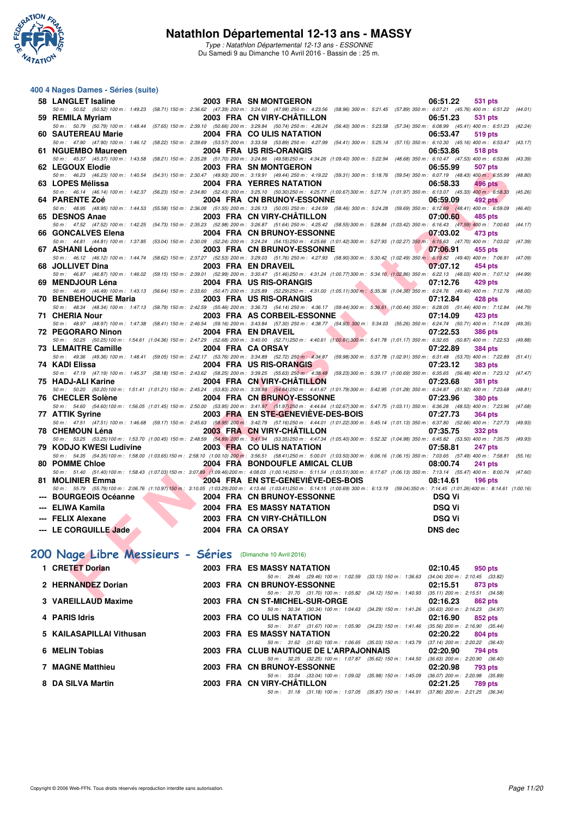

Type : Natathlon Départemental 12-13 ans - ESSONNE Du Samedi 9 au Dimanche 10 Avril 2016 - Bassin de : 25 m.

#### **400 4 Nages Dames - Séries (suite)**

| 58 LANGLET Isaline                                                  |                                                   | 2003 FRA SN MONTGERON                                                                                                                                                                                                                                             | 06:51.22<br><b>531 pts</b> |
|---------------------------------------------------------------------|---------------------------------------------------|-------------------------------------------------------------------------------------------------------------------------------------------------------------------------------------------------------------------------------------------------------------------|----------------------------|
|                                                                     |                                                   | 50 m: 50.52 (50.52) 100 m: 1:49.23 (58.71) 150 m: 2:36.62 (47.39) 200 m: 3:24.60 (47.98) 250 m: 4:23.56 (58.96) 300 m: 5:21.45 (57.89) 350 m: 6:07.21 (45.76) 400 m: 6:51.22 (44.01)                                                                              |                            |
| 59 REMILA Myriam                                                    |                                                   | 2003 FRA CN VIRY-CHÂTILLON<br>50 m: 50.79 (50.79) 100 m: 1:48.44 (57.65) 150 m: 2:39.10 (50.66) 200 m: 3:29.84 (50.74) 250 m: 4:26.24 (56.40) 300 m: 5:23.58 (57.34) 350 m: 6:08.99 (45.41) 400 m: 6:51.23 (42.24)                                                | 06:51.23<br><b>531 pts</b> |
| 60 SAUTEREAU Marie                                                  |                                                   | 2004 FRA COULIS NATATION                                                                                                                                                                                                                                          | 06:53.47<br><b>519 pts</b> |
|                                                                     |                                                   | 50 m: 47.90 (47.90) 100 m: 1:46.12 (58.22) 150 m: 2:39.69 (53.57) 200 m: 3:33.58 (53.89) 250 m: 4:27.99 (54.41) 300 m: 5:25.14 (57.15) 350 m: 6:10.30 (45.16) 400 m: 6:53.47 (43.17)                                                                              |                            |
| 61 NGUEMBO Maureen                                                  |                                                   | 2004 FRA US RIS-ORANGIS                                                                                                                                                                                                                                           | 06:53.86<br><b>518 pts</b> |
|                                                                     |                                                   | 50 m: 45.37 (45.37) 100 m: 1:43.58 (58.21) 150 m: 2:35.28 (51.70) 200 m: 3:24.86 (49.58) 250 m: 4:34.26 (1:09.40) 300 m: 5:22.94 (48.68) 350 m: 6:10.47 (47.53) 400 m: 6:53.86 (43.39)                                                                            |                            |
| 62 LEGOUX Elodie                                                    |                                                   | 2003 FRA SN MONTGERON<br>50 m: 46.23 (46.23) 100 m: 1:40.54 (54.31) 150 m: 2:30.47 (49.93) 200 m: 3:19.91 (49.44) 250 m: 4:19.22 (59.31) 300 m: 5:18.76 (59.54) 350 m: 6:07.19 (48.43) 400 m: 6:55.99 (48.80)                                                     | 06:55.99<br><b>507 pts</b> |
| 63 LOPES Mélissa                                                    |                                                   | 2004 FRA YERRES NATATION                                                                                                                                                                                                                                          | 06:58.33<br><b>496 pts</b> |
|                                                                     |                                                   | 50 m: 46.14 (46.14) 100 m: 1:42.37 (56.23) 150 m: 2:34.80 (52.43) 200 m: 3:25.10 (50.30) 250 m: 425.77 (1:00.67) 300 m: 5:27.74 (1:01.97) 350 m: 6:13.07 (45.33) 400 m: 6:58.33                                                                                   | (45.26)                    |
| 64 PARENTE Zoé                                                      |                                                   | 2004 FRA CN BRUNOY-ESSONNE                                                                                                                                                                                                                                        | 06:59.09<br><b>492 pts</b> |
|                                                                     |                                                   | 50 m: 48.95 (48.95) 100 m: 1:44.53 (55.58) 150 m: 2:36.08 (51.55) 200 m: 3:26.13 (50.05) 250 m: 4:24.59 (58.46) 300 m: 5:24.28 (59.69) 350 m: 6:12.69 (48.41) 400 m: 6:59.09 (46.40)                                                                              |                            |
| 65 DESNOS Anae                                                      |                                                   | 2003 FRA CN VIRY-CHATILLON                                                                                                                                                                                                                                        | 07:00.60<br>485 pts        |
|                                                                     |                                                   | 50 m: 47.52 (47.52) 100 m: 1:42.25 (54.73) 150 m: 2:35.23 (52.98) 200 m: 3:26.87 (51.64) 250 m: 4:25.42 (58.55) 300 m: 5:28.84 (1:03.42) 350 m: 6:16.43 (47.59) 400 m: 7:00.60 (44.17)                                                                            |                            |
| 66 GONCALVES Elena <b>Santa Contract Contract Contract Contract</b> |                                                   | 2004 FRA CN BRUNOY-ESSONNE<br>50 m: 44.81 (44.81) 100 m: 1:37.85 (53.04) 150 m: 2:30.09 (52.24) 200 m: 3:24.24 (54.15) 250 m: 4:25.66 (1:01.42) 300 m: 5:27.93 (1:02.27) 350 m: 6:15.63 (47.70) 400 m: 7:03.02 (47.39)                                            | 07:03.02<br>473 pts        |
| 67 ASHANI Léona                                                     |                                                   | 2003 FRA CN BRUNOY-ESSONNE 2003 FRA CN BRUNOY-ESSONNE                                                                                                                                                                                                             | 455 pts                    |
|                                                                     |                                                   | 50 m: 46.12 (46.12) 100 m: 1:44.74 (58.62) 150 m: 2:37.27 (52.53) 200 m: 3:29.03 (51.76) 250 m: 4:27.93 (58.90) 300 m: 5:30.42 (1:02.49) 350 m: 6:19.82 (49.40) 400 m: 7:06.91 (47.09)                                                                            |                            |
| 68 JOLLIVET Dina                                                    |                                                   | <b><i>Contract Contract Contract Contract Contract Contract Contract Contract Contract Contract Contract Contract Contract Contract Contract Contract Contract Contract Contract Contract Contract Contract Contract Contract Cont</i></b><br>2003 FRA EN DRAVEIL | 07:07.12<br>454 pts        |
|                                                                     |                                                   | 50 m: 46.87 (46.87) 100 m: 1:46.02 (59.15) 150 m: 2:39.01 (52.99) 200 m: 3:30.47 (51.46) 250 m: 4:31.24 (1:00.77) 300 m: 5:34.10 (1:02.86) 350 m: 6:22.13 (48.03) 400 m: 7:07.12 (44.99)                                                                          |                            |
| 69 MENDJOUR Léna                                                    |                                                   | 2004 FRA US RIS-ORANGIS                                                                                                                                                                                                                                           | 07:12.76<br>429 pts        |
| 70 BENBEHOUCHE Maria                                                |                                                   | 50 m: 46.49 (46.49) 100 m: 1:43.13 (56.64) 150 m: 2:33.60 (50.47) 200 m: 3:25.89 (52.29) 250 m: 4:31.00 (1:05.11) 300 m: 5:35.36 (1:04.36) 350 m: 6:24.76 (49.40) 400 m: 7:12.76 (48.00)<br><b>The Community of the Community</b><br>2003 FRA US RIS-ORANGIS      | 07:12.84<br><b>428 pts</b> |
|                                                                     |                                                   | 50 m: 48.34 (48.34) 100 m: 1:47.13 (58.79) 150 m: 2:42.59 (55.46) 200 m: 3:36.73 (54.14) 250 m: 4:36.17 (59.44) 300 m: 5:36.61 (1:00.44) 350 m: 6:28.05 (51.44) 400 m: 7:12.84 (44.79)                                                                            |                            |
| 71 CHERIA Nour                                                      |                                                   | 2003 FRA AS CORBEIL-ESSONNE                                                                                                                                                                                                                                       | 07:14.09<br>423 pts        |
|                                                                     |                                                   | 50 m: 48.97 (48.97) 100 m: 1:47.38 (58.41) 150 m: 2:46.54 (59.16) 200 m: 3:43.84 (57.30) 250 m: 4:38.77 (54.93) 300 m: 5:34.03 (55.26) 350 m: 6:24.74 (50.71) 400 m: 7:14.09 (49.35)                                                                              |                            |
| 72 PEGORARO Ninon                                                   |                                                   | 2004 FRA EN DRAVEIL                                                                                                                                                                                                                                               | 07:22.53<br><b>386 pts</b> |
| 73 LEMAITRE Camille                                                 |                                                   | 50 m: 50.25 (50.25)100 m: 1:54.61 (1:04.36) 150 m: 2:47.29 (52.68) 200 m: 3:40.00 (52.71) 250 m: 4:40.61 (1:00.61) 300 m: 5:41.78 (1:01.17) 350 m: 6:32.65 (50.87) 400 m: 7:22.53 (49.88)<br>2004 FRA CA ORSAY                                                    | <b>384 pts</b><br>07:22.89 |
|                                                                     |                                                   | 50 m: 49.36 (49.36) 100 m: 1:48.41 (59.05) 150 m: 2:42.17 (53.76) 200 m: 3:34.89 (52.72) 250 m: 4:34.87 (59.98) 300 m: 5:37.78 (1:02.91) 350 m: 6:31.48 (53.70) 400 m: 7:22.89 (51.41)                                                                            |                            |
| 74 KADI Elissa                                                      |                                                   | 2004 FRA US RIS-ORANGIS                                                                                                                                                                                                                                           | 07:23.12<br>383 pts        |
|                                                                     |                                                   | 50 m: 47.19 (47.19) 100 m: 1:45.37 (58.18) 150 m: 2:43.62 (58.25) 200 m: 3:39.25 (55.63) 250 m: 4:38.48 (59.23) 300 m: 5:39.17 (1:00.69) 350 m: 6:35.65 (56.48) 400 m: 7:23.12 (47.47)                                                                            |                            |
| 75 HADJ-ALI Karine                                                  |                                                   | 2004 FRA CN VIRY-CHÂTILLON                                                                                                                                                                                                                                        | 07:23.68<br><b>381 pts</b> |
|                                                                     |                                                   | 50 m: 50.20 (50.20)100 m: 1:51.41 (1:01.21) 150 m: 2:45.24 (53.83) 200 m: 3:39.88 (54.64) 250 m: 4:41.67 (1:01.79) 300 m: 5:42.95 (1:01.28) 350 m: 6:34.87 (51.92) 400 m: 7:23.68 (48.81)<br>2004 FRA CN BRUNOY-ESSONNE 07:23.96                                  |                            |
| 76 CHECLER Solène <b>Manual Structure 1996</b>                      |                                                   | 50 m: 54.60 (54.60) 100 m: 1:56.05 (1:01.45) 150 m: 2:50.00 (53.95) 200 m: 3:41.97 (51.97) 250 m: 4:44.64 (1:02.67) 300 m: 5:47.75 (1:03.11) 350 m: 6:36.28 (48.53) 400 m: 7:23.96                                                                                | <b>380 pts</b><br>(47.68)  |
| 77 ATTIK Syrine                                                     |                                                   | 2003 FRA EN STE-GENEVIEVE-DES-BOIS                                                                                                                                                                                                                                | 07:27.73<br><b>364 pts</b> |
|                                                                     |                                                   | 50 m: 47.51 (47.51) 100 m: 1:46.68 (59.17) 150 m: 2:45.63 (58.95) 200 m: 3:42.79 (57.16) 250 m: 4:44.01 (1:01.22) 300 m: 5:45.14 (1:01.13) 350 m: 6:37.80 (52.66) 400 m: 7:27.73 (49.93)                                                                          |                            |
| 78 CHEMOUN Léna                                                     |                                                   | 2003 FRA CN VIRY-CHATILLON                                                                                                                                                                                                                                        | 07:35.75<br>332 pts        |
|                                                                     |                                                   | 50 m: 53.25 (53.25) 100 m: 1:53.70 (1:00.45) 150 m: 2:48.59 (54.89) 200 m: 3:41.94 (53.35) 250 m: 4:47.34 (1:05.40) 300 m: 5:52.32 (1:04.98) 350 m: 6:45.82 (53.50) 400 m: 7:35.75 (49.93)                                                                        |                            |
| 79 KODJO KWESI Ludivine                                             |                                                   | <b>2003 FRA CO ULIS NATATION</b><br>50 m: 54.35 (54.35) 100 m: 1:58.00 (1:03.65) 150 m: 2:58.10 (1:00.10) 200 m: 3:56.51 (58.41) 250 m: 5:00.01 (1:03.50) 300 m: 6:06.16 (1:06.15) 350 m: 7:03.65 (57.49) 400 m: 7:58.81 (55.16)                                  | 07:58.81<br><b>247 pts</b> |
| 80 POMME Chloe                                                      |                                                   | 2004 FRA BONDOUFLE AMICAL CLUB                                                                                                                                                                                                                                    | 08:00.74<br>241 pts        |
|                                                                     |                                                   | 50 m: 51.40 (51.40) 100 m: 1:58.43 (1:07.03) 150 m: 3:07.89 (1:09.46) 200 m: 4:08.03 (1:00.14) 250 m: 5:11.54 (1:03.51) 300 m: 6:17.67 (1:06.13) 350 m: 7:13.14 (55.47) 400 m: 8:00.74 (47.60)                                                                    |                            |
| 81 MOLINIER Emma                                                    | <b><i>Contract Contract Contract Contract</i></b> | 2004 FRA EN STE-GENEVIEVE-DES-BOIS                                                                                                                                                                                                                                | 08:14.61<br>$196$ pts      |
|                                                                     |                                                   | 50 m: 55.79 (55.79)100 m: 2:06.76 (1:10.97)150 m: 3:10.05 (1:03.29)200 m: 4:13.46 (1:03.41)250 m: 5:14.15 (1:00.69) 300 m: 6:13.19 (59.04)350 m: 7:14.45 (1:01.26)400 m: 8:14.61 (1:00.16)                                                                        |                            |
| --- BOURGEOIS Océanne                                               |                                                   | 2004 FRA CN BRUNOY-ESSONNE                                                                                                                                                                                                                                        | <b>DSQ Vi</b>              |
| --- ELIWA Kamila                                                    |                                                   | <b>2004 FRA ES MASSY NATATION</b>                                                                                                                                                                                                                                 | <b>DSQ Vi</b>              |
| --- FELIX Alexane                                                   |                                                   | 2003 FRA CN VIRY-CHÂTILLON                                                                                                                                                                                                                                        | <b>DSQ Vi</b>              |
| --- LE CORGUILLE Jade                                               |                                                   | 2004 FRA CA ORSAY                                                                                                                                                                                                                                                 | <b>DNS dec</b>             |
|                                                                     |                                                   |                                                                                                                                                                                                                                                                   |                            |
|                                                                     |                                                   |                                                                                                                                                                                                                                                                   |                            |
| 100 Nage Libre Messieurs - Séries (Dimanche 10 Avril 2016)          |                                                   |                                                                                                                                                                                                                                                                   |                            |
| 1 CRETET Dorian                                                     |                                                   | 2003 FRA ES MASSY NATATION                                                                                                                                                                                                                                        | 02:10.45<br>950 pts        |
|                                                                     |                                                   | 50 m: 29.46 (29.46) 100 m: 1:02.59 (33.13) 150 m: 1:36.63 (34.04) 200 m: 2:10.45 (33.82)                                                                                                                                                                          |                            |
| 2 HERNANDEZ Dorian                                                  |                                                   | 2003 FRA CN BRUNOY-ESSONNE                                                                                                                                                                                                                                        | 02:15.51<br>873 pts        |
| $\Omega$ , VADEU LAUD Movimes                                       |                                                   | 50 m: 31.70 (31.70) 100 m: 1:05.82 (34.12) 150 m: 1:40.93 (35.11) 200 m: 2:15.51 (34.58)<br>0000 FBA ON CT MIQUEL CUB OBOE                                                                                                                                        | $0.40.00$ $0.000$ $0.000$  |

# **[200 Nage Libre Messieurs - Séries](http://www.ffnatation.fr/webffn/resultats.php?idact=nat&go=epr&idcpt=38883&idepr=53)** (Dimanche 10 Avril 2016)

| 1 CRETET Dorian          |  | 2003 FRA ES MASSY NATATION                                                                    | 02:10.45                                        | 950 pts |         |
|--------------------------|--|-----------------------------------------------------------------------------------------------|-------------------------------------------------|---------|---------|
| 2 HERNANDEZ Dorian       |  | 50 m: 29.46 (29.46) 100 m: 1:02.59<br>$(33.13)$ 150 m : 1:36.63<br>2003 FRA CN BRUNOY-ESSONNE | $(34.04)$ 200 m : 2:10.45 $(33.82)$<br>02:15.51 | 873 pts |         |
|                          |  | 50 m : 31.70 (31.70) 100 m : 1:05.82<br>$(34.12)$ 150 m : 1:40.93                             | $(35.11)$ 200 m : 2:15.51 $(34.58)$             |         |         |
| 3 VAREILLAUD Maxime      |  | 2003 FRA CN ST-MICHEL-SUR-ORGE                                                                | 02:16.23                                        | 862 pts |         |
|                          |  | 50 m: 30.34 (30.34) 100 m: 1:04.63 (34.29) 150 m: 1:41.26                                     | $(36.63)$ 200 m : 2:16.23 $(34.97)$             |         |         |
| 4 PARIS Idris            |  | 2003 FRA CO ULIS NATATION                                                                     | 02:16.90                                        | 852 pts |         |
|                          |  | $(34.23)$ 150 m : 1:41.46<br>50 m : 31.67 (31.67) 100 m : 1:05.90                             | $(35.56)$ 200 m : 2:16.90 $(35.44)$             |         |         |
| 5 KAILASAPILLAI Vithusan |  | 2003 FRA ES MASSY NATATION                                                                    | 02:20.22                                        | 804 pts |         |
|                          |  | 50 m: 31.62 (31.62) 100 m: 1:06.65 (35.03) 150 m: 1:43.79                                     | $(37.14)$ 200 m : 2:20.22 $(36.43)$             |         |         |
| 6 MELIN Tobias           |  | 2003 FRA CLUB NAUTIQUE DE L'ARPAJONNAIS                                                       | 02:20.90                                        |         | 794 pts |
|                          |  | 50 m: 32.25 (32.25) 100 m: 1:07.87 (35.62) 150 m: 1:44.50                                     | $(36.63)$ 200 m : 2:20.90 $(36.40)$             |         |         |
| <b>7 MAGNE Matthieu</b>  |  | 2003 FRA CN BRUNOY-ESSONNE                                                                    | 02:20.98                                        | 793 pts |         |
|                          |  | 50 m : 33.04 (33.04) 100 m : 1:09.02<br>$(35.98)$ 150 m : 1:45.09                             | $(36.07)$ 200 m : 2:20.98 $(35.89)$             |         |         |
| 8 DA SILVA Martin        |  | 2003 FRA CN VIRY-CHÂTILLON                                                                    | 02:21.25                                        | 789 pts |         |
|                          |  | 50 m: 31.18 (31.18) 100 m: 1:07.05 (35.87) 150 m: 1:44.91                                     | $(37.86)$ 200 m : 2:21.25 $(36.34)$             |         |         |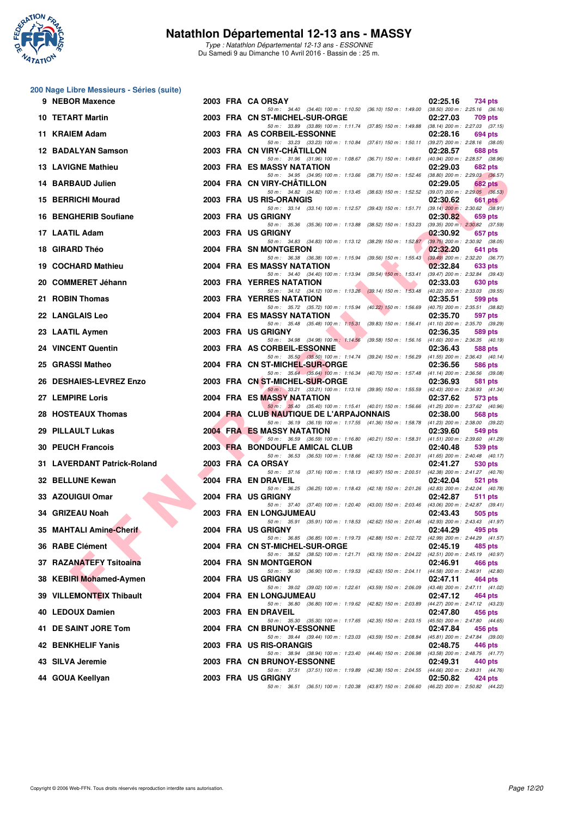

Type : Natathlon Départemental 12-13 ans - ESSONNE Du Samedi 9 au Dimanche 10 Avril 2016 - Bassin de : 25 m.

#### **200 Nage Libre Messieurs - Séries (suite)**

| 9 | <b>NEBOR Maxence</b>        |  | 2003 FRA CAORSAY<br>02:25.16<br>734 pts                                                                                                                          |  |
|---|-----------------------------|--|------------------------------------------------------------------------------------------------------------------------------------------------------------------|--|
|   | <b>10 TETART Martin</b>     |  | 50 m: 34.40 (34.40) 100 m: 1:10.50 (36.10) 150 m: 1:49.00 (38.50) 200 m: 2:25.16 (36.16)<br>2003 FRA CN ST-MICHEL-SUR-ORGE<br>02:27.03<br>709 pts                |  |
|   | 11 KRAIEM Adam              |  | 50 m: 33.89 (33.89) 100 m: 1:11.74 (37.85) 150 m: 1:49.88 (38.14) 200 m: 2:27.03 (37.15)<br>2003 FRA AS CORBEIL-ESSONNE<br>02:28.16<br>694 pts                   |  |
|   | 12 BADALYAN Samson          |  | 50 m: 33.23 (33.23) 100 m: 1:10.84 (37.61) 150 m: 1:50.11 (39.27) 200 m: 2:28.16 (38.05)<br>2003 FRA CN VIRY-CHATILLON<br>02:28.57<br>688 pts                    |  |
|   | <b>13 LAVIGNE Mathieu</b>   |  | 50 m: 31.96 (31.96) 100 m: 1:08.67 (36.71) 150 m: 1:49.61 (40.94) 200 m: 2:28.57 (38.96)<br>2003 FRA ES MASSY NATATION<br>02:29.03<br>682 pts                    |  |
|   | 14 BARBAUD Julien           |  | 50 m: 34.95 (34.95) 100 m: 1:13.66 (38.71) 150 m: 1:52.46 (38.80) 200 m: 2:29.03 (36.57)<br>2004 FRA CN VIRY-CHATILLON<br>02:29.05<br>682 pts                    |  |
|   | 15 BERRICHI Mourad          |  | 50 m: 34.82 (34.82) 100 m: 1:13.45 (38.63) 150 m: 1:52.52 (39.07) 200 m: 2:29.05 (36.53)<br>2003 FRA US RIS-ORANGIS<br>02:30.62<br>661 pts                       |  |
|   | 16 BENGHERIB Soufiane       |  | 50 m: 33.14 (33.14) 100 m: 1:12.57 (39.43) 150 m: 1:51.71<br>$(39.14)$ 200 m : 2:30.62 $(38.91)$<br>2003 FRA US GRIGNY<br>02:30.82<br>659 pts                    |  |
|   | 17 LAATIL Adam              |  | $(39.35)$ 200 m : 2:30.82 $(37.59)$<br>50 m: 35.36 (35.36) 100 m: 1:13.88 (38.52) 150 m: 1:53.23<br>2003 FRA US GRIGNY<br>02:30.92<br>657 pts                    |  |
|   | 18 GIRARD Théo              |  | 50 m: 34.83 (34.83) 100 m: 1:13.12 (38.29) 150 m: 1:52.87<br>$(39.75)$ 200 m : 2:30.92 $(38.05)$<br>2004 FRA SN MONTGERON<br>02:32.20<br>641 pts                 |  |
|   | 19 COCHARD Mathieu          |  | 50 m: 36.38 (36.38) 100 m: 1:15.94 (39.56) 150 m: 1:55.43 (39.49) 200 m: 2:32.20 (36.77)<br>2004 FRA ES MASSY NATATION<br>02:32.84<br>633 pts                    |  |
|   | 20 COMMERET Jéhann          |  | 50 m : 34.40 (34.40) 100 m : 1:13.94 (39.54) 150 m : 1:53.41<br>$(39.47)$ 200 m : 2:32.84 $(39.43)$<br>2003 FRA YERRES NATATION<br>02:33.03<br>630 pts           |  |
|   | 21 ROBIN Thomas             |  | 50 m: 34.12 (34.12) 100 m: 1:13.26 (39.14) 150 m: 1:53.48 (40.22) 200 m: 2:33.03 (39.55)<br>2003 FRA YERRES NATATION<br>02:35.51<br>599 pts                      |  |
|   | 22 LANGLAIS Leo             |  | 50 m: 35.72 (35.72) 100 m: 1:15.94 (40.22) 150 m: 1:56.69 (40.75) 200 m: 2:35.51 (38.82)<br><b>2004 FRA ES MASSY NATATION</b><br>02:35.70<br>597 pts             |  |
|   | 23 LAATIL Aymen             |  | 50 m: 35.48 (35.48) 100 m: 1:15.31 (39.83) 150 m: 1:56.41 (41.10) 200 m: 2:35.70 (39.29)<br>2003 FRA US GRIGNY<br>02:36.35<br>589 pts                            |  |
|   | 24 VINCENT Quentin          |  | 50 m: 34.98 (34.98) 100 m: 1:14.56<br>(39.58) 150 m: 1:56.16 (41.60) 200 m: 2:36.35 (40.19)<br>2003 FRA AS CORBEIL-ESSONNE<br>02:36.43<br>588 pts                |  |
|   | 25 GRASSI Matheo            |  | 50 m: 35.50 (35.50) 100 m: 1:14.74 (39.24) 150 m: 1:56.29 (41.55) 200 m: 2:36.43 (40.14)<br>2004 FRA CN ST-MICHEL-SUR-ORGE<br>02:36.56<br>586 pts                |  |
|   | 26 DESHAIES-LEVREZ Enzo     |  | 50 m: 35.64 (35.64) 100 m: 1:16.34 (40.70) 150 m: 1:57.48 (41.14) 200 m: 2:36.56 (39.08)<br>2003 FRA CN ST-MICHEL-SUR-ORGE<br>02:36.93<br><b>581 pts</b>         |  |
|   | 27 LEMPIRE Loris            |  | 50 m : 33.21 (33.21) 100 m : 1:13.16 (39.95) 150 m : 1:55.59 (42.43) 200 m : 2:36.93 (41.34)<br>2004 FRA ES MASSY NATATION<br>02:37.62<br>573 pts                |  |
|   | 28 HOSTEAUX Thomas          |  | 50 m: 35.40 (35.40) 100 m: 1:15.41 (40.01) 150 m: 1:56.66 (41.25) 200 m: 2:37.62 (40.96)<br>2004 FRA CLUB NAUTIQUE DE L'ARPAJONNAIS<br>02:38.00<br>568 pts       |  |
|   | 29 PILLAULT Lukas           |  | 50 m: 36.19 (36.19) 100 m: 1:17.55 (41.36) 150 m: 1:58.78 (41.23) 200 m: 2:38.00 (39.22)<br><b>2004 FRA ES MASSY NATATION</b><br>02:39.60<br>549 pts             |  |
|   | <b>30 PEUCH Francois</b>    |  | 50 m: 36.59 (36.59) 100 m: 1:16.80 (40.21) 150 m: 1:58.31 (41.51) 200 m: 2:39.60 (41.29)<br>2003 FRA BONDOUFLE AMICAL CLUB<br>02:40.48<br>539 pts                |  |
|   | 31 LAVERDANT Patrick-Roland |  | 50 m: 36.53 (36.53) 100 m: 1:18.66 (42.13) 150 m: 2:00.31 (41.65) 200 m: 2:40.48 (40.17)<br>2003 FRA CA ORSAY<br>02:41.27                                        |  |
|   |                             |  | 530 pts<br>50 m: 37.16 (37.16) 100 m: 1:18.13 (40.97) 150 m: 2:00.51 (42.38) 200 m: 2:41.27 (40.76)<br>2004 FRA EN DRAVEIL                                       |  |
|   | 32 BELLUNE Kewan            |  | 02:42.04<br><b>521 pts</b><br>50 m: 36.25 (36.25) 100 m: 1:18.43 (42.18) 150 m: 2:01.26 (42.83) 200 m: 2:42.04 (40.78)                                           |  |
|   | 33 AZOUIGUI Omar            |  | 2004 FRA US GRIGNY<br>02:42.87<br>511 pts<br>50 m: 37.40 (37.40) 100 m: 1:20.40 (43.00) 150 m: 2:03.46 (43.06) 200 m: 2:42.87 (39.41)                            |  |
|   | 34 GRIZEAU Noah             |  | <b>2003 FRA EN LONGJUMEAU</b><br>02:43.43<br>505 pts<br>50 m: 35.91 (35.91) 100 m: 1:18.53 (42.62) 150 m: 2:01.46 (42.93) 200 m: 2:43.43 (41.97)                 |  |
|   | 35 MAHTALI Amine-Cherif     |  | 2004 FRA US GRIGNY<br>02:44.29<br>495 pts<br>50 m: 36.85 (36.85) 100 m: 1:19.73 (42.88) 150 m: 2:02.72<br>(42.99) 200 m : 2:44.29 (41.57)                        |  |
|   | 36 RABE Clément             |  | 2004 FRA CN ST-MICHEL-SUR-ORGE<br>02:45.19<br>485 pts<br>50 m: 38.52 (38.52) 100 m: 1:21.71 (43.19) 150 m: 2:04.22 (42.51) 200 m: 2:45.19 (40.97)                |  |
|   | 37 RAZANATEFY Tsitoaina     |  | <b>2004 FRA SN MONTGERON</b><br>02:46.91<br>466 pts<br>50 m: 36.90 (36.90) 100 m: 1:19.53<br>(42.63) 150 m : 2:04.11<br>$(44.58)$ 200 m : 2:46.91 $(42.80)$      |  |
|   | 38 KEBIRI Mohamed-Aymen     |  | 2004 FRA US GRIGNY<br>02:47.11<br>464 pts<br>50 m: 39.02 (39.02) 100 m: 1:22.61 (43.59) 150 m: 2:06.09<br>(43.48) 200 m : 2:47.11 (41.02)                        |  |
|   | 39 VILLEMONTEIX Thibault    |  | 2004 FRA EN LONGJUMEAU<br>02:47.12<br>464 pts<br>50 m: 36.80 (36.80) 100 m: 1:19.62<br>(44.27) 200 m : 2:47.12 (43.23)<br>(42.82) 150 m : 2:03.89                |  |
|   | 40 LEDOUX Damien            |  | 2003 FRA EN DRAVEIL<br>02:47.80<br>456 pts<br>(45.50) 200 m : 2:47.80 (44.65)<br>50 m : 35.30 (35.30) 100 m : 1:17.65<br>(42.35) 150 m : 2:03.15                 |  |
|   | 41 DE SAINT JORE Tom        |  | <b>2004 FRA CN BRUNOY-ESSONNE</b><br>02:47.84<br>456 pts<br>50 m: 39.44 (39.44) 100 m: 1:23.03<br>(43.59) 150 m : 2:08.84<br>$(45.81)$ 200 m : 2:47.84 $(39.00)$ |  |
|   | 42 BENKHELIF Yanis          |  | 2003 FRA US RIS-ORANGIS<br>02:48.75<br>446 pts<br>(44.46) 150 m : 2:06.98<br>50 m : 38.94 (38.94) 100 m : 1:23.40<br>(43.58) 200 m : 2:48.75 (41.77)             |  |
|   | 43 SILVA Jeremie            |  | 2003 FRA CN BRUNOY-ESSONNE<br>02:49.31<br>440 pts<br>50 m: 37.51 (37.51) 100 m: 1:19.89<br>(42.38) 150 m : 2:04.55 (44.66) 200 m : 2:49.31 (44.76)               |  |
|   | 44 GOUA Keellyan            |  | 2003 FRA US GRIGNY<br>02:50.82<br>424 pts<br>50 m: 36.51 (36.51) 100 m: 1:20.38 (43.87) 150 m: 2:06.60 (46.22) 200 m: 2:50.82 (44.22)                            |  |
|   |                             |  |                                                                                                                                                                  |  |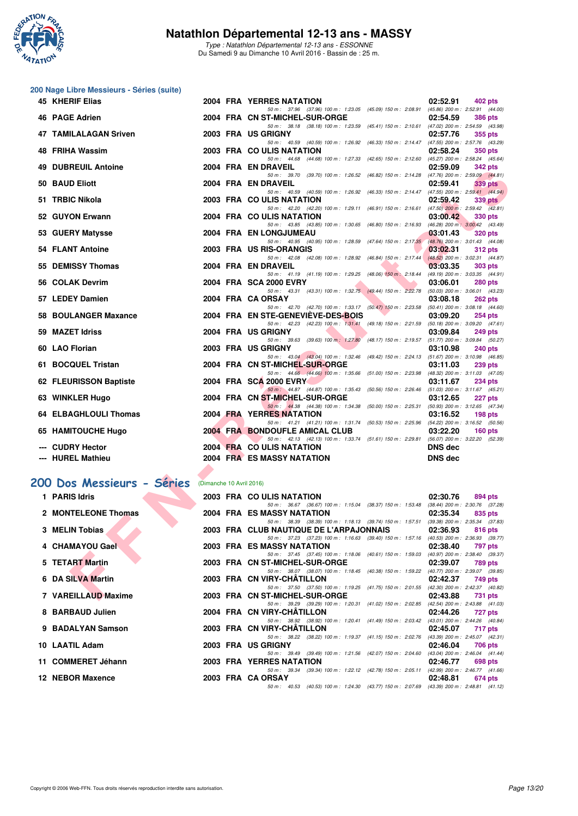

Type : Natathlon Départemental 12-13 ans - ESSONNE Du Samedi 9 au Dimanche 10 Avril 2016 - Bassin de : 25 m.

#### **200 Nage Libre Messieurs - Séries (suite)**

| 45 KHERIF Elias           |                          | <b>2004 FRA YERRES NATATION</b>                                                                                                     | 02:52.91<br>402 pts                                                                 |
|---------------------------|--------------------------|-------------------------------------------------------------------------------------------------------------------------------------|-------------------------------------------------------------------------------------|
| 46 PAGE Adrien            |                          | 50 m: 37.96 (37.96) 100 m: 1:23.05 (45.09) 150 m: 2:08.91<br>2004 FRA CN ST-MICHEL-SUR-ORGE                                         | $(45.86)$ 200 m : 2:52.91 $(44.00)$<br>02:54.59<br><b>386 pts</b>                   |
| 47 TAMILALAGAN Sriven     |                          | 50 m: 38.18 (38.18) 100 m: 1:23.59 (45.41) 150 m: 2:10.61 (47.02) 200 m: 2:54.59 (43.98)<br>2003 FRA US GRIGNY                      | 02:57.76                                                                            |
|                           |                          | 50 m: 40.59 (40.59) 100 m: 1:26.92 (46.33) 150 m: 2:14.47 (47.55) 200 m: 2:57.76 (43.29)                                            | 355 pts                                                                             |
| 48 FRIHA Wassim           |                          | 2003 FRA COULIS NATATION                                                                                                            | 02:58.24<br><b>350 pts</b>                                                          |
| 49 DUBREUIL Antoine       |                          | 50 m: 44.68 (44.68) 100 m: 1:27.33<br>(42.65) 150 m : 2:12.60<br>2004 FRA EN DRAVEIL                                                | (45.27) 200 m : 2:58.24 (45.64)<br>02:59.09<br>342 pts                              |
|                           |                          | 50 m: 39.70 (39.70) 100 m: 1:26.52 (46.82) 150 m: 2:14.28                                                                           | $(47.76)$ 200 m : 2:59.09 $(44.81)$                                                 |
| 50 BAUD Eliott            |                          | 2004 FRA EN DRAVEIL<br>50 m: 40.59 (40.59) 100 m: 1:26.92<br>(46.33) 150 m : 2:14.47                                                | 02:59.41<br><b>339 pts</b><br>$(47.55)$ 200 m : 2:59.41 $(44.94)$                   |
| 51 TRBIC Nikola           |                          | 2003 FRA COULIS NATATION                                                                                                            | 02:59.42<br>339 pts                                                                 |
| 52 GUYON Erwann           |                          | 50 m: 42.20 (42.20) 100 m: 1:29.11 (46.91) 150 m: 2:16.61<br>2004 FRA COULIS NATATION                                               | $(47.50)$ 200 m : 2:59.42 $(42.81)$<br>03:00.42<br>330 pts                          |
|                           |                          | 50 m: 43.85 (43.85) 100 m: 1:30.65 (46.80) 150 m: 2:16.93                                                                           | $(46.28)$ 200 m : 3:00.42 $(43.49)$                                                 |
| 53 GUERY Matysse          |                          | 2004 FRA EN LONGJUMEAU<br>50 m: 40.95 (40.95) 100 m: 1:28.59 (47.64) 150 m: 2:17.35                                                 | 03:01.43<br>320 pts<br>$(48.76)$ 200 m : 3:01.43 $(44.08)$                          |
| 54 FLANT Antoine          |                          | 2003 FRA US RIS-ORANGIS                                                                                                             | 03:02.31<br>312 pts                                                                 |
| 55 DEMISSY Thomas         |                          | 50 m: 42.08 (42.08) 100 m: 1:28.92 (46.84) 150 m: 2:17.44<br>2004 FRA EN DRAVEIL                                                    | $(48.52)$ 200 m : 3:02.31 $(44.87)$<br>03:03.35<br>303 pts                          |
|                           |                          | 50 m: 41.19 (41.19) 100 m: 1:29.25<br>(48.06) 150 m : 2:18.44                                                                       | (49.19) 200 m : 3:03.35 (44.91)                                                     |
| 56 COLAK Devrim           |                          | 2004 FRA SCA 2000 EVRY                                                                                                              | 03:06.01<br><b>280 pts</b>                                                          |
| 57 LEDEY Damien           |                          | 50 m: 43.31 (43.31) 100 m: 1:32.75 (49.44) 150 m: 2:22.78 (50.03) 200 m: 3:06.01 (43.23)<br>2004 FRA CA ORSAY                       | 03:08.18<br>262 pts                                                                 |
|                           |                          | 50 m: 42.70 (42.70) 100 m: 1:33.17 (50.47) 150 m: 2:23.58 (50.41) 200 m: 3:08.18 (44.60)                                            |                                                                                     |
| 58 BOULANGER Maxance      |                          | 2004 FRA EN STE-GENEVIEVE-DES-BOIS<br>50 m: 42.23 (42.23) 100 m: 1:31.41 (49.18) 150 m: 2:21.59 (50.18) 200 m: 3:09.20 (47.61)      | 03:09.20<br>254 pts                                                                 |
| 59 MAZET Idriss           |                          | 2004 FRA US GRIGNY                                                                                                                  | 03:09.84<br>249 pts                                                                 |
| 60 LAO Florian            |                          | 50 m: 39.63 (39.63) 100 m: 1:27.80<br>2003 FRA US GRIGNY                                                                            | (48.17) 150 m: 2:19.57 (51.77) 200 m: 3:09.84 (50.27)<br>03:10.98<br><b>240 pts</b> |
|                           |                          | 50 m: 43.04 (43.04) 100 m: 1:32.46 (49.42) 150 m: 2:24.13 (51.67) 200 m: 3:10.98 (46.85)                                            |                                                                                     |
| 61 BOCQUEL Tristan        |                          | 2004 FRA CN ST-MICHEL-SUR-ORGE<br>50 m: 44.66 (44.66) 100 m: 1:35.66 (51.00) 150 m: 2:23.98                                         | 03:11.03<br><b>239 pts</b><br>$(48.32)$ 200 m : 3:11.03 $(47.05)$                   |
| 62 FLEURISSON Baptiste    |                          | 2004 FRA SCA 2000 EVRY                                                                                                              | 03:11.67<br>234 pts                                                                 |
| 63 WINKLER Hugo           |                          | 50 m : 44.87 (44.87) 100 m : 1:35.43 (50.56) 150 m : 2:26.46<br>2004 FRA CN ST-MICHEL-SUR-ORGE                                      | $(51.03)$ 200 m : 3:11.67 $(45.21)$<br>03:12.65<br>227 pts                          |
|                           |                          | 50 m: 44.38 (44.38) 100 m: 1:34.38 (50.00) 150 m: 2:25.31                                                                           | $(50.93)$ 200 m : 3:12.65 $(47.34)$                                                 |
| 64 ELBAGHLOULI Thomas     |                          | <b>2004 FRA YERRES NATATION</b><br>50 m: 41.21 (41.21) 100 m: 1:31.74 (50.53) 150 m: 2:25.96 (54.22) 200 m: 3:16.52 (50.56)         | 03:16.52<br>$198$ pts                                                               |
| 65 HAMITOUCHE Hugo        |                          | 2004 FRA BONDOUFLE AMICAL CLUB                                                                                                      | 03:22.20<br>$160$ pts                                                               |
| --- CUDRY Hector          |                          | 50 m: 42.13 (42.13) 100 m: 1:33.74 (51.61) 150 m: 2:29.81 (56.07) 200 m: 3:22.20 (52.39)<br>2004 FRA CO ULIS NATATION               |                                                                                     |
| --- HUREL Mathieu         |                          | <b>2004 FRA ES MASSY NATATION</b>                                                                                                   | <b>DNS dec</b><br><b>DNS</b> dec                                                    |
|                           |                          |                                                                                                                                     |                                                                                     |
| 00 Dos Messieurs - Séries | (Dimanche 10 Avril 2016) |                                                                                                                                     |                                                                                     |
|                           |                          |                                                                                                                                     |                                                                                     |
| 1 PARIS Idris             |                          | 2003 FRA COULIS NATATION<br>50 m: 36.67 (36.67) 100 m: 1:15.04 (38.37) 150 m: 1:53.48 (38.44) 200 m: 2:30.76 (37.28)                | 02:30.76<br>894 pts                                                                 |
| 2 MONTELEONE Thomas       |                          | <b>2004 FRA ES MASSY NATATION</b>                                                                                                   | 02:35.34<br>835 pts                                                                 |
| 3 MELIN Tobias            |                          | 50 m: 38.39 (38.39) 100 m: 1:18.13 (39.74) 150 m: 1:57.51 (39.38) 200 m: 2:35.34 (37.83)<br>2003 FRA CLUB NAUTIQUE DE L'ARPAJONNAIS | 02:36.93<br>816 pts                                                                 |
|                           |                          | 50 m: 37.23 (37.23) 100 m: 1:16.63 (39.40) 150 m: 1:57.16 (40.53) 200 m: 2:36.93 (39.77)                                            |                                                                                     |
| 4 CHAMAYOU Gael           |                          | 2003 FRA ES MASSY NATATION<br>50 m: 37.45 (37.45) 100 m: 1:18.06 (40.61) 150 m: 1:59.03 (40.97) 200 m: 2:38.40 (39.37)              | 02:38.40<br>797 pts                                                                 |
| 5 TETART Martin           |                          | 2003 FRA CN ST-MICHEL-SUR-ORGE                                                                                                      | 02:39.07<br><b>789 pts</b>                                                          |
| 6 DA SILVA Martin         |                          | 50 m: 38.07 (38.07) 100 m: 1:18.45 (40.38) 150 m: 1:59.22<br>2003 FRA CN VIRY-CHATILLON                                             | $(40.77)$ 200 m : 2:39.07 $(39.85)$<br>02:42.37<br>749 pts                          |
|                           |                          | 50 m: 37.50 (37.50) 100 m: 1:19.25 (41.75) 150 m: 2:01.55 (42.30) 200 m: 2:42.37 (40.82)                                            |                                                                                     |
| 7 VAREILLAUD Maxime       |                          | 2003 FRA CN ST-MICHEL-SUR-ORGE                                                                                                      | 02:43.88<br>731 pts                                                                 |

## **[200 Dos Messieurs - Séries](http://www.ffnatation.fr/webffn/resultats.php?idact=nat&go=epr&idcpt=38883&idepr=63)** (Dimanche 10 Avril 2016)

| 1 PARIS Idris       |  | 2003 FRA COULIS NATATION       |  |                                                                                          | 02:30.76 | 894 pts |
|---------------------|--|--------------------------------|--|------------------------------------------------------------------------------------------|----------|---------|
|                     |  |                                |  | 50 m: 36.67 (36.67) 100 m: 1:15.04 (38.37) 150 m: 1:53.48 (38.44) 200 m: 2:30.76 (37.28) |          |         |
| 2 MONTELEONE Thomas |  | 2004 FRA ES MASSY NATATION     |  |                                                                                          | 02:35.34 | 835 pts |
|                     |  |                                |  | 50 m: 38.39 (38.39) 100 m: 1:18.13 (39.74) 150 m: 1:57.51 (39.38) 200 m: 2:35.34 (37.83) |          |         |
| 3 MELIN Tobias      |  |                                |  | 2003 FRA CLUB NAUTIQUE DE L'ARPAJONNAIS                                                  | 02:36.93 | 816 pts |
|                     |  |                                |  | 50 m: 37.23 (37.23) 100 m: 1:16.63 (39.40) 150 m: 1:57.16 (40.53) 200 m: 2:36.93 (39.77) |          |         |
| 4 CHAMAYOU Gael     |  | 2003 FRA ES MASSY NATATION     |  |                                                                                          | 02:38.40 | 797 pts |
|                     |  |                                |  | 50 m: 37.45 (37.45) 100 m: 1:18.06 (40.61) 150 m: 1:59.03 (40.97) 200 m: 2:38.40 (39.37) |          |         |
| 5 TETART Martin     |  |                                |  | 2003 FRA CN ST-MICHEL-SUR-ORGE                                                           | 02:39.07 | 789 pts |
|                     |  |                                |  | 50 m: 38.07 (38.07) 100 m: 1:18.45 (40.38) 150 m: 1:59.22 (40.77) 200 m: 2:39.07 (39.85) |          |         |
| 6 DA SILVA Martin   |  | 2003 FRA CN VIRY-CHATILLON     |  |                                                                                          | 02:42.37 | 749 pts |
|                     |  |                                |  | 50 m: 37.50 (37.50) 100 m: 1:19.25 (41.75) 150 m: 2:01.55 (42.30) 200 m: 2:42.37 (40.82) |          |         |
| 7 VAREILLAUD Maxime |  | 2003 FRA CN ST-MICHEL-SUR-ORGE |  |                                                                                          | 02:43.88 | 731 pts |
|                     |  |                                |  | 50 m: 39.29 (39.29) 100 m: 1:20.31 (41.02) 150 m: 2:02.85 (42.54) 200 m: 2:43.88 (41.03) |          |         |
| 8 BARBAUD Julien    |  | 2004 FRA CN VIRY-CHATILLON     |  |                                                                                          | 02:44.26 | 727 pts |
|                     |  |                                |  | 50 m: 38.92 (38.92) 100 m: 1:20.41 (41.49) 150 m: 2:03.42 (43.01) 200 m: 2:44.26 (40.84) |          |         |
| 9 BADALYAN Samson   |  | 2003 FRA CN VIRY-CHÂTILLON     |  |                                                                                          | 02:45.07 | 717 pts |
|                     |  |                                |  | 50 m: 38.22 (38.22) 100 m: 1:19.37 (41.15) 150 m: 2:02.76 (43.39) 200 m: 2:45.07 (42.31) |          |         |
| 10 LAATIL Adam      |  | 2003 FRA US GRIGNY             |  |                                                                                          | 02:46.04 | 706 pts |
|                     |  |                                |  | 50 m: 39.49 (39.49) 100 m: 1:21.56 (42.07) 150 m: 2:04.60 (43.04) 200 m: 2:46.04 (41.44) |          |         |
| 11 COMMERET Jéhann  |  | 2003 FRA YERRES NATATION       |  |                                                                                          | 02:46.77 | 698 pts |
|                     |  |                                |  | 50 m: 39.34 (39.34) 100 m: 1:22.12 (42.78) 150 m: 2:05.11 (42.99) 200 m: 2:46.77 (41.66) |          |         |
| 12 NEBOR Maxence    |  | 2003 FRA CA ORSAY              |  |                                                                                          | 02:48.81 | 674 pts |
|                     |  |                                |  | 50 m: 40.53 (40.53) 100 m: 1:24.30 (43.77) 150 m: 2:07.69 (43.39) 200 m: 2:48.81 (41.12) |          |         |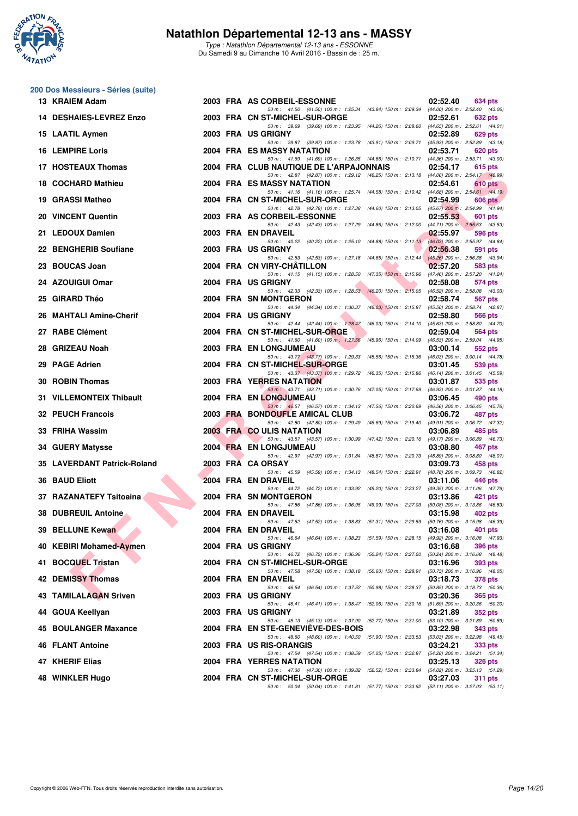

Type : Natathlon Départemental 12-13 ans - ESSONNE Du Samedi 9 au Dimanche 10 Avril 2016 - Bassin de : 25 m.

# **200 Dos Messieurs - Séries (suite)**

| 13 KRAIEM Adam               |  | 2003 FRA AS CORBEIL-ESSONNE<br>02:52.40<br>634 pts                                                                                                                                                                                       |  |
|------------------------------|--|------------------------------------------------------------------------------------------------------------------------------------------------------------------------------------------------------------------------------------------|--|
| 14 DESHAIES-LEVREZ Enzo      |  | 50 m: 41.50 (41.50) 100 m: 1:25.34 (43.84) 150 m: 2:09.34 (44.00) 200 m: 2:52.40 (43.06)<br>2003 FRA CN ST-MICHEL-SUR-ORGE<br>02:52.61<br>632 pts                                                                                        |  |
| 15 LAATIL Aymen              |  | 50 m : 39.69 (39.69) 100 m : 1:23.95 (44.26) 150 m : 2:08.60 (44.65) 200 m : 2:52.61 (44.01)<br>2003 FRA US GRIGNY<br>02:52.89<br>629 pts                                                                                                |  |
| <b>16 LEMPIRE Loris</b>      |  | 50 m: 39.87 (39.87) 100 m: 1:23.78 (43.91) 150 m: 2:09.71 (45.93) 200 m: 2:52.89 (43.18)<br>2004 FRA ES MASSY NATATION<br>02:53.71<br>620 pts                                                                                            |  |
| 17 HOSTEAUX Thomas           |  | 50 m: 41.69 (41.69) 100 m: 1:26.35 (44.66) 150 m: 2:10.71 (44.36) 200 m: 2:53.71 (43.00)<br>2004 FRA CLUB NAUTIQUE DE L'ARPAJONNAIS<br>02:54.17<br>615 pts                                                                               |  |
| 18 COCHARD Mathieu           |  | 50 m: 42.87 (42.87) 100 m: 1:29.12 (46.25) 150 m: 2:13.18 (44.06) 200 m: 2:54.17 (40.99)<br>2004 FRA ES MASSY NATATION<br>02:54.61<br>610 pts                                                                                            |  |
| 19 GRASSI Matheo             |  | 50 m: 41.16 (41.16) 100 m: 1:25.74 (44.58) 150 m: 2:10.42 (44.68) 200 m: 2:54.61 (44.19)<br>2004 FRA CN ST-MICHEL-SUR-ORGE<br>02:54.99<br>$606$ pts                                                                                      |  |
| 20 VINCENT Quentin           |  | 50 m: 42.78 (42.78) 100 m: 1:27.38 (44.60) 150 m: 2:13.05 (45.67) 200 m: 2:54.99 (41.94)<br>2003 FRA AS CORBEIL-ESSONNE<br>02:55.53<br>601 pts                                                                                           |  |
| 21 LEDOUX Damien             |  | 50 m: 42.43 (42.43) 100 m: 1:27.29 (44.86) 150 m: 2:12.00 (44.71) 200 m: 2:55.53 (43.53)<br>2003 FRA EN DRAVEIL<br>02:55.97<br>596 pts                                                                                                   |  |
| 22 BENGHERIB Soufiane        |  | 50 m: 40.22 (40.22) 100 m: 1:25.10 (44.88) 150 m: 2:11.13 (46.03) 200 m: 2:55.97 (44.84)<br>2003 FRA US GRIGNY<br>02:56.38<br>591 pts                                                                                                    |  |
| 23 BOUCAS Joan               |  | 50 m: 42.53 (42.53) 100 m: 1:27.18 (44.65) 150 m: 2:12.44 (45.26) 200 m: 2:56.38 (43.94)<br>2004 FRA CN VIRY-CHATILLON<br>02:57.20<br>583 pts                                                                                            |  |
| 24 AZOUIGUI Omar             |  | 50 m: 41.15 (41.15) 100 m: 1:28.50 (47.35) 150 m: 2:15.96 (47.46) 200 m: 2:57.20 (41.24)<br>2004 FRA US GRIGNY<br>02:58.08<br>574 pts                                                                                                    |  |
| 25 GIRARD Théo               |  | 50 m: 42.33 (42.33) 100 m: 1:28.53 (46.20) 150 m: 2:15.05 (46.52) 200 m: 2:58.08 (43.03)<br>2004 FRA SN MONTGERON<br>02:58.74<br>567 pts<br>50 m: 44.34 (44.34) 100 m: 1:30.37 (46.03) 150 m: 2:15.87<br>(45.50) 200 m : 2:58.74 (42.87) |  |
| 26 MAHTALI Amine-Cherif      |  | 2004 FRA US GRIGNY<br>02:58.80<br>566 pts<br>50 m: 42.44 (42.44) 100 m: 1:28.47<br>(46.03) 150 m : 2:14.10 (45.63) 200 m : 2:58.80 (44.70)                                                                                               |  |
| 27 RABE Clément              |  | 2004 FRA CN ST-MICHEL-SUR-ORGE<br>02:59.04<br>564 pts<br>50 m: 41.60 (41.60) 100 m: 1:27.56<br>(45.96) 150 m : 2:14.09 (46.53) 200 m : 2:59.04 (44.95)                                                                                   |  |
| 28 GRIZEAU Noah              |  | 2003 FRA EN LONGJUMEAU<br>03:00.14<br>552 pts<br>50 m: 43.77 (43.77) 100 m: 1:29.33 (45.56) 150 m: 2:15.36 (46.03) 200 m: 3:00.14 (44.78)                                                                                                |  |
| 29 PAGE Adrien               |  | 2004 FRA CN ST-MICHEL-SUR-ORGE<br>03:01.45<br>539 pts<br>50 m: 43.37 (43.37) 100 m: 1:29.72 (46.35) 150 m: 2:15.86 (46.14) 200 m: 3:01.45 (45.59)                                                                                        |  |
| 30 ROBIN Thomas              |  | 2003 FRA YERRES NATATION<br>03:01.87<br>535 pts<br>50 m: 43.71 (43.71) 100 m: 1:30.76 (47.05) 150 m: 2:17.69 (46.93) 200 m: 3:01.87 (44.18)                                                                                              |  |
| 31 VILLEMONTEIX Thibault     |  | 2004 FRA EN LONGJUMEAU<br>03:06.45<br>490 pts<br>50 m: 46.57 (46.57) 100 m: 1:34.13 (47.56) 150 m: 2:20.69 (46.56) 200 m: 3:06.45 (45.76)                                                                                                |  |
| <b>32 PEUCH Francois</b>     |  | 2003 FRA BONDOUFLE AMICAL CLUB<br>03:06.72<br>487 pts<br>50 m : 42.80 (42.80) 100 m : 1:29.49 (46.69) 150 m : 2:19.40 (49.91) 200 m : 3:06.72 (47.32)                                                                                    |  |
| 33 FRIHA Wassim              |  | 2003 FRA CO ULIS NATATION<br>03:06.89<br>485 pts<br>50 m: 43.57 (43.57) 100 m: 1:30.99 (47.42) 150 m: 2:20.16 (49.17) 200 m: 3:06.89 (46.73)                                                                                             |  |
| 34 GUERY Matysse             |  | 2004 FRA EN LONGJUMEAU<br>03:08.80<br>467 pts<br>50 m: 42.97 (42.97) 100 m: 1:31.84 (48.87) 150 m: 2:20.73<br>(48.89) 200 m : 3:08.80 (48.07)                                                                                            |  |
| 35 LAVERDANT Patrick-Roland  |  | 2003 FRA CA ORSAY<br>03:09.73<br>458 pts<br>50 m: 45.59 (45.59) 100 m: 1:34.13 (48.54) 150 m: 2:22.91 (48.78) 200 m: 3:09.73 (46.82)                                                                                                     |  |
| <b>36 BAUD Eliott</b>        |  | 2004 FRA EN DRAVEIL<br>03:11.06<br>446 pts<br>50 m: 44.72 (44.72) 100 m: 1:33.92 (49.20) 150 m: 2:23.27 (49.35) 200 m: 3:11.06 (47.79)                                                                                                   |  |
| 37 RAZANATEFY Tsitoaina      |  | 2004 FRA SN MONTGERON<br>03:13.86<br>421 pts<br>50 m: 47.86 (47.86) 100 m: 1:36.95 (49.09) 150 m: 2:27.03 (50.08) 200 m: 3:13.86 (46.83)                                                                                                 |  |
| <b>38 DUBREUIL Antoine</b>   |  | 2004 FRA EN DRAVEIL<br>03:15.98<br>402 pts<br>50 m: 47.52 (47.52) 100 m: 1:38.83 (51.31) 150 m: 2:29.59 (50.76) 200 m: 3:15.98 (46.39)                                                                                                   |  |
| 39 BELLUNE Kewan             |  | 2004 FRA EN DRAVEIL<br>03:16.08<br><b>401 pts</b><br>50 m: 46.64 (46.64) 100 m: 1:38.23 (51.59) 150 m: 2:28.15<br>(49.92) 200 m : 3:16.08 (47.93)                                                                                        |  |
| 40 KEBIRI Mohamed-Aymen      |  | 2004 FRA US GRIGNY<br>03:16.68<br>396 pts<br>50 m : 46.72 (46.72) 100 m : 1:36.96 (50.24) 150 m : 2:27.20<br>(50.24) 200 m : 3:16.68 (49.48)                                                                                             |  |
| 41 BOCQUEL Tristan           |  | 2004 FRA CN ST-MICHEL-SUR-ORGE<br>03:16.96<br>393 pts<br>50 m : 47.58 (47.58) 100 m : 1:38.18 (50.60) 150 m : 2:28.91<br>(50.73) 200 m : 3:16.96 (48.05)                                                                                 |  |
| <b>42 DEMISSY Thomas</b>     |  | 2004 FRA EN DRAVEIL<br>03:18.73<br><b>378 pts</b><br>50 m: 46.54 (46.54) 100 m: 1:37.52 (50.98) 150 m: 2:28.37<br>(50.85) 200 m : 3:18.73 (50.36)                                                                                        |  |
| <b>43 TAMILALAGAN Sriven</b> |  | 2003 FRA USGRIGNY<br>03:20.36<br><b>365 pts</b><br>$(51.69)$ 200 m : 3:20.36 $(50.20)$<br>50 m: 46.41 (46.41) 100 m: 1:38.47 (52.06) 150 m: 2:30.16                                                                                      |  |
| 44 GOUA Keellyan             |  | 2003 FRA US GRIGNY<br>03:21.89<br>352 pts<br>50 m: 45.13 (45.13) 100 m: 1:37.90<br>(53.10) 200 m : 3:21.89 (50.89)<br>(52.77) 150 m : 2:31.00                                                                                            |  |
| 45 BOULANGER Maxance         |  | 2004 FRA EN STE-GENEVIEVE-DES-BOIS<br>03:22.98<br>343 pts<br>50 m : 48.60 (48.60) 100 m : 1:40.50 (51.90) 150 m : 2:33.53 (53.03) 200 m : 3:22.98 (49.45)                                                                                |  |
| 46 FLANT Antoine             |  | 2003 FRA US RIS-ORANGIS<br>03:24.21<br>333 pts<br>50 m: 47.54 (47.54) 100 m: 1:38.59<br>(51.05) 150 m: 2:32.87 (54.28) 200 m: 3:24.21 (51.34)                                                                                            |  |
| 47 KHERIF Elias              |  | 2004 FRA YERRES NATATION<br>03:25.13<br><b>326 pts</b><br>50 m : 47.30 (47.30) 100 m : 1:39.82 (52.52) 150 m : 2:33.84 (54.02) 200 m : 3:25.13 (51.29)                                                                                   |  |
| 48 WINKLER Hugo              |  | 2004 FRA CN ST-MICHEL-SUR-ORGE<br>03:27.03<br><b>311 pts</b><br>50 m: 50.04 (50.04) 100 m: 1:41.81 (51.77) 150 m: 2:33.92 (52.11) 200 m: 3:27.03 (53.11)                                                                                 |  |
|                              |  |                                                                                                                                                                                                                                          |  |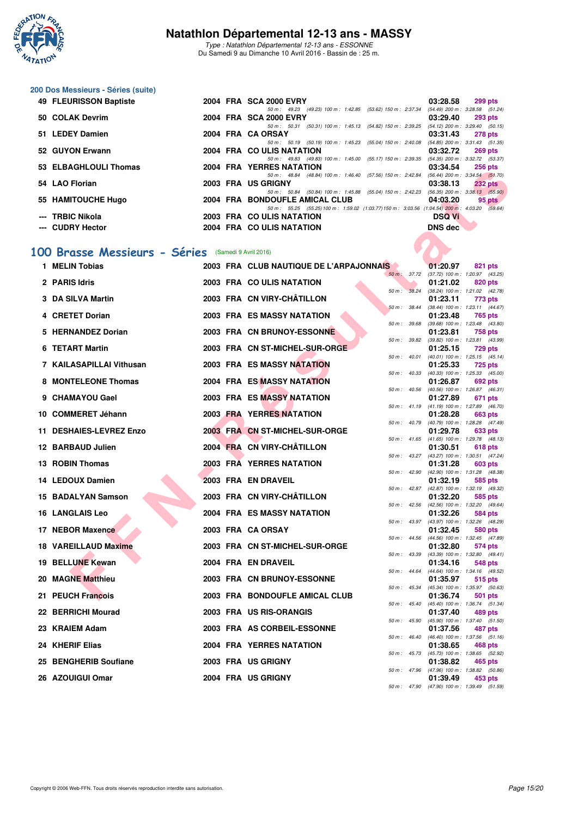

Type : Natathlon Départemental 12-13 ans - ESSONNE Du Samedi 9 au Dimanche 10 Avril 2016 - Bassin de : 25 m.

# **200 Dos Messieurs - Séries (suite)**

| 49 FLEURISSON Baptiste |  | 2004 FRA SCA 2000 EVRY                                                                       | 03:28.58       | $299$ pts      |
|------------------------|--|----------------------------------------------------------------------------------------------|----------------|----------------|
|                        |  | 50 m: 49.23 (49.23) 100 m: 1:42.85 (53.62) 150 m: 2:37.34 (54.49) 200 m: 3:28.58 (51.24)     |                |                |
| 50 COLAK Devrim        |  | 2004 FRA SCA 2000 EVRY                                                                       | 03:29.40       | <b>293 pts</b> |
|                        |  | 50 m: 50.31 (50.31) 100 m: 1:45.13 (54.82) 150 m: 2:39.25 (54.12) 200 m: 3:29.40 (50.15)     |                |                |
| 51 LEDEY Damien        |  | 2004 FRA CA ORSAY                                                                            | 03:31.43       | <b>278 pts</b> |
|                        |  | 50 m: 50.19 (50.19) 100 m: 1:45.23 (55.04) 150 m: 2:40.08 (54.85) 200 m: 3:31.43 (51.35)     |                |                |
| 52 GUYON Erwann        |  | 2004 FRA CO ULIS NATATION                                                                    | 03:32.72       | <b>269 pts</b> |
|                        |  | 50 m: 49.83 (49.83) 100 m: 1:45.00 (55.17) 150 m: 2:39.35 (54.35) 200 m: 3:32.72 (53.37)     |                |                |
| 53 ELBAGHLOULI Thomas  |  | 2004 FRA YERRES NATATION                                                                     | 03:34.54       | <b>256 pts</b> |
|                        |  | 50 m: 48.84 (48.84) 100 m: 1:46.40 (57.56) 150 m: 2:42.84 (56.44) 200 m: 3:34.54 (51.70)     |                |                |
| 54 LAO Florian         |  | 2003 FRA US GRIGNY                                                                           | 03:38.13       | <b>232 pts</b> |
|                        |  | 50 m: 50.84 (50.84) 100 m: 1:45.88 (55.04) 150 m: 2:42.23 (56.35) 200 m: 3:38.13 (55.90)     |                |                |
| 55 HAMITOUCHE Hugo     |  | 2004 FRA BONDOUFLE AMICAL CLUB                                                               | 04:03.20       | $95$ pts       |
|                        |  | 50 m: 55.25 (55.25) 100 m: 1:59.02 (1:03.77) 150 m: 3:03.56 (1:04.54) 200 m: 4:03.20 (59.64) |                |                |
| --- TRBIC Nikola       |  | 2003 FRA COULIS NATATION                                                                     | <b>DSQ Vi</b>  |                |
| --- CUDRY Hector       |  | 2004 FRA COULIS NATATION                                                                     | <b>DNS dec</b> |                |

#### **[100 Brasse Messieurs - Séries](http://www.ffnatation.fr/webffn/resultats.php?idact=nat&go=epr&idcpt=38883&idepr=72)** (Samedi 9 Avril 2016)

|   | ELDAUHLUULI HIUIIIAS                                |  | <b>I ENNES NATATION</b>                                                                                                    |                          | UJ.J4.J4       | zuu pis                                                 |
|---|-----------------------------------------------------|--|----------------------------------------------------------------------------------------------------------------------------|--------------------------|----------------|---------------------------------------------------------|
|   | 54 LAO Florian                                      |  | 50 m: 48.84 (48.84) 100 m: 1:46.40 (57.56) 150 m: 2:42.84 (56.44) 200 m: 3:34.54 (51.70)<br>2003 FRA US GRIGNY             |                          | 03:38.13       | <b>232 pts</b>                                          |
|   | 55 HAMITOUCHE Hugo                                  |  | 50 m: 50.84 (50.84) 100 m: 1:45.88 (55.04) 150 m: 2:42.23 (56.35) 200 m: 3:38.13 (55.90)<br>2004 FRA BONDOUFLE AMICAL CLUB |                          | 04:03.20       | $95$ pts                                                |
|   | <b>TRBIC Nikola</b>                                 |  | 50 m: 55.25 (55.25) 100 m: 1:59.02 (1:03.77) 150 m: 3:03.56 (1:04.54) 200 m: 4:03.20 (59.64)<br>2003 FRA COULIS NATATION   |                          | <b>DSQ Vi</b>  |                                                         |
|   | <b>CUDRY Hector</b>                                 |  | 2004 FRA COULIS NATATION                                                                                                   |                          | <b>DNS</b> dec |                                                         |
|   |                                                     |  |                                                                                                                            |                          |                |                                                         |
|   | 100 Brasse Messieurs - Séries (Samedi 9 Avril 2016) |  |                                                                                                                            |                          |                |                                                         |
|   | 1 MELIN Tobias                                      |  | 2003 FRA CLUB NAUTIQUE DE L'ARPAJONNAIS                                                                                    |                          | 01:20.97       | 821 pts                                                 |
|   | 2 PARIS Idris                                       |  | 2003 FRA COULIS NATATION                                                                                                   | 50 m : 37.72             | 01:21.02       | (37.72) 100 m: 1:20.97 (43.25)<br>820 pts               |
|   | 3 DA SILVA Martin                                   |  | 2003 FRA CN VIRY-CHÂTILLON                                                                                                 | 50 m: 38.24              | 01:23.11       | $(38.24)$ 100 m : 1:21.02 $(42.78)$<br>773 pts          |
|   | <b>CRETET Dorian</b>                                |  | 2003 FRA ES MASSY NATATION                                                                                                 | 50 m : 38.44             |                | (38.44) 100 m: 1:23.11 (44.67)                          |
|   |                                                     |  |                                                                                                                            | 50 m : 39.68             | 01:23.48       | 765 pts<br>$(39.68)$ 100 m : 1:23.48 $(43.80)$          |
|   | <b>HERNANDEZ Dorian</b>                             |  | 2003 FRA CN BRUNOY-ESSONNE                                                                                                 | 50 m: 39.82              | 01:23.81       | 758 pts<br>(39.82) 100 m : 1:23.81 (43.99)              |
| 6 | <b>TETART Martin</b>                                |  | 2003 FRA CN ST-MICHEL-SUR-ORGE                                                                                             |                          | 01:25.15       | <b>729 pts</b>                                          |
|   | 7 KAILASAPILLAI Vithusan                            |  | 2003 FRA ES MASSY NATATION                                                                                                 | 50 m : 40.01             | 01:25.33       | $(40.01)$ 100 m : 1:25.15 $(45.14)$<br><b>725 pts</b>   |
|   | 8 MONTELEONE Thomas                                 |  | <b>2004 FRA ES MASSY NATATION</b>                                                                                          |                          | 01:26.87       | 50 m: 40.33 (40.33) 100 m: 1:25.33 (45.00)<br>692 pts   |
|   |                                                     |  |                                                                                                                            | $50 m$ : $40.56$         |                | $(40.56)$ 100 m : 1:26.87 $(46.31)$                     |
| 9 | <b>CHAMAYOU Gael</b>                                |  | 2003 FRA ES MASSY NATATION                                                                                                 |                          | 01:27.89       | 671 pts<br>50 m: 41.19 (41.19) 100 m: 1:27.89 (46.70)   |
|   | 10 COMMERET Jéhann                                  |  | <b>2003 FRA YERRES NATATION</b>                                                                                            |                          | 01:28.28       | 663 pts<br>50 m: 40.79 (40.79) 100 m: 1:28.28 (47.49)   |
|   | 11 DESHAIES-LEVREZ Enzo                             |  | 2003 FRA CN ST-MICHEL-SUR-ORGE                                                                                             |                          | 01:29.78       | 633 pts                                                 |
|   | 12 BARBAUD Julien                                   |  | 2004 FRA CN VIRY-CHÂTILLON                                                                                                 |                          | 01:30.51       | 50 m: 41.65 (41.65) 100 m: 1:29.78 (48.13)<br>618 pts   |
|   | 13 ROBIN Thomas                                     |  | <b>2003 FRA YERRES NATATION</b>                                                                                            |                          | 01:31.28       | 50 m: 43.27 (43.27) 100 m: 1:30.51 (47.24)              |
|   |                                                     |  |                                                                                                                            | 50 m : 42.90             |                | 603 pts<br>(42.90) 100 m: 1:31.28 (48.38)               |
|   | 14 LEDOUX Damien                                    |  | 2003 FRA EN DRAVEIL                                                                                                        |                          | 01:32.19       | 585 pts<br>50 m: 42.87 (42.87) 100 m: 1:32.19 (49.32)   |
|   | <b>15 BADALYAN Samson</b>                           |  | 2003 FRA CN VIRY-CHÂTILLON                                                                                                 |                          | 01:32.20       | 585 pts                                                 |
|   | <b>16 LANGLAIS Leo</b>                              |  | 2004 FRA ES MASSY NATATION                                                                                                 |                          | 01:32.26       | 50 m: 42.56 (42.56) 100 m: 1:32.20 (49.64)<br>584 pts   |
|   | 17 NEBOR Maxence                                    |  | 2003 FRA CA ORSAY                                                                                                          |                          | 01:32.45       | 50 m : 43.97 (43.97) 100 m : 1:32.26 (48.29)<br>580 pts |
|   | <b>18 VAREILLAUD Maxime</b>                         |  | 2003 FRA CN ST-MICHEL-SUR-ORGE                                                                                             | 50 m : 44.56             |                | (44.56) 100 m: 1:32.45 (47.89)                          |
|   |                                                     |  |                                                                                                                            | 50 m : 43.39             | 01:32.80       | 574 pts<br>$(43.39)$ 100 m : 1:32.80 $(49.41)$          |
|   | 19 BELLUNE Kewan                                    |  | 2004 FRA EN DRAVEIL                                                                                                        |                          | 01:34.16       | 548 pts<br>50 m: 44.64 (44.64) 100 m: 1:34.16 (49.52)   |
|   | 20 MAGNE Matthieu                                   |  | 2003 FRA CN BRUNOY-ESSONNE                                                                                                 |                          | 01:35.97       | 515 pts                                                 |
|   | 21 PEUCH Francois                                   |  | 2003 FRA BONDOUFLE AMICAL CLUB                                                                                             |                          | 01:36.74       | 50 m: 45.34 (45.34) 100 m: 1:35.97 (50.63)<br>501 pts   |
|   | 22 BERRICHI Mourad                                  |  | 2003 FRA US RIS-ORANGIS                                                                                                    | $50 m$ : $45.40$         | 01:37.40       | (45.40) 100 m : 1:36.74 (51.34)<br>489 pts              |
|   |                                                     |  |                                                                                                                            | 50 m : 45.90             |                | $(45.90)$ 100 m : 1:37.40 $(51.50)$                     |
|   | 23 KRAIEM Adam                                      |  | 2003 FRA AS CORBEIL-ESSONNE                                                                                                | $50 \text{ m}$ : $46.40$ | 01:37.56       | 487 pts<br>$(46.40)$ 100 m : 1:37.56 $(51.16)$          |
|   | 24 KHERIF Elias                                     |  | <b>2004 FRA YERRES NATATION</b>                                                                                            |                          | 01:38.65       | 468 pts<br>50 m: 45.73 (45.73) 100 m: 1:38.65 (52.92)   |
|   | 25 BENGHERIB Soufiane                               |  | 2003 FRA US GRIGNY                                                                                                         |                          | 01:38.82       | 465 pts                                                 |
|   | 26 AZOUIGUI Omar                                    |  | 2004 FRA US GRIGNY                                                                                                         |                          | 01:39.49       | 50 m : 47.96 (47.96) 100 m : 1:38.82 (50.86)<br>453 pts |
|   |                                                     |  |                                                                                                                            |                          |                | 50 m : 47.90 (47.90) 100 m : 1:39.49 (51.59)            |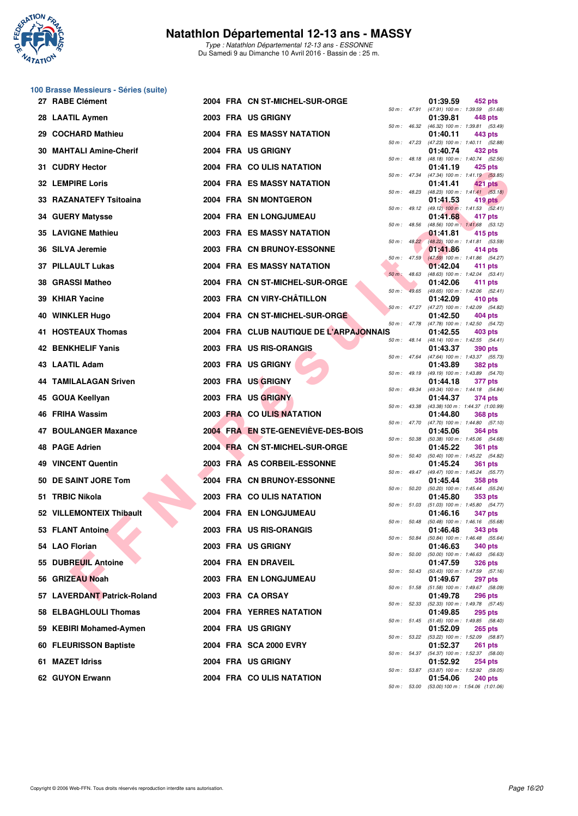

Type : Natathlon Départemental 12-13 ans - ESSONNE Du Samedi 9 au Dimanche 10 Avril 2016 - Bassin de : 25 m.

# **100 Brasse Messieurs - Séries (suite)**

|     | 27 RABE Clément             |  | 2004 FRA CN ST-MICHEL-SUR-ORGE          |                |                | 01:39.59 | 452 pts                                                      |
|-----|-----------------------------|--|-----------------------------------------|----------------|----------------|----------|--------------------------------------------------------------|
|     | 28 LAATIL Aymen             |  | 2003 FRA US GRIGNY                      |                |                | 01:39.81 | 50 m: 47.91 (47.91) 100 m: 1:39.59 (51.68)<br>448 pts        |
|     | 29 COCHARD Mathieu          |  | 2004 FRA ES MASSY NATATION              | 50 m: 46.32    |                | 01:40.11 | (46.32) 100 m: 1:39.81 (53.49)<br>443 pts                    |
| 30  | <b>MAHTALI Amine-Cherif</b> |  | 2004 FRA US GRIGNY                      |                | 50 m : 47.23   | 01:40.74 | $(47.23)$ 100 m : 1:40.11 $(52.88)$<br>432 pts               |
|     | 31 CUDRY Hector             |  | 2004 FRA COULIS NATATION                |                | $50 m$ : 48.18 | 01:41.19 | (48.18) 100 m : 1:40.74 (52.56)<br>425 pts                   |
|     | <b>32 LEMPIRE Loris</b>     |  | 2004 FRA ES MASSY NATATION              |                | 50 m : 47.34   | 01:41.41 | (47.34) 100 m: 1:41.19 (53.85)<br>421 pts                    |
|     | 33 RAZANATEFY Tsitoaina     |  | 2004 FRA SN MONTGERON                   |                | 50 m: 48.23    | 01:41.53 | $(48.23)$ 100 m : 1:41.41 $(53.18)$<br>419 pts               |
|     | 34 GUERY Matysse            |  | 2004 FRA EN LONGJUMEAU                  | 50 m: 49.12    |                | 01:41.68 | $(49.12)$ 100 m : 1:41.53 $(52.41)$<br>417 pts               |
|     | <b>35 LAVIGNE Mathieu</b>   |  | 2003 FRA ES MASSY NATATION              | 50 m: 48.56    |                | 01:41.81 | (48.56) 100 m: 1:41.68 (53.12)<br>415 pts                    |
|     | 36 SILVA Jeremie            |  | 2003 FRA CN BRUNOY-ESSONNE              |                | $50 m$ : 48.22 | 01:41.86 | (48.22) 100 m: 1:41.81 (53.59)<br>414 pts                    |
|     | 37 PILLAULT Lukas           |  | 2004 FRA ES MASSY NATATION              |                | $50 m$ : 47.59 | 01:42.04 | (47.59) 100 m: 1:41.86 (54.27)<br>411 pts                    |
|     | 38 GRASSI Matheo            |  | 2004 FRA CN ST-MICHEL-SUR-ORGE          | $50 m$ : 48.63 |                | 01:42.06 | (48.63) 100 m: 1:42.04 (53.41)<br>411 pts                    |
|     | 39 KHIAR Yacine             |  | 2003 FRA CN VIRY-CHÂTILLON              | $50 m$ :       | 49.65          | 01:42.09 | (49.65) 100 m: 1:42.06 (52.41)<br>410 pts                    |
|     | 40 WINKLER Hugo             |  | 2004 FRA CN ST-MICHEL-SUR-ORGE          |                | $50 m$ : 47.27 | 01:42.50 | (47.27) 100 m: 1:42.09 (54.82)<br>404 pts                    |
|     | 41 HOSTEAUX Thomas          |  | 2004 FRA CLUB NAUTIQUE DE L'ARPAJONNAIS | 50 m: 47.78    |                | 01:42.55 | (47.78) 100 m : 1:42.50 (54.72)<br>403 pts                   |
|     | 42 BENKHELIF Yanis          |  | 2003 FRA US RIS-ORANGIS                 |                | 50 m: 48.14    | 01:43.37 | (48.14) 100 m: 1:42.55 (54.41)<br><b>390 pts</b>             |
|     | 43 LAATIL Adam              |  | 2003 FRA US GRIGNY                      |                | 50 m : 47.64   | 01:43.89 | (47.64) 100 m: 1:43.37 (55.73)<br><b>382 pts</b>             |
|     | 44 TAMILALAGAN Sriven       |  | 2003 FRA US GRIGNY                      |                | $50 m$ : 49.19 | 01:44.18 | (49.19) 100 m: 1:43.89 (54.70)<br>377 pts                    |
|     | 45 GOUA Keellyan            |  | 2003 FRA US GRIGNY                      |                | 50 m: 49.34    | 01:44.37 | (49.34) 100 m: 1:44.18 (54.84)<br>374 pts                    |
|     | 46 FRIHA Wassim             |  | 2003 FRA COULIS NATATION                | 50 m: 43.38    |                | 01:44.80 | (43.38) 100 m: 1:44.37 (1:00.99)<br><b>368 pts</b>           |
| 47  | <b>BOULANGER Maxance</b>    |  | 2004 FRA EN STE-GENEVIÈVE-DES-BOIS      | 50 m: 47.70    |                | 01:45.06 | $(47.70)$ 100 m : 1:44.80 $(57.10)$<br><b>364 pts</b>        |
|     | 48 PAGE Adrien              |  | 2004 FRA CN ST-MICHEL-SUR-ORGE          | 50 m: 50.38    |                | 01:45.22 | (50.38) 100 m: 1:45.06 (54.68)<br><b>361 pts</b>             |
|     | <b>49 VINCENT Quentin</b>   |  | 2003 FRA AS CORBEIL-ESSONNE             |                | 50 m: 50.40    | 01:45.24 | (50.40) 100 m: 1:45.22 (54.82)<br>361 pts                    |
|     | 50 DE SAINT JORE Tom        |  | 2004 FRA CN BRUNOY-ESSONNE              |                |                | 01:45.44 | 50 m: 49.47 (49.47) 100 m: 1:45.24 (55.77)<br><b>358 pts</b> |
|     | 51 TRBIC Nikola             |  | 2003 FRA COULIS NATATION                | 50 m: 50.20    |                | 01:45.80 | (50.20) 100 m : 1:45.44 (55.24)<br>353 pts                   |
|     | 52 VILLEMONTEIX Thibault    |  | 2004 FRA EN LONGJUMEAU                  |                | 50 m : 51.03   | 01:46.16 | $(51.03)$ 100 m : 1:45.80 $(54.77)$<br>347 pts               |
|     | <b>FLANT Antoine</b>        |  | 2003 FRA US RIS-ORANGIS                 |                | 50 m: 50.48    | 01:46.48 | $(50.48)$ 100 m : 1:46.16 $(55.68)$<br><b>343 pts</b>        |
|     | 54 LAO Florian              |  | 2003 FRA US GRIGNY                      |                | 50 m : 50.84   | 01:46.63 | (50.84) 100 m: 1:46.48 (55.64)<br><b>340 pts</b>             |
|     | 55 DUBREUIL Antoine         |  | 2004 FRA EN DRAVEIL                     |                | 50 m : 50.00   | 01:47.59 | $(50.00)$ 100 m : 1:46.63 $(56.63)$<br><b>326 pts</b>        |
|     | 56 GRIZEAU Noah             |  | 2003 FRA EN LONGJUMEAU                  |                | 50 m : 50.43   | 01:49.67 | $(50.43)$ 100 m : 1:47.59 $(57.16)$<br><b>297 pts</b>        |
|     | 57 LAVERDANT Patrick-Roland |  | 2003 FRA CA ORSAY                       |                |                | 01:49.78 | 50 m: 51.58 (51.58) 100 m: 1:49.67 (58.09)<br><b>296 pts</b> |
|     | 58 ELBAGHLOULI Thomas       |  | 2004 FRA YERRES NATATION                |                |                | 01:49.85 | 50 m: 52.33 (52.33) 100 m: 1:49.78 (57.45)<br><b>295 pts</b> |
| 59. | <b>KEBIRI Mohamed-Aymen</b> |  | 2004 FRA US GRIGNY                      |                |                | 01:52.09 | 50 m: 51.45 (51.45) 100 m: 1:49.85 (58.40)<br><b>265 pts</b> |
|     | 60 FLEURISSON Baptiste      |  | 2004 FRA SCA 2000 EVRY                  |                | 50 m : 53.22   | 01:52.37 | (53.22) 100 m : 1:52.09 (58.87)<br><b>261 pts</b>            |
|     | 61 MAZET Idriss             |  | 2004 FRA US GRIGNY                      |                |                | 01:52.92 | 50 m: 54.37 (54.37) 100 m: 1:52.37 (58.00)<br><b>254 pts</b> |
|     | 62 GUYON Erwann             |  | 2004 FRA COULIS NATATION                |                | 50 m : 53.87   | 01:54.06 | (53.87) 100 m : 1:52.92 (59.05)<br><b>240 pts</b>            |
|     |                             |  |                                         |                |                |          | 50 m: 53.00 (53.00) 100 m: 1:54.06 (1:01.06)                 |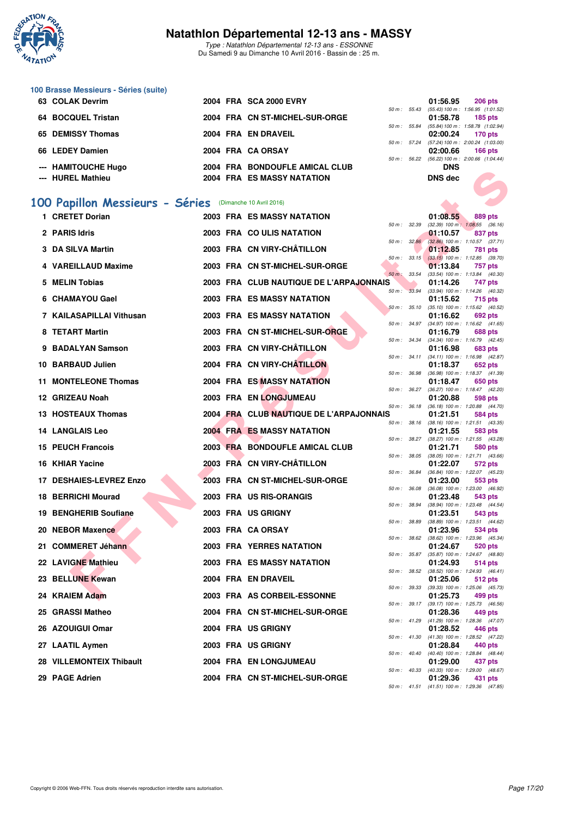

Type : Natathlon Départemental 12-13 ans - ESSONNE Du Samedi 9 au Dimanche 10 Avril 2016 - Bassin de : 25 m.

#### **100 Brasse Messieurs - Séries (suite)**

| 63 COLAK Devrim     |  | 2004 FRA SCA 2000 EVRY            |  | 01:56.95   | 206 pts                                       |
|---------------------|--|-----------------------------------|--|------------|-----------------------------------------------|
|                     |  |                                   |  |            | 50 m: 55.43 (55.43) 100 m: 1:56.95 (1:01.52)  |
| 64 BOCQUEL Tristan  |  | 2004 FRA CN ST-MICHEL-SUR-ORGE    |  | 01:58.78   | 185 pts                                       |
|                     |  |                                   |  |            | 50 m: 55.84 (55.84) 100 m: 1:58.78 (1:02.94)  |
| 65 DEMISSY Thomas   |  | 2004 FRA EN DRAVEIL               |  | 02:00.24   | 170 pts                                       |
|                     |  |                                   |  |            | 50 m: 57.24 (57.24) 100 m: 2:00.24 (1:03.00   |
| 66 LEDEY Damien     |  | 2004 FRA CA ORSAY                 |  | 02:00.66   | 166 $pts$                                     |
|                     |  |                                   |  |            | 50 m : 56.22 (56.22) 100 m : 2:00.66 (1:04.44 |
| --- HAMITOUCHE Hugo |  | 2004 FRA BONDOUFLE AMICAL CLUB    |  | <b>DNS</b> |                                               |
| --- HUREL Mathieu   |  | <b>2004 FRA ES MASSY NATATION</b> |  | DNS dec    |                                               |
|                     |  |                                   |  |            |                                               |

## **[100 Papillon Messieurs - Séries](http://www.ffnatation.fr/webffn/resultats.php?idact=nat&go=epr&idcpt=38883&idepr=82)** (Dimanche 10 Avril 2016)

| "" IMMIIVUUIEIIUYU                                      |  | 2004 FRA BONDOUFLE AMICAL CLUB          |                | טוש                                                    |         |  |
|---------------------------------------------------------|--|-----------------------------------------|----------------|--------------------------------------------------------|---------|--|
| --- HUREL Mathieu                                       |  | 2004 FRA ES MASSY NATATION              |                | <b>DNS dec</b>                                         |         |  |
|                                                         |  |                                         |                |                                                        |         |  |
| 00 Papillon Messieurs - Séries (Dimanche 10 Avril 2016) |  |                                         |                |                                                        |         |  |
| 1 CRETET Dorian                                         |  | <b>2003 FRA ES MASSY NATATION</b>       | $50 m$ : 32.39 | 01:08.55<br>$(32.39)$ 100 m : 1:08.55 $(36.16)$        | 889 pts |  |
| 2 PARIS Idris                                           |  | 2003 FRA COULIS NATATION                |                | 01:10.57                                               | 837 pts |  |
| 3 DA SILVA Martin                                       |  | 2003 FRA CN VIRY-CHÂTILLON              | 50 m: 32.86    | $(32.86)$ 100 m : 1:10.57 $(37.71)$<br>01:12.85        | 781 pts |  |
|                                                         |  |                                         |                | 50 m: 33.15 (33.15) 100 m: 1:12.85 (39.70)             |         |  |
| 4 VAREILLAUD Maxime                                     |  | 2003 FRA CN ST-MICHEL-SUR-ORGE          | 50 m : 33.54   | 01:13.84<br>(33.54) 100 m: 1:13.84 (40.30)             | 757 pts |  |
| 5 MELIN Tobias                                          |  | 2003 FRA CLUB NAUTIQUE DE L'ARPAJONNAIS |                | 01:14.26                                               | 747 pts |  |
| 6 CHAMAYOU Gael                                         |  | 2003 FRA ES MASSY NATATION              | 50 m : 33.94   | (33.94) 100 m: 1:14.26 (40.32)<br>01:15.62             | 715 pts |  |
| 7 KAILASAPILLAI Vithusan                                |  | 2003 FRA ES MASSY NATATION              | 50 m: 35.10    | $(35.10)$ 100 m : 1:15.62 $(40.52)$<br>01:16.62        | 692 pts |  |
|                                                         |  |                                         | 50 m : 34.97   | $(34.97)$ 100 m : 1:16.62 $(41.65)$                    |         |  |
| 8 TETART Martin                                         |  | 2003 FRA CN ST-MICHEL-SUR-ORGE          | 50 m : 34.34   | 01:16.79<br>(34.34) 100 m: 1:16.79 (42.45)             | 688 pts |  |
| 9 BADALYAN Samson                                       |  | 2003 FRA CN VIRY-CHÂTILLON              |                | 01:16.98                                               | 683 pts |  |
| 10 BARBAUD Julien                                       |  | 2004 FRA CN VIRY-CHÂTILLON              |                | 50 m: 34.11 (34.11) 100 m: 1:16.98 (42.87)<br>01:18.37 | 652 pts |  |
|                                                         |  | <b>2004 FRA ES MASSY NATATION</b>       | 50 m : 36.98   | $(36.98)$ 100 m : 1:18.37 $(41.39)$                    |         |  |
| 11 MONTELEONE Thomas                                    |  |                                         | 50 m : 36.27   | 01:18.47<br>(36.27) 100 m : 1:18.47 (42.20)            | 650 pts |  |
| 12 GRIZEAU Noah                                         |  | 2003 FRA EN LONGJUMEAU                  | 50 m : 36.18   | 01:20.88<br>(36.18) 100 m: 1:20.88 (44.70)             | 598 pts |  |
| <b>13 HOSTEAUX Thomas</b>                               |  | 2004 FRA CLUB NAUTIQUE DE L'ARPAJONNAIS |                | 01:21.51                                               | 584 pts |  |
| <b>14 LANGLAIS Leo</b>                                  |  | <b>2004 FRA ES MASSY NATATION</b>       | 50 m: 38.16    | $(38.16)$ 100 m : 1:21.51 $(43.35)$<br>01:21.55        | 583 pts |  |
|                                                         |  |                                         | 50 m : 38.27   | (38.27) 100 m: 1:21.55 (43.28)                         |         |  |
| <b>15 PEUCH Francois</b>                                |  | 2003 FRA BONDOUFLE AMICAL CLUB          |                | 01:21.71<br>50 m: 38.05 (38.05) 100 m: 1:21.71 (43.66) | 580 pts |  |
| 16 KHIAR Yacine                                         |  | 2003 FRA CN VIRY-CHÂTILLON              | 50 m : 36.84   | 01:22.07<br>(36.84) 100 m: 1:22.07 (45.23)             | 572 pts |  |
| 17 DESHAIES-LEVREZ Enzo                                 |  | 2003 FRA CN ST-MICHEL-SUR-ORGE          |                | 01:23.00                                               | 553 pts |  |
| <b>18 BERRICHI Mourad</b>                               |  | 2003 FRA US RIS-ORANGIS                 | 50 m : 36.08   | (36.08) 100 m : 1:23.00 (46.92)<br>01:23.48            | 543 pts |  |
|                                                         |  |                                         | 50 m : 38.94   | (38.94) 100 m : 1:23.48 (44.54)                        |         |  |
| 19 BENGHERIB Soufiane                                   |  | 2003 FRA US GRIGNY                      | 50 m : 38.89   | 01:23.51<br>(38.89) 100 m: 1:23.51 (44.62)             | 543 pts |  |
| 20 NEBOR Maxence                                        |  | 2003 FRA CA ORSAY                       | 50 m: 38.62    | 01:23.96<br>(38.62) 100 m: 1:23.96 (45.34)             | 534 pts |  |
| 21 COMMERET Jéhann                                      |  | 2003 FRA YERRES NATATION                |                | 01:24.67                                               | 520 pts |  |
| 22 LAVIGNE Mathieu                                      |  | 2003 FRA ES MASSY NATATION              | 50 m : 35.87   | $(35.87)$ 100 m : 1:24.67 $(48.80)$<br>01:24.93        | 514 pts |  |
|                                                         |  |                                         | 50 m : 38.52   | (38.52) 100 m : 1:24.93 (46.41)                        |         |  |
| 23 BELLUNE Kewan                                        |  | 2004 FRA EN DRAVEIL                     |                | 01:25.06<br>50 m: 39.33 (39.33) 100 m: 1:25.06 (45.73) | 512 pts |  |
| 24 KRAIEM Adam                                          |  | 2003 FRA AS CORBEIL-ESSONNE             |                | 01:25.73                                               | 499 pts |  |
| 25 GRASSI Matheo                                        |  | 2004 FRA CN ST-MICHEL-SUR-ORGE          | 50 m : 39.17   | (39.17) 100 m : 1:25.73 (46.56)<br>01:28.36            | 449 pts |  |
| 26 AZOUIGUI Omar                                        |  | 2004 FRA US GRIGNY                      | 50 m : 41.29   | (41.29) 100 m: 1:28.36 (47.07)<br>01:28.52             | 446 pts |  |
|                                                         |  |                                         |                | 50 m: 41.30 (41.30) 100 m: 1:28.52 (47.22)             |         |  |
| 27 LAATIL Aymen                                         |  | 2003 FRA US GRIGNY                      |                | 01:28.84<br>50 m: 40.40 (40.40) 100 m: 1:28.84 (48.44) | 440 pts |  |
| 28 VILLEMONTEIX Thibault                                |  | <b>2004 FRA EN LONGJUMEAU</b>           |                | 01:29.00                                               | 437 pts |  |
| 29 PAGE Adrien                                          |  | 2004 FRA CN ST-MICHEL-SUR-ORGE          |                | 50 m: 40.33 (40.33) 100 m: 1:29.00 (48.67)<br>01:29.36 | 431 pts |  |
|                                                         |  |                                         |                | 50 m: 41.51 (41.51) 100 m: 1:29.36 (47.85)             |         |  |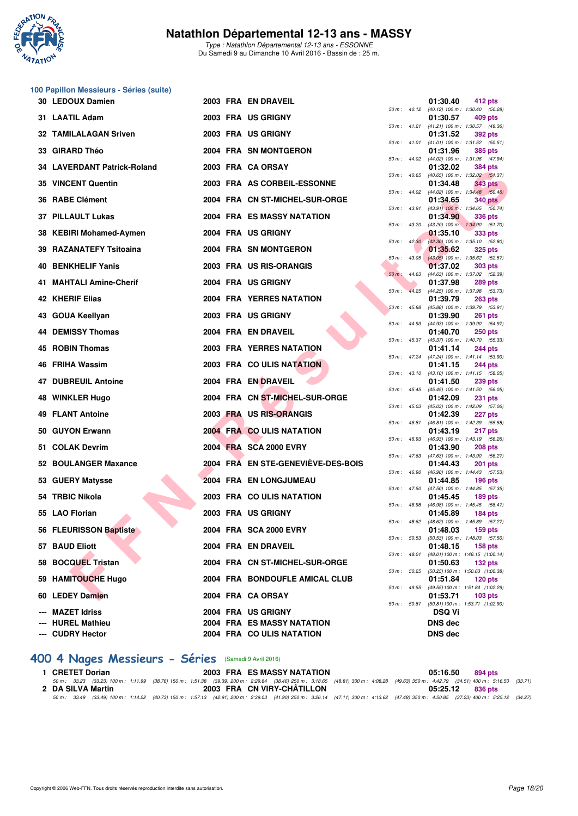

Type : Natathlon Départemental 12-13 ans - ESSONNE Du Samedi 9 au Dimanche 10 Avril 2016 - Bassin de : 25 m.

# **100 Papillon Messieurs - Séries (suite)**

| 30 LEDOUX Damien             |  | 2003 FRA EN DRAVEIL                |          |                  | 01:30.40       | 412 pts                                                        |
|------------------------------|--|------------------------------------|----------|------------------|----------------|----------------------------------------------------------------|
| 31 LAATIL Adam               |  | 2003 FRA US GRIGNY                 |          |                  | 01:30.57       | 50 m : 40.12 (40.12) 100 m : 1:30.40 (50.28)<br>409 pts        |
| <b>32 TAMILALAGAN Sriven</b> |  | 2003 FRA US GRIGNY                 |          |                  | 01:31.52       | 50 m: 41.21 (41.21) 100 m: 1:30.57 (49.36)<br><b>392 pts</b>   |
| 33 GIRARD Théo               |  | 2004 FRA SN MONTGERON              |          |                  | 01:31.96       | 50 m: 41.01 (41.01) 100 m: 1:31.52 (50.51)<br>385 pts          |
| 34 LAVERDANT Patrick-Roland  |  | 2003 FRA CA ORSAY                  |          |                  | 01:32.02       | 50 m: 44.02 (44.02) 100 m: 1:31.96 (47.94)<br>384 pts          |
| 35 VINCENT Quentin           |  | 2003 FRA AS CORBEIL-ESSONNE        |          | 50 m: 40.65      | 01:34.48       | (40.65) 100 m: 1:32.02 (51.37)<br>343 pts                      |
| 36 RABE Clément              |  | 2004 FRA CN ST-MICHEL-SUR-ORGE     |          | $50 m$ : $44.02$ | 01:34.65       | $(44.02)$ 100 m : 1:34.48 $(50.46)$<br><b>340 pts</b>          |
| 37 PILLAULT Lukas            |  | <b>2004 FRA ES MASSY NATATION</b>  |          | 50 m : 43.91     | 01:34.90       | $(43.91)$ 100 m : 1:34.65 $(50.74)$<br><b>336 pts</b>          |
| 38 KEBIRI Mohamed-Aymen      |  | 2004 FRA US GRIGNY                 |          | 50 m : 43.20     | 01:35.10       | (43.20) 100 m: 1:34.90 (51.70)<br>333 pts                      |
| 39 RAZANATEFY Tsitoaina      |  | 2004 FRA SN MONTGERON              |          |                  | 01:35.62       | 50 m : 42.30 (42.30) 100 m : 1:35.10 (52.80)<br><b>325 pts</b> |
| 40 BENKHELIF Yanis           |  | 2003 FRA US RIS-ORANGIS            |          | $50 m$ : $43.05$ | 01:37.02       | $(43.05)$ 100 m : 1:35.62 (52.57)<br>303 pts                   |
| 41 MAHTALI Amine-Cherif      |  | 2004 FRA US GRIGNY                 |          | 50 m: 44.63      |                | (44.63) 100 m: 1:37.02 (52.39)                                 |
|                              |  |                                    | $50 m$ : | 44.25            | 01:37.98       | 289 pts<br>(44.25) 100 m: 1:37.98 (53.73)                      |
| 42 KHERIF Elias              |  | <b>2004 FRA YERRES NATATION</b>    |          | $50 m$ : $45.88$ | 01:39.79       | 263 pts<br>(45.88) 100 m: 1:39.79 (53.91)                      |
| 43 GOUA Keellyan             |  | 2003 FRA US GRIGNY                 |          |                  | 01:39.90       | 261 pts<br>50 m: 44.93 (44.93) 100 m: 1:39.90 (54.97)          |
| 44 DEMISSY Thomas            |  | 2004 FRA EN DRAVEIL                |          |                  | 01:40.70       | <b>250 pts</b><br>50 m: 45.37 (45.37) 100 m: 1:40.70 (55.33)   |
| 45 ROBIN Thomas              |  | <b>2003 FRA YERRES NATATION</b>    |          |                  | 01:41.14       | 244 pts<br>50 m: 47.24 (47.24) 100 m: 1:41.14 (53.90)          |
| <b>46 FRIHA Wassim</b>       |  | 2003 FRA COULIS NATATION           |          |                  | 01:41.15       | 244 pts                                                        |
| 47 DUBREUIL Antoine          |  | 2004 FRA EN DRAVEIL                |          | $50 m$ : 43.10   | 01:41.50       | (43.10) 100 m: 1:41.15 (58.05)<br>239 pts                      |
| 48 WINKLER Hugo              |  | 2004 FRA CN ST-MICHEL-SUR-ORGE     |          | $50 m$ : $45.45$ | 01:42.09       | (45.45) 100 m: 1:41.50 (56.05)<br>231 pts                      |
| <b>49 FLANT Antoine</b>      |  | 2003 FRA US RIS-ORANGIS            |          | 50 m : 45.03     | 01:42.39       | (45.03) 100 m: 1:42.09 (57.06)<br>227 pts                      |
| 50 GUYON Erwann              |  | 2004 FRA CO ULIS NATATION          |          | 50 m : 46.81     | 01:43.19       | (46.81) 100 m: 1:42.39 (55.58)<br>217 pts                      |
| 51 COLAK Devrim              |  | 2004 FRA SCA 2000 EVRY             |          |                  | 01:43.90       | 50 m : 46.93 (46.93) 100 m : 1:43.19 (56.26)<br>208 pts        |
| 52 BOULANGER Maxance         |  | 2004 FRA EN STE-GENEVIÈVE-DES-BOIS |          | 50 m: 47.63      | 01:44.43       | (47.63) 100 m: 1:43.90 (56.27)<br><b>201 pts</b>               |
| 53 GUERY Matysse             |  | 2004 FRA EN LONGJUMEAU             |          | 50 m : 46.90     | 01:44.85       | $(46.90)$ 100 m : 1:44.43 $(57.53)$<br>$196$ pts               |
| 54 TRBIC Nikola              |  |                                    |          | 50 m: 47.50      |                | (47.50) 100 m: 1:44.85 (57.35)                                 |
|                              |  | 2003 FRA COULIS NATATION           |          | 50 m : 46.98     | 01:45.45       | $189$ pts<br>(46.98) 100 m: 1:45.45 (58.47)                    |
| 55 LAO Florian               |  | 2003 FRA US GRIGNY                 |          | $50 m$ : 48.62   | 01:45.89       | 184 $pts$<br>(48.62) 100 m: 1:45.89 (57.27)                    |
| 56 FLEURISSON Baptiste       |  | 2004 FRA SCA 2000 EVRY             |          |                  | 01:48.03       | 159 pts<br>50 m: 50.53 (50.53) 100 m: 1:48.03 (57.50)          |
| 57 BAUD Eliott               |  | 2004 FRA EN DRAVEIL                |          |                  | 01:48.15       | $158$ pts<br>50 m: 48.01 (48.01) 100 m: 1:48.15 (1:00.14)      |
| 58 BOCQUEL Tristan           |  | 2004 FRA CN ST-MICHEL-SUR-ORGE     |          |                  | 01:50.63       | $132$ pts<br>50 m : 50.25 (50.25) 100 m : 1:50.63 (1:00.38)    |
| 59 HAMITOUCHE Hugo           |  | 2004 FRA BONDOUFLE AMICAL CLUB     |          |                  | 01:51.84       | $120$ pts<br>50 m: 49.55 (49.55) 100 m: 1:51.84 (1:02.29)      |
| 60 LEDEY Damien              |  | 2004 FRA CA ORSAY                  |          |                  | 01:53.71       | $103$ pts                                                      |
| <b>MAZET Idriss</b>          |  | 2004 FRA US GRIGNY                 |          |                  | <b>DSQ Vi</b>  | 50 m: 50.81 (50.81) 100 m: 1:53.71 (1:02.90)                   |
| <b>HUREL Mathieu</b>         |  | 2004 FRA ES MASSY NATATION         |          |                  | <b>DNS dec</b> |                                                                |
| --- CUDRY Hector             |  | 2004 FRA CO ULIS NATATION          |          |                  | <b>DNS dec</b> |                                                                |

|          |       | 01:30.40                      | 412 pts                              |
|----------|-------|-------------------------------|--------------------------------------|
| $50 m$ : | 40.12 | $(40.12) 100 m$ :             | 1:30.40<br>(50.28)                   |
|          |       | 01:30.57                      | 409 pts                              |
| $50 m$ : | 41.21 | $(41.21) 100 m$ :             | 1:30.57<br>(49.36)                   |
|          |       | 01:31.52                      | <b>392 pts</b>                       |
| $50 m$ : | 41.01 | $(41.01) 100 m$ :             | 1:31.52<br>(50.51)                   |
|          |       | 01:31.96                      | 385 pts                              |
| $50 m$ : | 44.02 | $(44.02)$ 100 m :             | 1:31.96<br>(47.94)                   |
|          |       | 01:32.02                      | <b>384 pts</b>                       |
| $50 m$ : | 40.65 | $(40.65)$ 100 m :             | 1:32.02<br>(51.37)                   |
|          | 44.02 | 01:34.48                      | <b>343 pts</b><br>1:34.48            |
| $50 m$ : |       | $(44.02)$ 100 m :<br>01:34.65 | (50.46)<br><b>340 pts</b>            |
| $50 m$ : | 43.91 | $(43.91)$ 100 m :             | 1:34.65<br>(50.74)                   |
|          |       | 01:34.90                      | 336 pts                              |
| $50 m$ : | 43.20 | $(43.20)$ 100 m :             | 1:34.90<br>(51.70)                   |
|          |       | 01:35.10                      | 333 pts                              |
| 50 m :   | 42.30 | $(42.30)$ 100 m :             | 1:35.10<br>(52.80)                   |
|          |       | 01:35.62                      | 325 pts                              |
| $50 m$ : | 43.05 | $(43.05)$ 100 m :             | 1:35.62<br>(52.57)                   |
|          |       | 01:37.02                      | <b>303 pts</b>                       |
| $50 m$ : | 44.63 | $(44.63) 100 m$ :             | 1:37.02<br>(52.39)                   |
|          |       | 01:37.98                      | <b>289 pts</b>                       |
| $50 m$ : | 44.25 | $(44.25)$ 100 m :<br>01:39.79 | 1:37.98<br>(53.73)<br><b>263 pts</b> |
| $50 m$ : | 45.88 | $(45.88) 100 m$ :             | 1:39.79<br>(53.91)                   |
|          |       | 01:39.90                      | 261<br>pts                           |
| $50 m$ : | 44.93 | (44.93) 100 m :               | 1:39.90<br>(54.97)                   |
|          |       | 01:40.70                      | <b>250 pts</b>                       |
| $50 m$ : | 45.37 | (45.37) 100 m :               | 1:40.70<br>(55.33)                   |
|          |       | 01:41.14                      | 244 pts                              |
| $50 m$ : | 47.24 | (47.24) 100 m :               | 1:41.14<br>(53.90)                   |
| $50 m$ : | 43.10 | 01:41.15                      | 244 pts                              |
|          |       | $(43.10) 100 m$ :<br>01:41.50 | 1:41.15<br>(58.05)<br><b>239 pts</b> |
| $50 m$ : | 45.45 | $(45.45) 100 m$ :             | 1:41.50<br>(56.05)                   |
|          |       | 01:42.09                      | 231<br>pts                           |
| $50 m$ : | 45.03 | $(45.03) 100 m$ :             | 1:42.09<br>(57.06)                   |
|          |       | 01:42.39                      | 227<br>pts                           |
| 50 m :   | 46.81 | $(46.81) 100 m$ :             | 1:42.39<br>(55.58)                   |
|          |       | 01:43.19                      | 217 pts                              |
| 50 m :   | 46.93 | (46.93) 100 m :<br>01:43.90   | 1:43.19<br>(56.26)<br>208 pts        |
| $50 m$ : | 47.63 | $(47.63) 100 m$ :             | 1:43.90<br>(56.27)                   |
|          |       | 01:44.43                      | 201<br>pts                           |
| 50 m :   | 46.90 | $(46.90) 100 m$ :             | 1:44.43<br>(57.53)                   |
|          |       | 01:44.85                      | 196 pts                              |
| $50 m$ : | 47.50 | $(47.50)$ 100 m :             | 1:44.85<br>(57.35)                   |
|          |       | 01:45.45                      | 189 pts<br>1:45.45                   |
| $50 m$ : | 46.98 | (46.98) 100 m :<br>01:45.89   | (58.47)<br>184 pts                   |
| $50 m$ : | 48.62 | (48.62) 100 m :               | 1:45.89<br>(57.27)                   |
|          |       | 01:48.03                      | 159 pts                              |
| 50 m :   | 50.53 | $(50.53) 100 m$ :             | 1:48.03<br>(57.50)                   |
|          |       | 01:48.15                      | 158 pts                              |
| $50 m$ : | 48.01 | $(48.01) 100 m$ :             | 1:48.15 (1:00.14)                    |
|          |       | 01:50.63                      | 132 pts                              |
| $50 m$ : | 50.25 | $(50.25) 100 m$ :<br>01:51.84 | 1:50.63 (1:00.38)<br>120 pts         |
| $50 m$ : | 49.55 | (49.55) 100 m :               | 1:51.84 (1:02.29)                    |
|          |       | 01:53.71                      | 103 pts                              |
| $50 m$ : | 50.81 | $(50.81) 100 m$ :             | 1:53.71 (1:02.90)                    |
|          |       | DSQ Vi                        |                                      |
|          |       | <b>DNS dec</b>                |                                      |
|          |       | <b>DNS</b> dec                |                                      |
|          |       |                               |                                      |

# **[400 4 Nages Messieurs - Séries](http://www.ffnatation.fr/webffn/resultats.php?idact=nat&go=epr&idcpt=38883&idepr=92)** (Samedi 9 Avril 2016)

| 1 CRETET Dorian   | 2003 FRA ES MASSY NATATION                                                                                                                                                           | 05:16.50<br>894 pts |  |
|-------------------|--------------------------------------------------------------------------------------------------------------------------------------------------------------------------------------|---------------------|--|
|                   | 50 m: 33.23 (33.23) 100 m: 1:11.99 (38.76) 150 m: 1:51.38 (39.39) 200 m: 2:29.84 (38.46) 250 m: 3:18.65 (48.81) 300 m: 4:08.28 (49.63) 350 m: 4:42.79 (34.51) 400 m: 5:16.50 (33.71) |                     |  |
| 2 DA SILVA Martin | 2003 FRA CN VIRY-CHÂTILLON                                                                                                                                                           | 05:25.12 836 pts    |  |
|                   | 50 m: 33.49 (33.49) 100 m: 1:14.22 (40.73) 150 m: 1:57.13 (42.91) 200 m: 2:39.03 (41.90) 250 m: 3:26.14 (47.11) 300 m: 4:13.62 (47.48) 350 m: 4:50.85 (37.23) 400 m: 5:25.12 (34.27) |                     |  |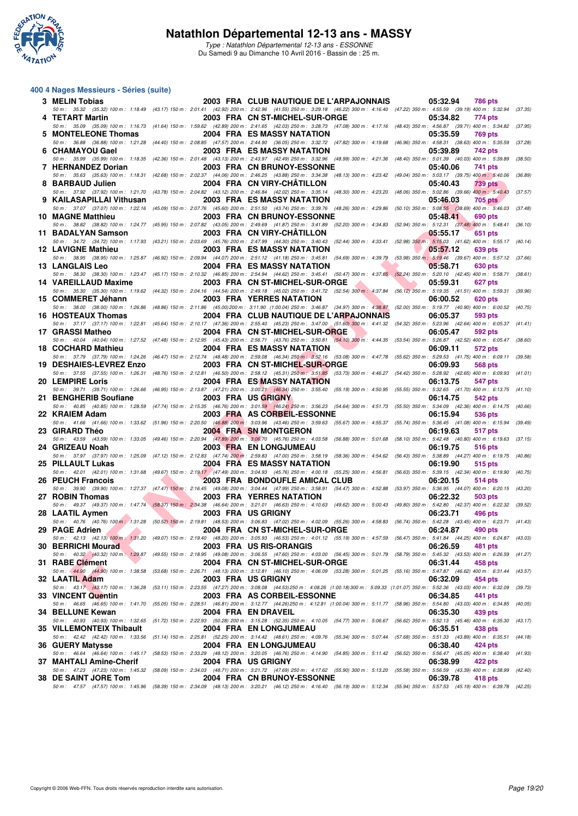

#### **400 4 Nages Messieurs - Séries (suite)**

| 3 MELIN Tobias            |  | 2003 FRA CLUB NAUTIQUE DE L'ARPAJONNAIS                                                                                                                                                                                         | 05:32.94<br><b>786 pts</b>                                                     |         |
|---------------------------|--|---------------------------------------------------------------------------------------------------------------------------------------------------------------------------------------------------------------------------------|--------------------------------------------------------------------------------|---------|
| 4 TETART Martin           |  | 50 m : 35.32 (35.32) 100 m : 1:18.49 (43.17) 150 m : 2:01.41 (42.92) 200 m : 2:42.96 (41.55) 250 m : 3:29.18 (46.22) 300 m : 4:16.40 (47.22) 350 m : 4:55.59 (39.19) 400 m : 5:32.94<br>2003 FRA CN ST-MICHEL-SUR-ORGE          | 05:34.82<br>774 pts                                                            | (37.35) |
| 5 MONTELEONE Thomas       |  | 50 m: 35.09 (35.09) 100 m: 1:16.73 (41.64) 150 m: 1:59.62 (42.89) 200 m: 2:41.65 (42.03) 250 m: 3:28.73 (47.08) 300 m: 4:17.16 (48.43) 350 m: 4:56.87 (39.71) 400 m: 5:34.82 (37.95)<br>2004 FRA ES MASSY NATATION              | 05:35.59<br><b>769 pts</b>                                                     |         |
| 6 CHAMAYOU Gael           |  | 50 m : 36.88 (36.88) 100 m : 1:21.28 (44.40) 150 m : 2:08.85 (47.57) 200 m : 2:44.90 (36.05) 250 m : 3:32.72 (47.82) 300 m : 4:19.68<br>2003 FRA ES MASSY NATATION                                                              | (46.96) 350 m : 4:58.31 (38.63) 400 m : 5:35.59<br>05:39.89<br>742 pts         | (37.28) |
|                           |  | 50 m: 35.99 (35.99) 100 m: 1:18.35 (42.36) 150 m: 2:01.48 (43.13) 200 m: 2:43.97 (42.49) 250 m: 3:32.96 (48.99) 300 m: 4:21.36                                                                                                  | (48.40) 350 m : 5:01.39 (40.03) 400 m : 5:39.89 (38.50)                        |         |
| 7 HERNANDEZ Dorian        |  | 2003 FRA CN BRUNOY-ESSONNE<br>50 m : 35.63 (35.63) 100 m : 1:18.31 (42.68) 150 m : 2:02.37 (44.06) 200 m : 2:46.25 (43.88) 250 m : 3:34.38 (48.13) 300 m : 4:23.42                                                              | 05:40.06<br>741 pts<br>(49.04) 350 m : 5:03.17 (39.75) 400 m : 5:40.06         | (36.89) |
| 8 BARBAUD Julien          |  | 2004 FRA CN VIRY-CHATILLON<br>50 m: 37.92 (37.92) 100 m: 1:21.70 (43.78) 150 m: 2:04.82 (43.12) 200 m: 2:46.84 (42.02) 250 m: 3:35.14 (48.30) 300 m: 4:23.20                                                                    | 05:40.43<br>739 pts<br>(48.06) 350 m : 5:02.86 (39.66) 400 m : 5:40.43         | (37.57) |
| 9 KAILASAPILLAI Vithusan  |  | 2003 FRA ES MASSY NATATION<br>50 m : 37.07 (37.07) 100 m : 1:22.16 (45.09) 150 m : 2:07.76 (45.60) 200 m : 2:51.50 (43.74) 250 m : 3:39.76 (48.26) 300 m : 4:29.86 (50.10) 350 m : 5:08.55 (38.69) 400 m : 5:46.03              | 05:46.03<br><b>705 pts</b>                                                     | (37.48) |
| <b>10 MAGNE Matthieu</b>  |  | <b>2003 FRA CN BRUNOY-ESSONNE</b>                                                                                                                                                                                               | 05:48.41<br>690 pts                                                            |         |
| 11 BADALYAN Samson        |  | 50 m : 38.82 (38.82) 100 m : 1:24.77 (45.95) 150 m : 2:07.82 (43.05) 200 m : 2:49.69 (41.87) 250 m : 3:41.89 (52.20) 300 m : 4:34.83<br>2003 FRA CN VIRY-CHATILLON                                                              | (52.94) 350 m : 5:12.31 (37.48) 400 m : 5:48.41<br>05:55.17<br>651 pts         | (36.10) |
| <b>12 LAVIGNE Mathieu</b> |  | 50 m: 34.72 (34.72) 100 m: 1:17.93 (43.21) 150 m: 2:03.69 (45.76) 200 m: 2:47.99 (44.30) 250 m: 3:40.43 (52.44) 300 m: 4:33.41 (52.98) 350 m: 5:15.03 (41.62) 400 m: 5:55.17 (40.14)<br><b>2003 FRA ES MASSY NATATION</b>       | 05:57.12<br>639 pts                                                            |         |
| <b>13 LANGLAIS Leo</b>    |  | 50 m: 38.95 (38.95) 100 m: 1:25.87 (46.92) 150 m: 2:09.94 (44.07) 200 m: 2:51.12 (41.18) 250 m: 3:45.81 (54.69) 300 m: 4:39.79 (53.98) 350 m: 5:19.46 (39.67) 400 m: 5:57.12<br><b>2004 FRA ES MASSY NATATION</b>               | 05:58.71<br>630 pts                                                            | (37.66) |
|                           |  | 50 m: 38.30 (38.30) 100 m: 1:23.47 (45.17) 150 m: 2:10.32 (46.85) 200 m: 2:54.94 (44.62) 250 m: 3:45.41 (50.47) 300 m: 4:37.65 (52.24) 350 m: 5:20.10 (42.45) 400 m: 5:58.71                                                    |                                                                                | (38.61) |
| 14 VAREILLAUD Maxime      |  | 2003 FRA CN ST-MICHEL-SUR-ORGE<br>50 m: 35.30 (35.30) 100 m: 1:19.62 (44.32) 150 m: 2:04.16 (44.54) 200 m: 2:49.18 (45.02) 250 m: 3:41.72 (52.54) 300 m: 4:37.84 (56.12) 350 m: 5:19.35 (41.51) 400 m: 5:59.31                  | 05:59.31<br>627 pts                                                            | (39.96) |
| 15 COMMERET Jéhann        |  | <b>2003 FRA YERRES NATATION</b><br>50 m: 38.00 (38.00) 100 m: 1:26.86 (48.86) 150 m: 2:11.86 (45.00) 200 m: 3:11.90 (1:00.04) 250 m: 3:46.87 (34.97) 300 m: 4:38.87 (52.00) 350 m: 5:19.77 (40.90) 400 m: 6:00.52               | 06:00.52<br>620 pts                                                            | (40.75) |
| 16 HOSTEAUX Thomas        |  | 2004 FRA CLUB NAUTIQUE DE L'ARPAJONNAIS<br>50 m: 37.17 (37.17) 100 m: 1:22.81 (45.64) 150 m: 2:10.17 (47.36) 200 m: 2:55.40 (45.23) 250 m: 3:47.00 (51.60) 300 m: 4:41.32 (54.32) 350 m: 5:23.96 (42.64) 400 m: 6:05.37 (41.41) | 06:05.37<br>593 pts                                                            |         |
| 17 GRASSI Matheo          |  | 2004 FRA CN ST-MICHEL-SUR-ORGE                                                                                                                                                                                                  | 06:05.47<br>592 pts                                                            |         |
| 18 COCHARD Mathieu        |  | 50 m: 40.04 (40.04) 100 m: 1:27.52 (47.48) 150 m: 2:12.95 (45.43) 200 m: 2:56.71 (43.76) 250 m: 3:50.81 (54.10) 300 m: 4:44.35 (53.54) 350 m: 5:26.87 (42.52) 400 m: 6:05.47<br><b>2004 FRA ES MASSY NATATION</b>               | 06:09.11<br><b>572 pts</b>                                                     | (38.60) |
| 19 DESHAIES-LEVREZ Enzo   |  | 50 m: 37.79 (37.79) 100 m: 1:24.26 (46.47) 150 m: 2:12.74 (48.48) 200 m: 2:59.08 (46.34) 250 m: 3:52.16 (53.08) 300 m: 4:47.78 (55.62) 350 m: 5:29.53 (41.75) 400 m: 6:09.11 (39.58)<br>2003 FRA CN ST-MICHEL-SUR-ORGE          | 06:09.93<br>568 pts                                                            |         |
| 20 LEMPIRE Loris          |  | 50 m : 37.55 (37.55) 100 m : 1:26.31 (48.76) 150 m : 2:12.81 (46.50) 200 m : 2:58.12 (45.31) 250 m : 3:51.85 (53.73) 300 m : 4:46.27 (54.42) 350 m : 5:28.92 (42.65) 400 m : 6:09.93<br>2004 FRA ESMASSYNATATION                | 06:13.75<br>547 pts                                                            | (41.01) |
|                           |  | 50 m: 39.71 (39.71) 100 m: 1:26.66 (46.95) 150 m: 2:13.87 (47.21) 200 m: 3:00.21 (46.34) 250 m: 3:55.40 (55.19) 300 m: 4:50.95 (55.55) 350 m: 5:32.65 (41.70) 400 m: 6:13.75                                                    |                                                                                | (41.10) |
| 21 BENGHERIB Soufiane     |  | 2003 FRA US GRIGNY<br>50 m: 40.85 (40.85) 100 m: 1:28.59 (47.74) 150 m: 2:15.35 (46.76) 200 m: 3:01.59 (46.24) 250 m: 3:56.23 (54.64) 300 m: 4:51.73 (55.50) 350 m: 5:34.09 (42.36) 400 m: 6:14.75                              | 06:14.75<br>542 pts                                                            | (40.66) |
| 22 KRAIEM Adam            |  | 2003 FRA AS CORBEIL-ESSONNE<br>50 m: 41.66 (41.66) 100 m: 1:33.62 (51.96) 150 m: 2:20.50 (46.88) 200 m: 3:03.96 (43.46) 250 m: 3:59.63 (55.67) 300 m: 4:55.37 (55.74) 350 m: 5:36.45 (41.08) 400 m: 6:15.94                     | 06:15.94<br>536 pts                                                            | (39.49) |
| 23 GIRARD Théo            |  | <b>2004 FRA SN MONTGERON</b><br>50 m : 43.59 (43.59) 100 m : 1:33.05 (49.46) 150 m : 2:20.94 (47.89) 200 m : 3:06.70 (45.76) 250 m : 4:03.58 (56.88) 300 m : 5:01.68                                                            | 06:19.63<br>517 pts<br>(58.10) 350 m : 5:42.48 (40.80) 400 m : 6:19.63 (37.15) |         |
| 24 GRIZEAU Noah           |  | 2003 FRA EN LONGJUMEAU                                                                                                                                                                                                          | 06:19.75<br>516 pts                                                            |         |
| 25 PILLAULT Lukas         |  | 50 m: 37.97 (37.97) 100 m: 1:25.09 (47.12) 150 m: 2:12.83 (47.74) 200 m: 2:59.83 (47.00) 250 m: 3:58.19 (58.36) 300 m: 4:54.62 (56.43) 350 m: 5:38.89 (44.27) 400 m: 6:19.75 (40.86)<br><b>2004 FRA ES MASSY NATATION</b>       | 06:19.90<br>515 pts                                                            |         |
| <b>26 PEUCH Francois</b>  |  | 50 m : 42.01 (42.01) 100 m : 1:31.68 (49.67) 150 m : 2:19.17 (47.49) 200 m : 3:04.93 (45.76) 250 m : 4:00.18 (55.25) 300 m : 4:56.81 (56.63) 350 m : 5:39.15 (42.34) 400 m : 6:19.90 (40.75)<br>2003 FRA BONDOUFLE AMICAL CLUB  | 06:20.15<br>514 pts                                                            |         |
| 27 ROBIN Thomas           |  | 50 m: 39.90 (39.90) 100 m: 1:27.37 (47.47) 150 m: 2:16.45 (49.08) 200 m: 3:04.44 (47.99) 250 m: 3:58.91 (54.47) 300 m: 4:52.88 (53.97) 350 m: 5:36.95 (44.07) 400 m: 6:20.15<br><b>2003 FRA YERRES NATATION</b>                 | 06:22.32<br>503 pts                                                            | (43.20) |
|                           |  | 50 m: 49.37 (49.37) 100 m: 1:47.74 (58.37) 150 m: 2:34.38 (46.64) 200 m: 3:21.01 (46.63) 250 m: 4:10.63 (49.62) 300 m: 5:00.43 (49.80) 350 m: 5:42.80 (42.37) 400 m: 6:22.32 (39.52)                                            |                                                                                |         |
| 28 LAATIL Aymen           |  | 2003 FRA US GRIGNY<br>50 m: 40.76 (40.76) 100 m: 1:31.28 (50.52) 150 m: 2:19.81 (48.53) 200 m: 3:06.83 (47.02) 250 m: 4:02.09 (55.26) 300 m: 4:58.83 (56.74) 350 m: 5:42.28 (43.45) 400 m: 6:23.71 (41.43)                      | 06:23.71<br>496 pts                                                            |         |
| 29 PAGE Adrien            |  | 2004 FRA CN ST-MICHEL-SUR-ORGE<br>50 m: 42.13 (42.13) 100 m: 1:31.20 (49.07) 150 m: 2:19.40 (48.20) 200 m: 3:05.93 (46.53) 250 m: 4:01.12 (55.19) 300 m: 4:57.59 (56.47) 350 m: 5:41.84 (44.25) 400 m: 6:24.87 (43.03)          | 06:24.87 490 pts                                                               |         |
| 30 BERRICHI Mourad        |  | 2003 FRA US RIS-ORANGIS<br>50 m: 40.32 (40.32) 100 m: 1:29.87 (49.55) 150 m: 2:18.95 (49.08) 200 m: 3:06.55 (47.60) 250 m: 4:03.00 (56.45) 300 m: 5:01.79 (58.79) 350 m: 5:45.32 (43.53) 400 m: 6:26.59 (41.27)                 | 06:26.59<br>481 pts                                                            |         |
| 31 RABE Clement           |  | 2004 FRA CN ST-MICHEL-SUR-ORGE                                                                                                                                                                                                  | 06:31.44<br>458 pts                                                            |         |
| 32 LAATIL Adam            |  | 50 m: 44.90 (44.90) 100 m: 1:38.58 (53.68) 150 m: 2:26.71 (48.13) 200 m: 3:12.81 (46.10) 250 m: 4:06.09 (53.28) 300 m: 5:01.25 (55.16) 350 m: 5:47.87 (46.62) 400 m: 6:31.44 (43.57)<br>2003 FRA US GRIGNY                      | 06:32.09<br>454 pts                                                            |         |
| 33 VINCENT Quentin        |  | 50 m: 43.17 (43.17) 100 m: 1:36.28 (53.11) 150 m: 2:23.55 (47.27) 200 m: 3:08.08 (44.53) 250 m: 4:08.26 (1:00.18) 300 m: 5:09.33 (1:01.07) 350 m: 5:52.36 (43.03) 400 m: 6:32.09 (39.73)<br>2003 FRA AS CORBEIL-ESSONNE         | 06:34.85<br>441 pts                                                            |         |
| 34 BELLUNE Kewan          |  | 50 m: 46.65 (46.65) 100 m: 1:41.70 (55.05) 150 m: 2:28.51 (46.81) 200 m: 3:12.77 (44.26) 250 m: 4:12.81 (1:00.04) 300 m: 5:11.77 (58.96) 350 m: 5:54.80 (43.03) 400 m: 6:34.85 (40.05)<br>2004 FRA EN DRAVEIL                   | 06:35.30<br>439 pts                                                            |         |
|                           |  | 50 m: 40.93 (40.93) 100 m: 1:32.65 (51.72) 150 m: 2:22.93 (50.28) 200 m: 3:15.28 (52.35) 250 m: 4:10.05 (54.77) 300 m: 5:06.67 (56.62) 350 m: 5:52.13 (45.46) 400 m: 6:35.30 (43.17)                                            |                                                                                |         |
| 35 VILLEMONTEIX Thibault  |  | 2004 FRA EN LONGJUMEAU<br>50 m: 42.42 (42.42) 100 m: 1:33.56 (51.14) 150 m: 2:25.81 (52.25) 200 m: 3:14.42 (48.61) 250 m: 4:09.76 (55.34) 300 m: 5:07.44 (57.68) 350 m: 5:51.33 (43.89) 400 m: 6:35.51 (44.18)                  | 438 pts<br>06:35.51                                                            |         |
| 36 GUERY Matysse          |  | 2004 FRA EN LONGJUMEAU<br>50 m: 46.64 (46.64) 100 m: 1:45.17 (58.53) 150 m: 2:33.29 (48.12) 200 m: 3:20.05 (46.76) 250 m: 4:14.90 (54.85) 300 m: 5:11.42 (56.52) 350 m: 5:56.47 (45.05) 400 m: 6:38.40 (41.93)                  | 06:38.40<br>424 pts                                                            |         |
| 37 MAHTALI Amine-Cherif   |  | 2004 FRA US GRIGNY<br>50 m: 47.23 (47.23) 100 m: 1:45.32 (58.09) 150 m: 2:34.03 (48.71) 200 m: 3:21.72 (47.69) 250 m: 4:17.62 (55.90) 300 m: 5:13.20 (55.58) 350 m: 5:56.59 (43.39) 400 m: 6:38.99 (42.40)                      | 06:38.99<br>422 pts                                                            |         |
| 38 DE SAINT JORE Tom      |  | 2004 FRA CN BRUNOY-ESSONNE                                                                                                                                                                                                      | 06:39.78<br>418 pts                                                            |         |
|                           |  | 50 m: 47.57 (47.57) 100 m: 1:45.96 (58.39) 150 m: 2:34.09 (48.13) 200 m: 3:20.21 (46.12) 250 m: 4:16.40 (56.19) 300 m: 5:12.34 (55.94) 350 m: 5:57.53 (45.19) 400 m: 6:39.78 (42.25)                                            |                                                                                |         |